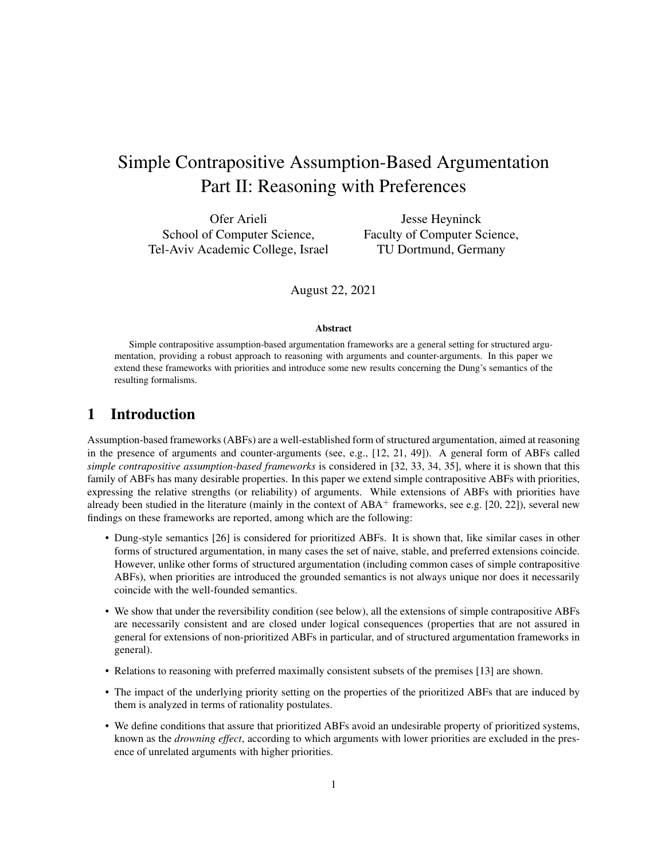# Simple Contrapositive Assumption-Based Argumentation Part II: Reasoning with Preferences

Ofer Arieli School of Computer Science, Tel-Aviv Academic College, Israel

Jesse Heyninck Faculty of Computer Science, TU Dortmund, Germany

August 22, 2021

### Abstract

Simple contrapositive assumption-based argumentation frameworks are a general setting for structured argumentation, providing a robust approach to reasoning with arguments and counter-arguments. In this paper we extend these frameworks with priorities and introduce some new results concerning the Dung's semantics of the resulting formalisms.

# 1 Introduction

Assumption-based frameworks (ABFs) are a well-established form of structured argumentation, aimed at reasoning in the presence of arguments and counter-arguments (see, e.g., [12, 21, 49]). A general form of ABFs called *simple contrapositive assumption-based frameworks* is considered in [32, 33, 34, 35], where it is shown that this family of ABFs has many desirable properties. In this paper we extend simple contrapositive ABFs with priorities, expressing the relative strengths (or reliability) of arguments. While extensions of ABFs with priorities have already been studied in the literature (mainly in the context of  $ABA^+$  frameworks, see e.g. [20, 22]), several new findings on these frameworks are reported, among which are the following:

- Dung-style semantics [26] is considered for prioritized ABFs. It is shown that, like similar cases in other forms of structured argumentation, in many cases the set of naive, stable, and preferred extensions coincide. However, unlike other forms of structured argumentation (including common cases of simple contrapositive ABFs), when priorities are introduced the grounded semantics is not always unique nor does it necessarily coincide with the well-founded semantics.
- We show that under the reversibility condition (see below), all the extensions of simple contrapositive ABFs are necessarily consistent and are closed under logical consequences (properties that are not assured in general for extensions of non-prioritized ABFs in particular, and of structured argumentation frameworks in general).
- Relations to reasoning with preferred maximally consistent subsets of the premises [13] are shown.
- The impact of the underlying priority setting on the properties of the prioritized ABFs that are induced by them is analyzed in terms of rationality postulates.
- We define conditions that assure that prioritized ABFs avoid an undesirable property of prioritized systems, known as the *drowning effect*, according to which arguments with lower priorities are excluded in the presence of unrelated arguments with higher priorities.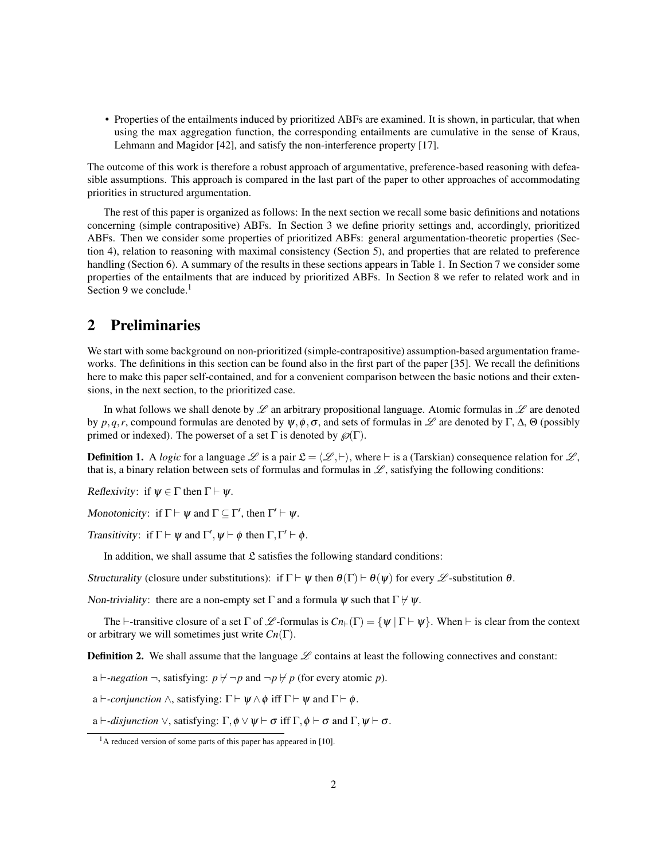• Properties of the entailments induced by prioritized ABFs are examined. It is shown, in particular, that when using the max aggregation function, the corresponding entailments are cumulative in the sense of Kraus, Lehmann and Magidor [42], and satisfy the non-interference property [17].

The outcome of this work is therefore a robust approach of argumentative, preference-based reasoning with defeasible assumptions. This approach is compared in the last part of the paper to other approaches of accommodating priorities in structured argumentation.

The rest of this paper is organized as follows: In the next section we recall some basic definitions and notations concerning (simple contrapositive) ABFs. In Section 3 we define priority settings and, accordingly, prioritized ABFs. Then we consider some properties of prioritized ABFs: general argumentation-theoretic properties (Section 4), relation to reasoning with maximal consistency (Section 5), and properties that are related to preference handling (Section 6). A summary of the results in these sections appears in Table 1. In Section 7 we consider some properties of the entailments that are induced by prioritized ABFs. In Section 8 we refer to related work and in Section 9 we conclude. $<sup>1</sup>$ </sup>

# 2 Preliminaries

We start with some background on non-prioritized (simple-contrapositive) assumption-based argumentation frameworks. The definitions in this section can be found also in the first part of the paper [35]. We recall the definitions here to make this paper self-contained, and for a convenient comparison between the basic notions and their extensions, in the next section, to the prioritized case.

In what follows we shall denote by  $\mathscr L$  an arbitrary propositional language. Atomic formulas in  $\mathscr L$  are denoted by *p*,*q*,*r*, compound formulas are denoted by  $\psi$ , $\phi$ ,  $\sigma$ , and sets of formulas in  $\mathcal{L}$  are denoted by  $\Gamma$ ,  $\Delta$ ,  $\Theta$  (possibly primed or indexed). The powerset of a set  $\Gamma$  is denoted by  $\mathcal{O}(\Gamma)$ .

**Definition 1.** A *logic* for a language  $\mathcal{L}$  is a pair  $\mathcal{L} = \langle \mathcal{L}, \vdash \rangle$ , where  $\vdash$  is a (Tarskian) consequence relation for  $\mathcal{L}$ , that is, a binary relation between sets of formulas and formulas in  $\mathscr L$ , satisfying the following conditions:

Reflexivity: if  $\psi \in \Gamma$  then  $\Gamma \vdash \psi$ .

Monotonicity: if  $\Gamma \vdash \psi$  and  $\Gamma \subseteq \Gamma'$ , then  $\Gamma' \vdash \psi$ .

Transitivity: if  $\Gamma \vdash \psi$  and  $\Gamma', \psi \vdash \phi$  then  $\Gamma, \Gamma' \vdash \phi$ .

In addition, we shall assume that  $\mathfrak L$  satisfies the following standard conditions:

Structurality (closure under substitutions): if  $\Gamma \vdash \psi$  then  $\theta(\Gamma) \vdash \theta(\psi)$  for every  $\mathscr L$ -substitution  $\theta$ .

Non-triviality: there are a non-empty set  $\Gamma$  and a formula  $\psi$  such that  $\Gamma \nvdash \psi$ .

The  $\vdash$ -transitive closure of a set Γ of *L* -formulas is  $Cn_{\vdash}(\Gamma) = \{ \psi \mid \Gamma \vdash \psi \}$ . When  $\vdash$  is clear from the context or arbitrary we will sometimes just write *Cn*(Γ).

**Definition 2.** We shall assume that the language  $L$  contains at least the following connectives and constant:

a  $\vdash$ *-negation*  $\neg$ , satisfying:  $p \not\vdash \neg p$  and  $\neg p \not\nvdash p$  (for every atomic p).

a  $\vdash$ -*conjunction*  $\wedge$ , satisfying:  $\Gamma \vdash \psi \wedge \phi$  iff  $\Gamma \vdash \psi$  and  $\Gamma \vdash \phi$ .

a  $\vdash$ *-disjunction*  $\vee$ , satisfying:  $\Gamma$ ,  $\phi \vee \psi \vdash \sigma$  iff  $\Gamma$ ,  $\phi \vdash \sigma$  and  $\Gamma$ ,  $\psi \vdash \sigma$ .

 $<sup>1</sup>A$  reduced version of some parts of this paper has appeared in [10].</sup>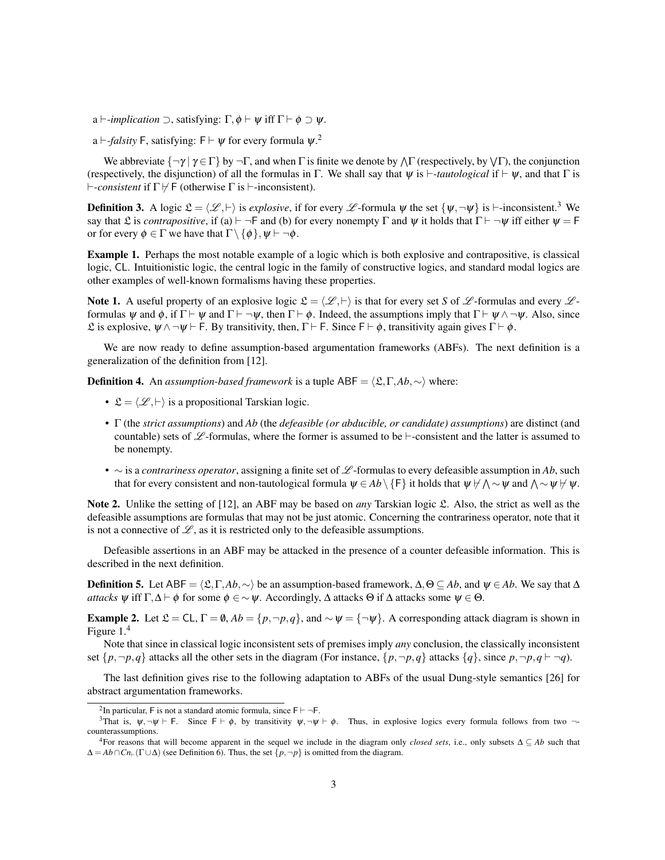a  $\vdash$ *-implication*  $\supset$ , satisfying:  $\Gamma$ ,  $\phi \vdash \psi$  iff  $\Gamma \vdash \phi \supset \psi$ .

a  $\vdash$ -*falsity* F, satisfying: F  $\vdash \psi$  for every formula  $\psi$ .<sup>2</sup>

We abbreviate  $\{\neg \gamma \mid \gamma \in \Gamma\}$  by  $\neg \Gamma$ , and when  $\Gamma$  is finite we denote by  $\wedge \Gamma$  (respectively, by  $\vee \Gamma$ ), the conjunction (respectively, the disjunction) of all the formulas in Γ. We shall say that  $\psi$  is  $\vdash$ *-tautological* if  $\vdash \psi$ , and that Γ is  $\vdash$ -*consistent* if  $\Gamma \not\vdash$  F (otherwise  $\Gamma$  is  $\vdash$ -inconsistent).

**Definition 3.** A logic  $\mathcal{L} = \langle \mathcal{L}, \vdash \rangle$  is *explosive*, if for every  $\mathcal{L}$ -formula  $\psi$  the set  $\{\psi, \neg \psi\}$  is  $\vdash$ -inconsistent.<sup>3</sup> We say that L is *contrapositive*, if (a)  $\vdash \neg \vdash$  and (b) for every nonempty  $\Gamma$  and  $\psi$  it holds that  $\Gamma \vdash \neg \psi$  iff either  $\psi = \vdash$ or for every  $\phi \in \Gamma$  we have that  $\Gamma \setminus {\phi}$ ,  $\psi \vdash \neg \phi$ .

Example 1. Perhaps the most notable example of a logic which is both explosive and contrapositive, is classical logic, CL. Intuitionistic logic, the central logic in the family of constructive logics, and standard modal logics are other examples of well-known formalisms having these properties.

Note 1. A useful property of an explosive logic  $\mathcal{L} = \langle \mathcal{L}, \vdash \rangle$  is that for every set *S* of  $\mathcal{L}$ -formulas and every  $\mathcal{L}$ formulas  $\psi$  and  $\phi$ , if  $\Gamma \vdash \psi$  and  $\Gamma \vdash \neg \psi$ , then  $\Gamma \vdash \phi$ . Indeed, the assumptions imply that  $\Gamma \vdash \psi \land \neg \psi$ . Also, since L is explosive,  $\psi \land \neg \psi \vdash$  F. By transitivity, then, Γ  $\vdash$  F. Since  $F \vdash φ$ , transitivity again gives Γ  $\vdash φ$ .

We are now ready to define assumption-based argumentation frameworks (ABFs). The next definition is a generalization of the definition from [12].

**Definition 4.** An *assumption-based framework* is a tuple ABF =  $\langle \mathfrak{L}, \Gamma, Ab, \sim \rangle$  where:

- $\mathcal{L} = \langle \mathcal{L}, \vdash \rangle$  is a propositional Tarskian logic.
- Γ (the *strict assumptions*) and *Ab* (the *defeasible (or abducible, or candidate) assumptions*) are distinct (and countable) sets of  $\mathscr L$ -formulas, where the former is assumed to be  $\vdash$ -consistent and the latter is assumed to be nonempty.
- ∼ is a *contrariness operator*, assigning a finite set of L -formulas to every defeasible assumption in *Ab*, such that for every consistent and non-tautological formula  $\psi\in Ab\setminus\{\mathsf{F}\}$  it holds that  $\psi\not\vdash\bigwedge\sim\psi$  and  $\bigwedge\sim\psi\not\vdash\psi.$

Note 2. Unlike the setting of [12], an ABF may be based on *any* Tarskian logic L. Also, the strict as well as the defeasible assumptions are formulas that may not be just atomic. Concerning the contrariness operator, note that it is not a connective of  $\mathscr{L}$ , as it is restricted only to the defeasible assumptions.

Defeasible assertions in an ABF may be attacked in the presence of a counter defeasible information. This is described in the next definition.

**Definition 5.** Let ABF =  $\langle \mathfrak{L}, \Gamma, A\mathfrak{b}, \sim \rangle$  be an assumption-based framework,  $\Delta, \Theta \subseteq Ab$ , and  $\psi \in Ab$ . We say that ∆ *attacks*  $\psi$  iff  $\Gamma$ ,  $\Delta \vdash \phi$  for some  $\phi \in \sim \psi$ . Accordingly,  $\Delta$  attacks  $\Theta$  if  $\Delta$  attacks some  $\psi \in \Theta$ .

**Example 2.** Let  $\mathcal{L} = CL$ ,  $\Gamma = \emptyset$ ,  $Ab = \{p, \neg p, q\}$ , and  $\sim \psi = \{\neg \psi\}$ . A corresponding attack diagram is shown in Figure 1.<sup>4</sup>

Note that since in classical logic inconsistent sets of premises imply *any* conclusion, the classically inconsistent set  $\{p, \neg p, q\}$  attacks all the other sets in the diagram (For instance,  $\{p, \neg p, q\}$  attacks  $\{q\}$ , since  $p, \neg p, q \vdash \neg q$ ).

The last definition gives rise to the following adaptation to ABFs of the usual Dung-style semantics [26] for abstract argumentation frameworks.

<sup>&</sup>lt;sup>2</sup>In particular, F is not a standard atomic formula, since  $F \vdash \neg F$ .

<sup>&</sup>lt;sup>3</sup>That is,  $\psi, \neg \psi \vdash F$ . Since  $F \vdash \phi$ , by transitivity  $\psi, \neg \psi \vdash \phi$ . Thus, in explosive logics every formula follows from two  $\neg$ counterassumptions.

<sup>&</sup>lt;sup>4</sup>For reasons that will become apparent in the sequel we include in the diagram only *closed sets*, i.e., only subsets  $\Delta \subseteq Ab$  such that  $\Delta = Ab \cap Cn_{\vdash}(\Gamma \cup \Delta)$  (see Definition 6). Thus, the set  $\{p, \neg p\}$  is omitted from the diagram.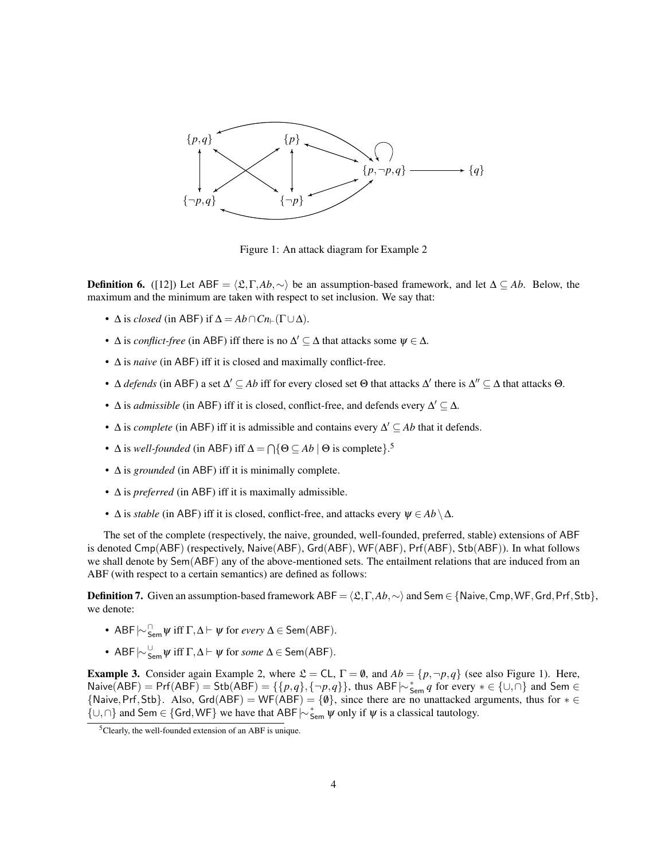

Figure 1: An attack diagram for Example 2

**Definition 6.** ([12]) Let ABF =  $\langle \mathfrak{L}, \Gamma, Ab, \sim \rangle$  be an assumption-based framework, and let  $\Delta \subseteq Ab$ . Below, the maximum and the minimum are taken with respect to set inclusion. We say that:

- $\Delta$  is *closed* (in ABF) if  $\Delta = Ab \cap Cn_{\vdash}(\Gamma \cup \Delta)$ .
- $\Delta$  is *conflict-free* (in ABF) iff there is no  $\Delta' \subseteq \Delta$  that attacks some  $\psi \in \Delta$ .
- ∆ is *naive* (in ABF) iff it is closed and maximally conflict-free.
- $\Delta$  *defends* (in ABF) a set  $\Delta' \subseteq Ab$  iff for every closed set  $\Theta$  that attacks  $\Delta'$  there is  $\Delta'' \subseteq \Delta$  that attacks  $\Theta$ .
- $\Delta$  is *admissible* (in ABF) iff it is closed, conflict-free, and defends every  $\Delta' \subseteq \Delta$ .
- $\Delta$  is *complete* (in ABF) iff it is admissible and contains every  $\Delta' \subseteq Ab$  that it defends.
- $\Delta$  is *well-founded* (in ABF) iff  $\Delta = \bigcap \{ \Theta \subseteq Ab \mid \Theta$  is complete}.<sup>5</sup>
- ∆ is *grounded* (in ABF) iff it is minimally complete.
- ∆ is *preferred* (in ABF) iff it is maximally admissible.
- $\Delta$  is *stable* (in ABF) iff it is closed, conflict-free, and attacks every  $\psi \in Ab \setminus \Delta$ .

The set of the complete (respectively, the naive, grounded, well-founded, preferred, stable) extensions of ABF is denoted Cmp(ABF) (respectively, Naive(ABF), Grd(ABF), WF(ABF), Prf(ABF), Stb(ABF)). In what follows we shall denote by Sem(ABF) any of the above-mentioned sets. The entailment relations that are induced from an ABF (with respect to a certain semantics) are defined as follows:

**Definition 7.** Given an assumption-based framework ABF =  $\langle \mathfrak{L}, \Gamma, Ab, \sim \rangle$  and Sem ∈ {Naive, Cmp, WF, Grd, Prf, Stb}, we denote:

- ABF $\mid \sim$   $\bigcap_{\mathsf{Sem}} \psi$  iff  $\Gamma, \Delta \vdash \psi$  for *every*  $\Delta \in \mathsf{Sem}(\mathsf{ABF}).$
- ABF $\mid \sim$   $\frac{U}{\text{Sem}}$   $\psi$  iff  $\Gamma$ ,  $\Delta$   $\vdash$   $\psi$  for *some*  $\Delta$   $\in$  Sem(ABF).

**Example 3.** Consider again Example 2, where  $\mathcal{L} = CL$ ,  $\Gamma = \emptyset$ , and  $Ab = \{p, \neg p, q\}$  (see also Figure 1). Here, Naive(ABF) = Prf(ABF) = Stb(ABF) = {{ $p,q$ }, {¬ $p,q$ }}, thus ABF $\mid \sim_{\text{Sem}}^* q$  for every  $* \in \{\cup, \cap\}$  and Sem  $\in$  ${\text{Naive, Prf,Stb}}$ . Also,  $\text{Grd}(ABF) = \text{WF}(ABF) = \{\emptyset\}$ , since there are no unattacked arguments, thus for  $* \in$  $\{ \cup, \cap \}$  and Sem ∈  $\{ \text{Grd}, \text{WF} \}$  we have that ABF  $\sim_{\text{Sem}}^* \psi$  only if  $\psi$  is a classical tautology.

<sup>&</sup>lt;sup>5</sup>Clearly, the well-founded extension of an ABF is unique.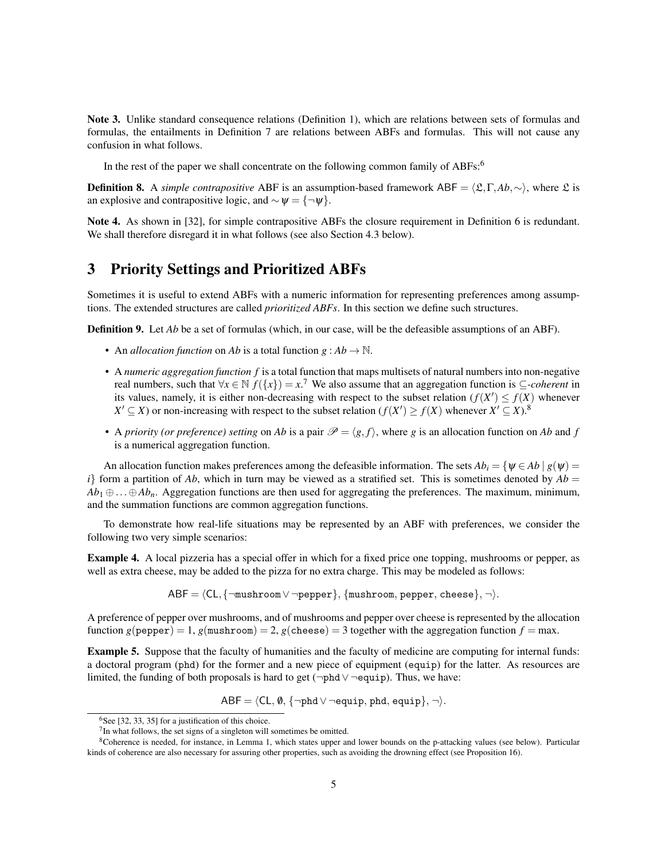Note 3. Unlike standard consequence relations (Definition 1), which are relations between sets of formulas and formulas, the entailments in Definition 7 are relations between ABFs and formulas. This will not cause any confusion in what follows.

In the rest of the paper we shall concentrate on the following common family of ABFs:<sup>6</sup>

**Definition 8.** A *simple contrapositive* ABF is an assumption-based framework ABF =  $\langle \mathfrak{L}, \Gamma, Ab, \sim \rangle$ , where  $\mathfrak{L}$  is an explosive and contrapositive logic, and  $\sim \psi = \{\neg \psi\}.$ 

Note 4. As shown in [32], for simple contrapositive ABFs the closure requirement in Definition 6 is redundant. We shall therefore disregard it in what follows (see also Section 4.3 below).

# 3 Priority Settings and Prioritized ABFs

Sometimes it is useful to extend ABFs with a numeric information for representing preferences among assumptions. The extended structures are called *prioritized ABFs*. In this section we define such structures.

Definition 9. Let *Ab* be a set of formulas (which, in our case, will be the defeasible assumptions of an ABF).

- An *allocation function* on *Ab* is a total function  $g : Ab \to \mathbb{N}$ .
- A *numeric aggregation function f* is a total function that maps multisets of natural numbers into non-negative real numbers, such that  $\forall x \in \mathbb{N}$   $f(\lbrace x \rbrace) = x$ .<sup>7</sup> We also assume that an aggregation function is  $\subseteq$ *-coherent* in its values, namely, it is either non-decreasing with respect to the subset relation  $(f(X') \leq f(X)$  whenever  $X' \subseteq X$ ) or non-increasing with respect to the subset relation ( $f(X') \ge f(X)$  whenever  $X' \subseteq X$ ).<sup>8</sup>
- A *priority (or preference) setting* on *Ab* is a pair  $\mathcal{P} = \langle g, f \rangle$ , where *g* is an allocation function on *Ab* and *f* is a numerical aggregation function.

An allocation function makes preferences among the defeasible information. The sets  $Ab_i = \{\psi \in Ab \mid g(\psi) =$  $i$ } form a partition of *Ab*, which in turn may be viewed as a stratified set. This is sometimes denoted by  $Ab =$ *Ab*<sup>1</sup> ⊕...⊕*Abn*. Aggregation functions are then used for aggregating the preferences. The maximum, minimum, and the summation functions are common aggregation functions.

To demonstrate how real-life situations may be represented by an ABF with preferences, we consider the following two very simple scenarios:

Example 4. A local pizzeria has a special offer in which for a fixed price one topping, mushrooms or pepper, as well as extra cheese, may be added to the pizza for no extra charge. This may be modeled as follows:

 $ABF = \langle CL, \{\neg \text{mushroom} \lor \neg \text{pepper}\}, \{\text{mushroom}, \text{pepper}, \text{cheese}\}, \neg \rangle.$ 

A preference of pepper over mushrooms, and of mushrooms and pepper over cheese is represented by the allocation function  $g$ (pepper) = 1,  $g$ (mushroom) = 2,  $g$ (cheese) = 3 together with the aggregation function  $f = max$ .

Example 5. Suppose that the faculty of humanities and the faculty of medicine are computing for internal funds: a doctoral program (phd) for the former and a new piece of equipment (equip) for the latter. As resources are limited, the funding of both proposals is hard to get (¬phd∨ ¬equip). Thus, we have:

 $ABF = \langle CL, \emptyset, \{\neg phd \lor \neg equip, phd, equip\}, \neg \rangle.$ 

 $6$ See [32, 33, 35] for a justification of this choice.

 $7$ In what follows, the set signs of a singleton will sometimes be omitted.

 $8$ Coherence is needed, for instance, in Lemma 1, which states upper and lower bounds on the p-attacking values (see below). Particular kinds of coherence are also necessary for assuring other properties, such as avoiding the drowning effect (see Proposition 16).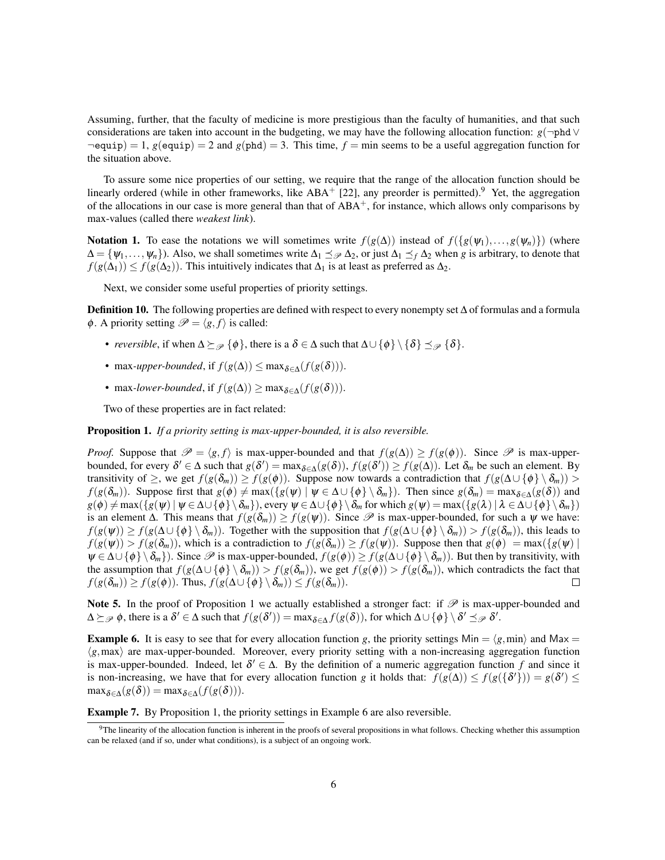Assuming, further, that the faculty of medicine is more prestigious than the faculty of humanities, and that such considerations are taken into account in the budgeting, we may have the following allocation function: *g*(¬phd∨  $\neg$ equip) = 1, *g*(equip) = 2 and *g*(phd) = 3. This time, *f* = min seems to be a useful aggregation function for the situation above.

To assure some nice properties of our setting, we require that the range of the allocation function should be linearly ordered (while in other frameworks, like  $ABA^+$  [22], any preorder is permitted).<sup>9</sup> Yet, the aggregation of the allocations in our case is more general than that of  $ABA^+$ , for instance, which allows only comparisons by max-values (called there *weakest link*).

Notation 1. To ease the notations we will sometimes write  $f(g(\Delta))$  instead of  $f(\lbrace g(\psi_1),...,g(\psi_n) \rbrace)$  (where  $\Delta = {\psi_1, \ldots, \psi_n}$ . Also, we shall sometimes write  $\Delta_1 \preceq_{\mathcal{P}} \Delta_2$ , or just  $\Delta_1 \preceq_f \Delta_2$  when *g* is arbitrary, to denote that  $f(g(\Delta_1)) \leq f(g(\Delta_2))$ . This intuitively indicates that  $\Delta_1$  is at least as preferred as  $\Delta_2$ .

Next, we consider some useful properties of priority settings.

Definition 10. The following properties are defined with respect to every nonempty set ∆ of formulas and a formula  $\phi$ . A priority setting  $\mathscr{P} = \langle g, f \rangle$  is called:

- *reversible*, if when  $\Delta \succeq_{\mathcal{P}} {\phi}$ , there is a  $\delta \in \Delta$  such that  $\Delta \cup {\phi} \setminus {\delta} \preceq_{\mathcal{P}} {\delta}.$
- max-upper-bounded, if  $f(g(\Delta)) \leq \max_{\delta \in \Lambda} (f(g(\delta))).$
- max-lower-bounded, if  $f(g(\Delta)) \ge \max_{\delta \in \Lambda} (f(g(\delta))).$

Two of these properties are in fact related:

Proposition 1. *If a priority setting is max-upper-bounded, it is also reversible.*

*Proof.* Suppose that  $\mathcal{P} = \langle g, f \rangle$  is max-upper-bounded and that  $f(g(\Delta)) \geq f(g(\phi))$ . Since  $\mathcal{P}$  is max-upperbounded, for every  $\delta' \in \Delta$  such that  $g(\delta') = \max_{\delta \in \Delta} (g(\delta)), f(g(\delta')) \ge f(g(\Delta)).$  Let  $\delta_m$  be such an element. By transitivity of  $\geq$ , we get  $f(g(\delta_m)) \geq f(g(\phi))$ . Suppose now towards a contradiction that  $f(g(\Delta \cup {\phi} \setminus \delta_m))$  $f(g(\delta_m))$ . Suppose first that  $g(\phi) \neq \max({g(\psi) | \psi \in \Delta \cup {\phi} \setminus {\delta_m}})$ . Then since  $g(\delta_m) = \max_{\delta \in \Delta} (g(\delta))$  and  $g(\phi) \neq \max({g(\psi) | \psi \in \Delta \cup {\phi} \setminus {\delta_m}})$ , every  $\psi \in \Delta \cup {\phi} \setminus {\delta_m}$  for which  $g(\psi) = \max({g(\lambda) | \lambda \in \Delta \cup {\phi} \setminus {\delta_m}})$ is an element  $\Delta$ . This means that  $f(g(\delta_m)) \geq f(g(\psi))$ . Since  $\mathscr P$  is max-upper-bounded, for such a  $\psi$  we have:  $f(g(\psi)) \geq f(g(\Delta \cup {\phi} \setminus {\delta_m}))$ . Together with the supposition that  $f(g(\Delta \cup {\phi} \setminus {\delta_m})) > f(g(\delta_m))$ , this leads to  $f(g(\psi)) > f(g(\delta_m))$ , which is a contradiction to  $f(g(\delta_m)) \geq f(g(\psi))$ . Suppose then that  $g(\phi) = \max({g(\psi)})$  $\psi \in \Delta \cup \{\phi\} \setminus \delta_m\}$ ). Since  $\mathscr P$  is max-upper-bounded,  $f(g(\phi)) \geq f(g(\Delta \cup \{\phi\} \setminus \delta_m))$ . But then by transitivity, with the assumption that  $f(g(\Delta \cup {\phi} \setminus \delta_m)) > f(g(\delta_m))$ , we get  $f(g(\phi)) > f(g(\delta_m))$ , which contradicts the fact that  $f(g(\delta_m)) \geq f(g(\phi))$ . Thus,  $f(g(\Delta \cup {\phi} \setminus \delta_m)) \leq f(g(\delta_m))$ . П

Note 5. In the proof of Proposition 1 we actually established a stronger fact: if  $\mathscr P$  is max-upper-bounded and  $\Delta \succeq_{\mathscr{P}} \phi$ , there is a  $\delta' \in \Delta$  such that  $f(g(\delta')) = \max_{\delta \in \Delta} f(g(\delta))$ , for which  $\Delta \cup \{\phi\} \setminus \delta' \preceq_{\mathscr{P}} \delta'$ .

**Example 6.** It is easy to see that for every allocation function *g*, the priority settings Min =  $\langle g, min \rangle$  and Max =  $\langle g, \text{max} \rangle$  are max-upper-bounded. Moreover, every priority setting with a non-increasing aggregation function is max-upper-bounded. Indeed, let  $\delta' \in \Delta$ . By the definition of a numeric aggregation function f and since it is non-increasing, we have that for every allocation function *g* it holds that:  $f(g(\Delta)) \leq f(g(\{\delta'\})) = g(\delta') \leq$  $\max_{\delta \in \Delta} (g(\delta)) = \max_{\delta \in \Delta} (f(g(\delta))).$ 

Example 7. By Proposition 1, the priority settings in Example 6 are also reversible.

 $9$ The linearity of the allocation function is inherent in the proofs of several propositions in what follows. Checking whether this assumption can be relaxed (and if so, under what conditions), is a subject of an ongoing work.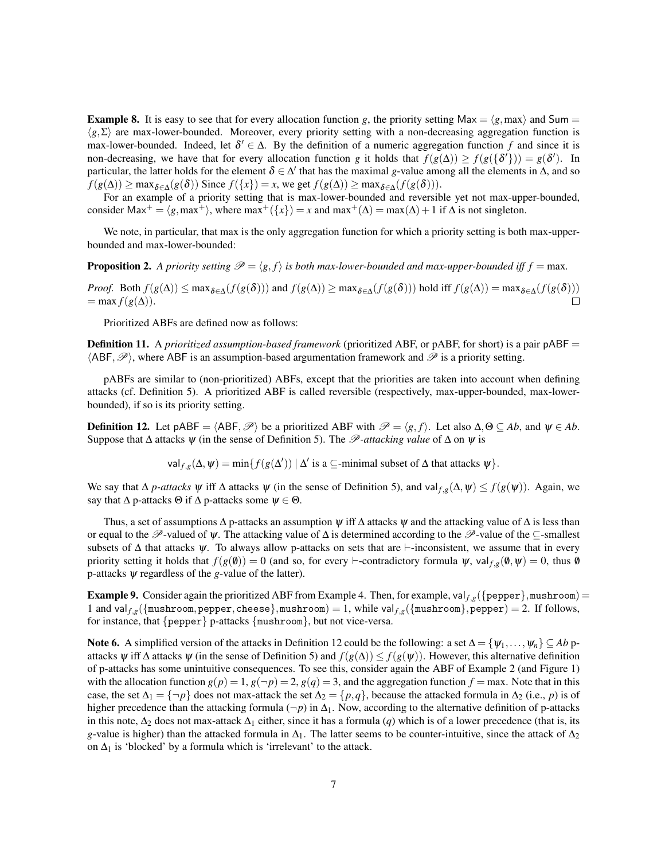**Example 8.** It is easy to see that for every allocation function *g*, the priority setting Max =  $\langle g, max \rangle$  and Sum =  $\langle g, \Sigma \rangle$  are max-lower-bounded. Moreover, every priority setting with a non-decreasing aggregation function is max-lower-bounded. Indeed, let  $\delta' \in \Delta$ . By the definition of a numeric aggregation function f and since it is non-decreasing, we have that for every allocation function *g* it holds that  $f(g(\Delta)) \ge f(g(\{\delta'\})) = g(\delta')$ . In particular, the latter holds for the element  $\delta \in \Delta'$  that has the maximal *g*-value among all the elements in  $\Delta$ , and so  $f(g(\Delta)) \ge \max_{\delta \in \Delta} (g(\delta))$  Since  $f(\lbrace x \rbrace) = x$ , we get  $f(g(\Delta)) \ge \max_{\delta \in \Delta} (f(g(\delta))).$ 

For an example of a priority setting that is max-lower-bounded and reversible yet not max-upper-bounded, consider Max<sup>+</sup> =  $\langle g, max^+ \rangle$ , where max<sup>+</sup>( $\{x\}$ ) = *x* and max<sup>+</sup>( $\Delta$ ) = max( $\Delta$ ) + 1 if  $\Delta$  is not singleton.

We note, in particular, that max is the only aggregation function for which a priority setting is both max-upperbounded and max-lower-bounded:

**Proposition 2.** A priority setting  $\mathcal{P} = \langle g, f \rangle$  is both max-lower-bounded and max-upper-bounded iff  $f = \max$ .

*Proof.* Both  $f(g(\Delta)) \le \max_{\delta \in \Delta} (f(g(\delta)))$  and  $f(g(\Delta)) \ge \max_{\delta \in \Delta} (f(g(\delta)))$  hold iff  $f(g(\Delta)) = \max_{\delta \in \Delta} (f(g(\delta)))$  $=$  max  $f(g(\Delta))$ .  $\Box$ 

Prioritized ABFs are defined now as follows:

Definition 11. A *prioritized assumption-based framework* (prioritized ABF, or pABF, for short) is a pair pABF =  $\langle ABF, \mathcal{P} \rangle$ , where ABF is an assumption-based argumentation framework and  $\mathcal{P}$  is a priority setting.

pABFs are similar to (non-prioritized) ABFs, except that the priorities are taken into account when defining attacks (cf. Definition 5). A prioritized ABF is called reversible (respectively, max-upper-bounded, max-lowerbounded), if so is its priority setting.

**Definition 12.** Let pABF =  $\langle ABF, \mathcal{P} \rangle$  be a prioritized ABF with  $\mathcal{P} = \langle g, f \rangle$ . Let also  $\Delta, \Theta \subseteq Ab$ , and  $\psi \in Ab$ . Suppose that ∆ attacks ψ (in the sense of Definition 5). The P*-attacking value* of ∆ on ψ is

val  $f_{i,g}(\Delta, \psi) = \min \{ f(g(\Delta')) \mid \Delta' \text{ is a } \subseteq \text{-minimal subset of } \Delta \text{ that attacks } \psi \}.$ 

We say that  $\Delta p$ -attacks  $\psi$  iff  $\Delta$  attacks  $\psi$  (in the sense of Definition 5), and val  $f,g(\Delta, \psi) \leq f(g(\psi))$ . Again, we say that  $\Delta$  p-attacks  $\Theta$  if  $\Delta$  p-attacks some  $\psi \in \Theta$ .

Thus, a set of assumptions  $\Delta$  p-attacks an assumption  $\psi$  iff  $\Delta$  attacks  $\psi$  and the attacking value of  $\Delta$  is less than or equal to the P-valued of  $\psi$ . The attacking value of  $\Delta$  is determined according to the P-value of the  $\subseteq$ -smallest subsets of  $\Delta$  that attacks  $\psi$ . To always allow p-attacks on sets that are  $\vdash$ -inconsistent, we assume that in every priority setting it holds that  $f(g(\theta)) = 0$  (and so, for every  $\vdash$ -contradictory formula  $\psi$ , val  $f,g(\theta, \psi) = 0$ , thus  $\theta$ p-attacks ψ regardless of the *g*-value of the latter).

**Example 9.** Consider again the prioritized ABF from Example 4. Then, for example, val  $f_{g}(\{\text{pepper}\},\text{mushroom}) =$ 1 and val<sub>f,g</sub>({mushroom,pepper,cheese},mushroom) = 1, while val<sub>f,g</sub>({mushroom},pepper) = 2. If follows, for instance, that {pepper} p-attacks {mushroom}, but not vice-versa.

Note 6. A simplified version of the attacks in Definition 12 could be the following: a set  $\Delta = \{\psi_1, \dots, \psi_n\} \subseteq Ab$  pattacks  $\psi$  iff  $\Delta$  attacks  $\psi$  (in the sense of Definition 5) and  $f(g(\Delta)) \leq f(g(\psi))$ . However, this alternative definition of p-attacks has some unintuitive consequences. To see this, consider again the ABF of Example 2 (and Figure 1) with the allocation function  $g(p) = 1$ ,  $g(\neg p) = 2$ ,  $g(q) = 3$ , and the aggregation function  $f = \max$ . Note that in this case, the set  $\Delta_1 = \{\neg p\}$  does not max-attack the set  $\Delta_2 = \{p, q\}$ , because the attacked formula in  $\Delta_2$  (i.e., *p*) is of higher precedence than the attacking formula (¬*p*) in ∆1. Now, according to the alternative definition of p-attacks in this note,  $\Delta_2$  does not max-attack  $\Delta_1$  either, since it has a formula (*q*) which is of a lower precedence (that is, its *g*-value is higher) than the attacked formula in  $\Delta_1$ . The latter seems to be counter-intuitive, since the attack of  $\Delta_2$ on  $\Delta_1$  is 'blocked' by a formula which is 'irrelevant' to the attack.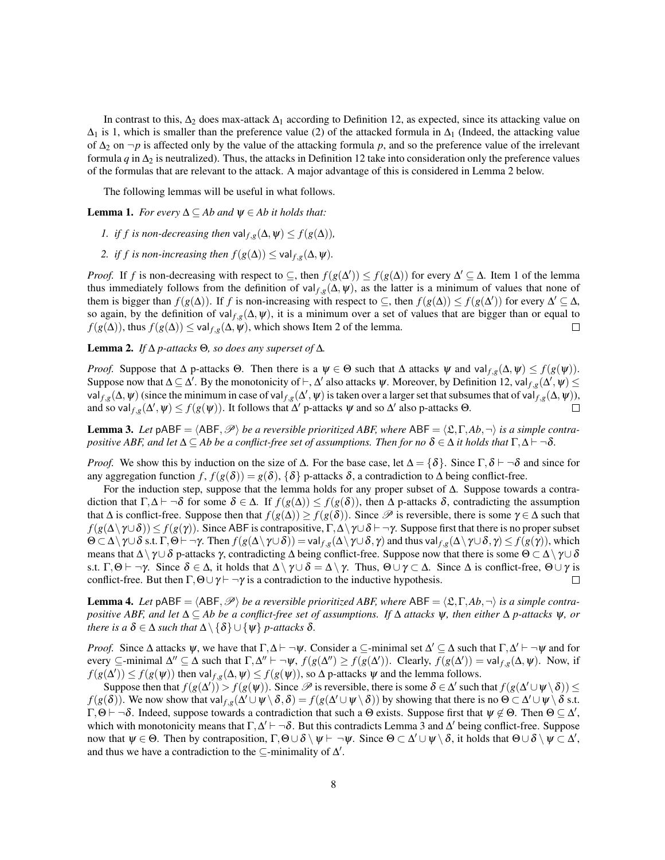In contrast to this,  $\Delta_2$  does max-attack  $\Delta_1$  according to Definition 12, as expected, since its attacking value on  $\Delta_1$  is 1, which is smaller than the preference value (2) of the attacked formula in  $\Delta_1$  (Indeed, the attacking value of  $\Delta_2$  on  $\neg p$  is affected only by the value of the attacking formula p, and so the preference value of the irrelevant formula  $q$  in  $\Delta_2$  is neutralized). Thus, the attacks in Definition 12 take into consideration only the preference values of the formulas that are relevant to the attack. A major advantage of this is considered in Lemma 2 below.

The following lemmas will be useful in what follows.

**Lemma 1.** *For every*  $\Delta \subseteq Ab$  *and*  $\psi \in Ab$  *it holds that:* 

- *1. if f is non-decreasing then* val $f_{i,g}(\Delta, \psi) \leq f(g(\Delta))$ ,
- *2. if f is non-increasing then*  $f(g(\Delta)) \leq \text{val}_{f,g}(\Delta, \Psi)$ .

*Proof.* If *f* is non-decreasing with respect to  $\subseteq$ , then  $f(g(\Delta')) \leq f(g(\Delta))$  for every  $\Delta' \subseteq \Delta$ . Item 1 of the lemma thus immediately follows from the definition of val  $f, g(\Delta, \psi)$ , as the latter is a minimum of values that none of them is bigger than  $f(g(\Delta))$ . If *f* is non-increasing with respect to  $\subseteq$ , then  $f(g(\Delta)) \leq f(g(\Delta'))$  for every  $\Delta' \subseteq \Delta$ , so again, by the definition of val  $f,g(\Delta,\psi)$ , it is a minimum over a set of values that are bigger than or equal to  $f(g(\Delta))$ , thus  $f(g(\Delta)) \leq \text{val}_{f,g}(\Delta, \psi)$ , which shows Item 2 of the lemma.  $\Box$ 

Lemma 2. *If* ∆ *p-attacks* Θ*, so does any superset of* ∆*.*

*Proof.* Suppose that  $\Delta$  p-attacks  $\Theta$ . Then there is a  $\psi \in \Theta$  such that  $\Delta$  attacks  $\psi$  and val $f,g(\Delta, \psi) \leq f(g(\psi))$ . Suppose now that  $\Delta \subseteq \Delta'$ . By the monotonicity of  $\vdash, \Delta'$  also attacks  $\psi$ . Moreover, by Definition 12, val $f,g(\Delta',\psi) \leq$ val  $f,g(\Delta, \psi)$  (since the minimum in case of val  $f,g(\Delta, \psi)$  is taken over a larger set that subsumes that of val  $f,g(\Delta, \psi)$ ), and so val  $f,g(\Delta',\psi) \leq f(g(\psi))$ . It follows that  $\Delta'$  p-attacks  $\psi$  and so  $\Delta'$  also p-attacks  $\Theta$ .  $\Box$ 

**Lemma 3.** Let  $pABF = \langle ABF, \mathcal{P} \rangle$  *be a reversible prioritized ABF, where*  $ABF = \langle \mathcal{L}, \Gamma, Ab, \neg \rangle$  *is a simple contrapositive ABF, and let*  $\Delta \subseteq$  *Ab be a conflict-free set of assumptions. Then for no*  $\delta \in \Delta$  *it holds that*  $\Gamma, \Delta \vdash \neg \delta$ *.* 

*Proof.* We show this by induction on the size of  $\Delta$ . For the base case, let  $\Delta = {\delta}$ . Since  $\Gamma, \delta \vdash \neg \delta$  and since for any aggregation function *f*,  $f(g(\delta)) = g(\delta)$ , { $\delta$ } p-attacks  $\delta$ , a contradiction to  $\Delta$  being conflict-free.

For the induction step, suppose that the lemma holds for any proper subset of ∆. Suppose towards a contradiction that  $\Gamma, \Delta \vdash \neg \delta$  for some  $\delta \in \Delta$ . If  $f(g(\Delta)) \leq f(g(\delta))$ , then  $\Delta$  p-attacks  $\delta$ , contradicting the assumption that  $\Delta$  is conflict-free. Suppose then that  $f(g(\Delta)) \geq f(g(\delta))$ . Since  $\mathscr P$  is reversible, there is some  $\gamma \in \Delta$  such that *f*( $g(\Delta \setminus \gamma \cup \delta)$ ) ≤ *f*( $g(\gamma)$ ). Since ABF is contrapositive, Γ,  $\Delta \setminus \gamma \cup \delta$   $\vdash \neg \gamma$ . Suppose first that there is no proper subset  $\Theta \subset \Delta \setminus \gamma \cup \delta$  s.t.  $\Gamma, \Theta \vdash \neg \gamma$ . Then  $f(g(\Delta \setminus \gamma \cup \delta)) = \text{val}_{f,g}(\Delta \setminus \gamma \cup \delta, \gamma)$  and thus val $f,g(\Delta \setminus \gamma \cup \delta, \gamma) \leq f(g(\gamma))$ , which means that  $\Delta \setminus \gamma \cup \delta$  p-attacks  $\gamma$ , contradicting  $\Delta$  being conflict-free. Suppose now that there is some  $\Theta \subset \Delta \setminus \gamma \cup \delta$ s.t. Γ, Θ  $\vdash \neg \gamma$ . Since  $\delta \in \Delta$ , it holds that  $\Delta \setminus \gamma \cup \delta = \Delta \setminus \gamma$ . Thus, Θ  $\cup \gamma \subset \Delta$ . Since  $\Delta$  is conflict-free, Θ  $\cup \gamma$  is conflict-free. But then  $\Gamma$ ,  $\Theta \cup \gamma \vdash \neg \gamma$  is a contradiction to the inductive hypothesis.  $\Box$ 

**Lemma 4.** Let  $pABF = \langle ABF, \mathcal{P} \rangle$  *be a reversible prioritized ABF, where*  $ABF = \langle \mathcal{L}, \Gamma, Ab, \neg \rangle$  *is a simple contrapositive ABF, and let* ∆ ⊆ *Ab be a conflict-free set of assumptions. If* ∆ *attacks* ψ*, then either* ∆ *p-attacks* ψ*, or there is a*  $\delta \in \Delta$  *such that*  $\Delta \setminus {\delta} \cup {\psi}$  *p-attacks*  $\delta$ *.* 

*Proof.* Since  $\Delta$  attacks  $\psi$ , we have that  $\Gamma, \Delta \vdash \neg \psi$ . Consider a ⊆-minimal set  $\Delta' \subseteq \Delta$  such that  $\Gamma, \Delta' \vdash \neg \psi$  and for every  $\subseteq$ -minimal  $\Delta'' \subseteq \Delta$  such that  $\Gamma, \Delta'' \vdash \neg \psi$ ,  $f(g(\Delta'')) \geq f(g(\Delta'))$ . Clearly,  $f(g(\Delta')) = \text{val}_{f,g}(\Delta, \psi)$ . Now, if  $f(g(\Delta')) \le f(g(\psi))$  then val $f,g(\Delta, \psi) \le f(g(\psi))$ , so  $\Delta$  p-attacks  $\psi$  and the lemma follows.

Suppose then that  $f(g(\Delta')) > f(g(\psi))$ . Since  $\mathscr P$  is reversible, there is some  $\delta \in \Delta'$  such that  $f(g(\Delta' \cup \psi \setminus \delta)) \le$ *f*( $g(\delta)$ ). We now show that val  $f,g(\Delta' \cup \psi \setminus \delta, \delta) = f(g(\Delta' \cup \psi \setminus \delta))$  by showing that there is no Θ ⊂  $\Delta' \cup \psi \setminus \delta$  s.t.  $\Gamma, \Theta \vdash \neg \delta$ . Indeed, suppose towards a contradiction that such a  $\Theta$  exists. Suppose first that  $\psi \notin \Theta$ . Then  $\Theta \subseteq \Delta'$ , which with monotonicity means that  $\Gamma, \Delta' \vdash \neg \delta$ . But this contradicts Lemma 3 and  $\Delta'$  being conflict-free. Suppose now that  $\psi \in \Theta$ . Then by contraposition,  $\Gamma, \Theta \cup \delta \setminus \psi \vdash \neg \psi$ . Since  $\Theta \subset \Delta' \cup \psi \setminus \delta$ , it holds that  $\Theta \cup \delta \setminus \psi \subset \Delta'$ , and thus we have a contradiction to the  $\subseteq$ -minimality of  $\Delta'$ .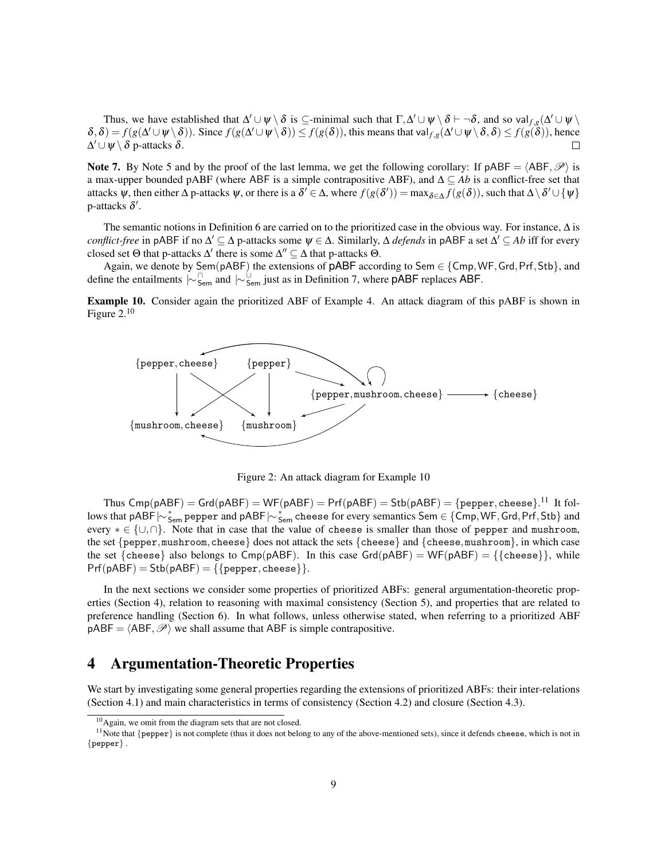Thus, we have established that  $\Delta' \cup \psi \setminus \delta$  is  $\subseteq$ -minimal such that  $\Gamma, \Delta' \cup \psi \setminus \delta \vdash \neg \delta$ , and so val $_{f,g}(\Delta' \cup \psi \setminus \delta')$  $\delta, \delta$ ) =  $f(g(\Delta' \cup \psi \setminus \delta))$ . Since  $f(g(\Delta' \cup \psi \setminus \delta)) \leq f(g(\delta))$ , this means that val $f,g(\Delta' \cup \psi \setminus \delta, \delta) \leq f(g(\delta))$ , hence  $\Delta' \cup \psi \setminus \delta$  p-attacks  $\delta$ .  $\Box$ 

Note 7. By Note 5 and by the proof of the last lemma, we get the following corollary: If pABF =  $\langle ABF, \mathcal{P} \rangle$  is a max-upper bounded pABF (where ABF is a simple contrapositive ABF), and ∆ ⊆ *Ab* is a conflict-free set that attacks  $\psi$ , then either  $\Delta$  p-attacks  $\psi$ , or there is a  $\delta' \in \Delta$ , where  $f(g(\delta')) = \max_{\delta \in \Delta} f(g(\delta))$ , such that  $\Delta \setminus \delta' \cup \{\psi\}$ p-attacks  $\delta'$ .

The semantic notions in Definition 6 are carried on to the prioritized case in the obvious way. For instance, ∆ is *conflict-free* in pABF if no  $\Delta'$   $\subseteq$   $\Delta$  p-attacks some  $\psi$   $\in$   $\Delta$ . Similarly,  $\Delta$  *defends* in pABF a set  $\Delta'$   $\subseteq$  Ab iff for every closed set  $\Theta$  that p-attacks  $\Delta'$  there is some  $\Delta'' \subseteq \Delta$  that p-attacks  $\Theta$ .

Again, we denote by Sem(pABF) the extensions of  $pABF$  according to Sem  $\in \{Cmp, WF, Grd, Prf, Stb\}$ , and define the entailments  $\sim \int_{\text{Sem}}^{\text{On}}$  and  $\sim \int_{\text{Sem}}^{\text{Un}}$  just as in Definition 7, where pABF replaces ABF.

Example 10. Consider again the prioritized ABF of Example 4. An attack diagram of this pABF is shown in Figure 2.<sup>10</sup>



Figure 2: An attack diagram for Example 10

Thus  $\mathsf{Cmp}(\mathsf{pABF}) = \mathsf{Grd}(\mathsf{pABF}) = \mathsf{WF}(\mathsf{pABF}) = \mathsf{Prf}(\mathsf{pABF}) = \mathsf{Stb}(\mathsf{pABF}) = \{\mathsf{pepper}, \mathsf{cheese}\}.^{11}$  It follows that pABF $\sim$ <sub>sem</sub> pepper and pABF $\sim$ <sub>sem</sub> cheese for every semantics Sem ∈ {Cmp,WF, Grd, Prf, Stb} and every  $* \in \{\cup, \cap\}$ . Note that in case that the value of cheese is smaller than those of pepper and mushroom, the set  ${pepper, mustroom, cheese}$  does not attack the sets  ${cheese}$  and  ${cheese, mustroom}$ , in which case the set {cheese} also belongs to Cmp(pABF). In this case Grd(pABF) = WF(pABF) = {{cheese}}, while  $Prf(pABF) = Stb(pABF) = \{\{pepper, cheese\}\}.$ 

In the next sections we consider some properties of prioritized ABFs: general argumentation-theoretic properties (Section 4), relation to reasoning with maximal consistency (Section 5), and properties that are related to preference handling (Section 6). In what follows, unless otherwise stated, when referring to a prioritized ABF  $pABF = \langle ABF, \mathcal{P} \rangle$  we shall assume that ABF is simple contrapositive.

# 4 Argumentation-Theoretic Properties

We start by investigating some general properties regarding the extensions of prioritized ABFs: their inter-relations (Section 4.1) and main characteristics in terms of consistency (Section 4.2) and closure (Section 4.3).

<sup>10</sup>Again, we omit from the diagram sets that are not closed.

<sup>&</sup>lt;sup>11</sup>Note that  ${pepper}$  is not complete (thus it does not belong to any of the above-mentioned sets), since it defends cheese, which is not in  $\left\{\texttt{pepper}\right\}$  .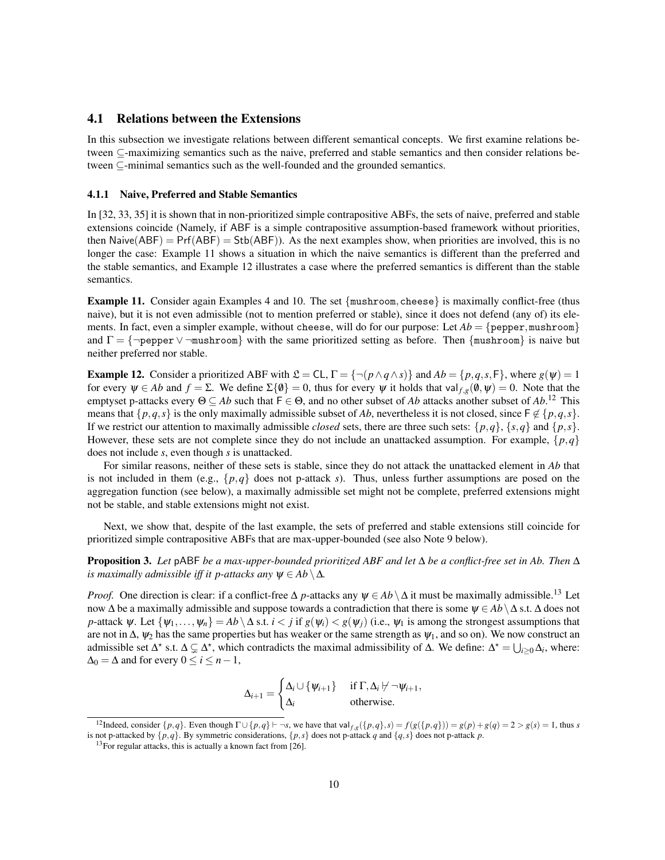### 4.1 Relations between the Extensions

In this subsection we investigate relations between different semantical concepts. We first examine relations between ⊆-maximizing semantics such as the naive, preferred and stable semantics and then consider relations between ⊆-minimal semantics such as the well-founded and the grounded semantics.

#### 4.1.1 Naive, Preferred and Stable Semantics

In [32, 33, 35] it is shown that in non-prioritized simple contrapositive ABFs, the sets of naive, preferred and stable extensions coincide (Namely, if ABF is a simple contrapositive assumption-based framework without priorities, then Naive( $ABF$ ) = Prf( $ABF$ ) = Stb( $ABF$ )). As the next examples show, when priorities are involved, this is no longer the case: Example 11 shows a situation in which the naive semantics is different than the preferred and the stable semantics, and Example 12 illustrates a case where the preferred semantics is different than the stable semantics.

**Example 11.** Consider again Examples 4 and 10. The set  ${mushroom, cheese}$  is maximally conflict-free (thus naive), but it is not even admissible (not to mention preferred or stable), since it does not defend (any of) its elements. In fact, even a simpler example, without cheese, will do for our purpose: Let  $Ab = \{pepper, musthroom\}$ and  $\Gamma = \{\neg \text{pepper} \lor \neg \text{mushroom}\}\$  with the same prioritized setting as before. Then  $\{\text{mushroom}\}\$ is naive but neither preferred nor stable.

**Example 12.** Consider a prioritized ABF with  $\mathcal{L} = CL$ ,  $\Gamma = \{\neg(p \land q \land s)\}\$  and  $Ab = \{p,q,s,\mathsf{F}\}\$ , where  $g(\psi) = 1$ for every  $\psi \in Ab$  and  $f = \Sigma$ . We define  $\Sigma \{\emptyset\} = 0$ , thus for every  $\psi$  it holds that val  $f,g(\emptyset, \psi) = 0$ . Note that the emptyset p-attacks every  $\Theta \subseteq Ab$  such that  $F \in \Theta$ , and no other subset of *Ab* attacks another subset of *Ab*.<sup>12</sup> This means that  $\{p,q,s\}$  is the only maximally admissible subset of *Ab*, nevertheless it is not closed, since  $F \notin \{p,q,s\}$ . If we restrict our attention to maximally admissible *closed* sets, there are three such sets:  $\{p,q\}$ ,  $\{s,q\}$  and  $\{p,s\}$ . However, these sets are not complete since they do not include an unattacked assumption. For example,  $\{p,q\}$ does not include *s*, even though *s* is unattacked.

For similar reasons, neither of these sets is stable, since they do not attack the unattacked element in *Ab* that is not included in them (e.g.,  $\{p,q\}$  does not p-attack *s*). Thus, unless further assumptions are posed on the aggregation function (see below), a maximally admissible set might not be complete, preferred extensions might not be stable, and stable extensions might not exist.

Next, we show that, despite of the last example, the sets of preferred and stable extensions still coincide for prioritized simple contrapositive ABFs that are max-upper-bounded (see also Note 9 below).

Proposition 3. *Let* pABF *be a max-upper-bounded prioritized ABF and let* ∆ *be a conflict-free set in Ab. Then* ∆ *is maximally admissible iff it p-attacks any*  $\psi \in Ab \setminus \Delta$ *.* 

*Proof.* One direction is clear: if a conflict-free  $\Delta$  *p*-attacks any  $\psi \in Ab \setminus \Delta$  it must be maximally admissible.<sup>13</sup> Let now  $\Delta$  be a maximally admissible and suppose towards a contradiction that there is some  $\psi \in Ab \setminus \Delta$  s.t.  $\Delta$  does not *p*-attack  $\psi$ . Let  $\{\psi_1,\ldots,\psi_n\} = Ab \setminus \Delta$  s.t.  $i < j$  if  $g(\psi_i) < g(\psi_j)$  (i.e.,  $\psi_1$  is among the strongest assumptions that are not in  $\Delta$ ,  $\psi_2$  has the same properties but has weaker or the same strength as  $\psi_1$ , and so on). We now construct an admissible set  $\Delta^*$  s.t.  $\Delta \subsetneq \Delta^*$ , which contradicts the maximal admissibility of  $\Delta$ . We define:  $\Delta^* = \bigcup_{i \geq 0} \Delta_i$ , where:  $\Delta_0 = \Delta$  and for every  $0 \le i \le n-1$ ,

$$
\Delta_{i+1} = \begin{cases} \Delta_i \cup \{ \psi_{i+1} \} & \text{if } \Gamma, \Delta_i \not\vdash \neg \psi_{i+1}, \\ \Delta_i & \text{otherwise.} \end{cases}
$$

<sup>&</sup>lt;sup>12</sup>Indeed, consider {p,q}. Even though  $\Gamma \cup \{p,q\}$  +  $\neg s$ , we have that  $\text{val}_{f,g}(\{p,q\},s) = f(g(\{p,q\})) = g(p) + g(q) = 2 > g(s) = 1$ , thus s is not p-attacked by  $\{p,q\}$ . By symmetric considerations,  $\{p,s\}$  does not p-attack *q* and  $\{q,s\}$  does not p-attack *p*.

 $13$  For regular attacks, this is actually a known fact from [26].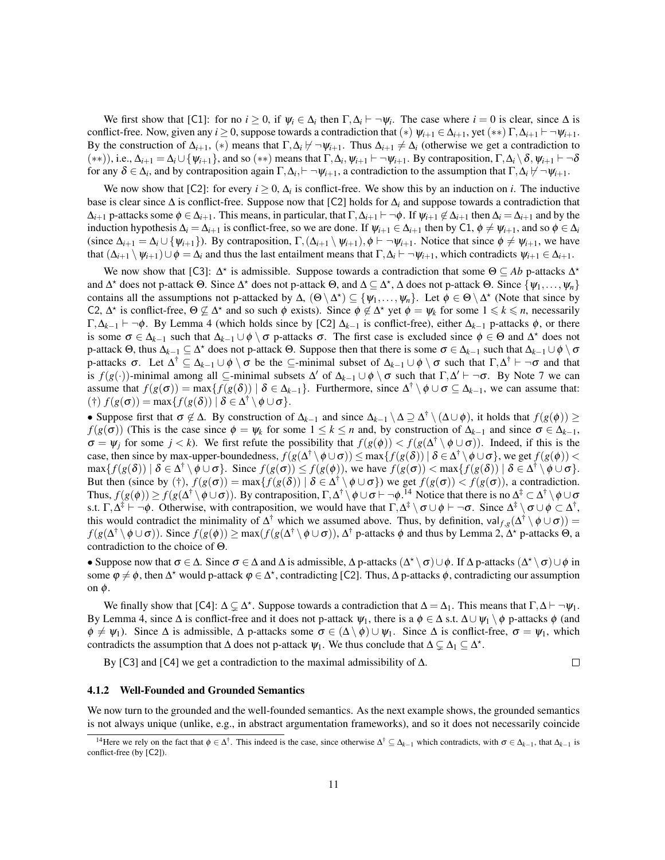We first show that [C1]: for no  $i \ge 0$ , if  $\psi_i \in \Delta_i$  then  $\Gamma, \Delta_i \vdash \neg \psi_i$ . The case where  $i = 0$  is clear, since  $\Delta$  is conflict-free. Now, given any *i*  $\geq 0$ , suppose towards a contradiction that  $(*) \psi_{i+1} \in \Delta_{i+1}$ , yet  $(**)$   $\Gamma, \Delta_{i+1} \vdash \neg \psi_{i+1}$ . By the construction of  $\Delta_{i+1}$ , (\*) means that  $\Gamma, \Delta_i \not\vdash \neg \psi_{i+1}$ . Thus  $\Delta_{i+1} \neq \Delta_i$  (otherwise we get a contradiction to  $(**)$ ), i.e.,  $\Delta_{i+1} = \Delta_i \cup \{\psi_{i+1}\}\$ , and so  $(**)$  means that  $\Gamma, \Delta_i, \psi_{i+1} \vdash \neg \psi_{i+1}$ . By contraposition,  $\Gamma, \Delta_i \setminus \delta, \psi_{i+1} \vdash \neg \delta$ for any  $\delta \in \Delta_i$ , and by contraposition again  $\Gamma, \Delta_i \vdash \neg \psi_{i+1}$ , a contradiction to the assumption that  $\Gamma, \Delta_i \not\vdash \neg \psi_{i+1}$ .

We now show that [C2]: for every  $i \ge 0$ ,  $\Delta_i$  is conflict-free. We show this by an induction on *i*. The inductive base is clear since ∆ is conflict-free. Suppose now that [C2] holds for ∆*<sup>i</sup>* and suppose towards a contradiction that  $\Delta_{i+1}$  p-attacks some  $\phi \in \Delta_{i+1}$ . This means, in particular, that  $\Gamma, \Delta_{i+1} \vdash \neg \phi$ . If  $\psi_{i+1} \notin \Delta_{i+1}$  then  $\Delta_i = \Delta_{i+1}$  and by the induction hypothesis  $\Delta_i = \Delta_{i+1}$  is conflict-free, so we are done. If  $\psi_{i+1} \in \Delta_{i+1}$  then by C1,  $\phi \neq \psi_{i+1}$ , and so  $\phi \in \Delta_i$ (since  $\Delta_{i+1} = \Delta_i \cup \{\psi_{i+1}\}\)$ . By contraposition,  $\Gamma$ ,  $(\Delta_{i+1} \setminus \psi_{i+1}), \phi \vdash \neg \psi_{i+1}$ . Notice that since  $\phi \neq \psi_{i+1}$ , we have that  $(\Delta_{i+1} \setminus \psi_{i+1}) \cup \phi = \Delta_i$  and thus the last entailment means that  $\Gamma, \Delta_i \vdash \neg \psi_{i+1}$ , which contradicts  $\psi_{i+1} \in \Delta_{i+1}$ .

We now show that [C3]:  $\Delta^*$  is admissible. Suppose towards a contradiction that some  $\Theta \subseteq Ab$  p-attacks  $\Delta^*$ and  $\Delta^*$  does not p-attack  $\Theta$ . Since  $\Delta^*$  does not p-attack  $\Theta$ , and  $\Delta \subseteq \Delta^*$ ,  $\Delta$  does not p-attack  $\Theta$ . Since  $\{\psi_1,\ldots,\psi_n\}$ contains all the assumptions not p-attacked by  $\Delta$ ,  $(\Theta \setminus \Delta^*) \subseteq {\psi_1, \ldots, \psi_n}$ . Let  $\phi \in \Theta \setminus \Delta^*$  (Note that since by C2,  $\Delta^*$  is conflict-free,  $\Theta \not\subseteq \Delta^*$  and so such  $\phi$  exists). Since  $\phi \not\in \Delta^*$  yet  $\phi = \psi_k$  for some  $1 \leq k \leq n$ , necessarily Γ,  $\Delta_{k-1}$   $\vdash$   $\neg$ φ. By Lemma 4 (which holds since by [C2]  $\Delta_{k-1}$  is conflict-free), either  $\Delta_{k-1}$  p-attacks φ, or there is some  $\sigma \in \Delta_{k-1}$  such that  $\Delta_{k-1} \cup \phi \setminus \sigma$  p-attacks  $\sigma$ . The first case is excluded since  $\phi \in \Theta$  and  $\Delta^*$  does not  $p$ -attack Θ, thus  $\Delta_{k-1}$  ⊆  $\Delta^*$  does not p-attack Θ. Suppose then that there is some  $σ ∈ \Delta_{k-1}$  such that  $\Delta_{k-1} ∪ φ ∖ σ$ p-attacks  $\sigma$ . Let  $\Delta^{\dagger} \subseteq \Delta_{k-1} \cup \phi \setminus \sigma$  be the  $\subseteq$ -minimal subset of  $\Delta_{k-1} \cup \phi \setminus \sigma$  such that  $\Gamma, \Delta^{\dagger} \vdash \neg \sigma$  and that is  $f(g(\cdot))$ -minimal among all  $\subseteq$ -minimal subsets  $\Delta'$  of  $\Delta_{k-1} \cup \phi \setminus \sigma$  such that  $\Gamma, \Delta' \vdash \neg \sigma$ . By Note 7 we can assume that  $f(g(\sigma)) = \max\{f(g(\delta)) \mid \delta \in \Delta_{k-1}\}\$ . Furthermore, since  $\Delta^{\dagger} \setminus \phi \cup \sigma \subseteq \Delta_{k-1}$ , we can assume that: (†)  $f(g(\sigma)) = \max\{f(g(\delta)) \mid \delta \in \Delta^{\dagger} \setminus \phi \cup \sigma\}.$ 

• Suppose first that  $\sigma \notin \Delta$ . By construction of  $\Delta_{k-1}$  and since  $\Delta_{k-1} \setminus \Delta \supseteq \Delta^{\dagger} \setminus (\Delta \cup \phi)$ , it holds that  $f(g(\phi)) \ge$  $f(g(\sigma))$  (This is the case since  $\phi = \psi_k$  for some  $1 \leq k \leq n$  and, by construction of  $\Delta_{k-1}$  and since  $\sigma \in \Delta_{k-1}$ ,  $\sigma = \psi_j$  for some  $j < k$ ). We first refute the possibility that  $f(g(\phi)) < f(g(\Delta^{\dagger} \setminus \phi \cup \sigma))$ . Indeed, if this is the case, then since by max-upper-boundedness,  $f(g(\Delta^{\dagger} \setminus \phi \cup \sigma)) \leq \max\{f(g(\delta)) \mid \delta \in \Delta^{\dagger} \setminus \phi \cup \sigma\}$ , we get  $f(g(\phi)) <$  $\max\{f(g(\delta)) \mid \delta \in \Delta^{\dagger} \setminus \phi \cup \sigma\}$ . Since  $f(g(\sigma)) \leq f(g(\phi))$ , we have  $f(g(\sigma)) < \max\{f(g(\delta)) \mid \delta \in \Delta^{\dagger} \setminus \phi \cup \sigma\}$ . But then (since by (†),  $f(g(\sigma)) = \max\{f(g(\delta)) \mid \delta \in \Delta^{\dagger} \setminus \phi \cup \sigma\}$ ) we get  $f(g(\sigma)) < f(g(\sigma))$ , a contradiction. Thus,  $f(g(\phi)) \ge f(g(\Delta^{\dagger} \setminus \phi \cup \sigma))$ . By contraposition,  $\Gamma, \Delta^{\dagger} \setminus \phi \cup \sigma \vdash \neg \phi$ .<sup>14</sup> Notice that there is no  $\Delta^{\ddagger} \subset \Delta^{\dagger} \setminus \phi \cup \sigma$ s.t.  $\Gamma, \Delta^{\ddagger} \vdash \neg \phi$ . Otherwise, with contraposition, we would have that  $\Gamma, \Delta^{\ddagger} \setminus \sigma \cup \phi \vdash \neg \sigma$ . Since  $\Delta^{\ddagger} \setminus \sigma \cup \phi \subset \Delta^{\dagger}$ , this would contradict the minimality of  $\Delta^{\dagger}$  which we assumed above. Thus, by definition, val $f,g(\Delta^{\dagger} \setminus \phi \cup \sigma)$  $f(g(\Delta^{\dagger} \setminus \phi \cup \sigma))$ . Since  $f(g(\phi)) \ge \max(f(g(\Delta^{\dagger} \setminus \phi \cup \sigma))$ ,  $\Delta^{\dagger}$  p-attacks  $\phi$  and thus by Lemma 2,  $\Delta^{\star}$  p-attacks  $\Theta$ , a contradiction to the choice of Θ.

• Suppose now that  $\sigma \in \Delta$ . Since  $\sigma \in \Delta$  and  $\Delta$  is admissible,  $\Delta$  p-attacks  $(\Delta^{\star} \setminus \sigma) \cup \phi$ . If  $\Delta$  p-attacks  $(\Delta^{\star} \setminus \sigma) \cup \phi$  in some  $\varphi \neq \varphi$ , then  $\Delta^*$  would p-attack  $\varphi \in \Delta^*$ , contradicting [C2]. Thus,  $\Delta$  p-attacks  $\varphi$ , contradicting our assumption on  $φ$ .

We finally show that [C4]:  $\Delta \subsetneq \Delta^*$ . Suppose towards a contradiction that  $\Delta = \Delta_1$ . This means that  $\Gamma, \Delta \vdash \neg \psi_1$ . By Lemma 4, since  $\Delta$  is conflict-free and it does not p-attack  $\psi_1$ , there is a  $\phi \in \Delta$  s.t.  $\Delta \cup \psi_1 \setminus \phi$  p-attacks  $\phi$  (and  $\phi \neq \psi_1$ ). Since  $\Delta$  is admissible,  $\Delta$  p-attacks some  $\sigma \in (\Delta \setminus \phi) \cup \psi_1$ . Since  $\Delta$  is conflict-free,  $\sigma = \psi_1$ , which contradicts the assumption that  $\Delta$  does not p-attack  $\psi_1$ . We thus conclude that  $\Delta \subsetneq \Delta_1 \subseteq \Delta^*$ .

By [C3] and [C4] we get a contradiction to the maximal admissibility of ∆.

 $\Box$ 

#### 4.1.2 Well-Founded and Grounded Semantics

We now turn to the grounded and the well-founded semantics. As the next example shows, the grounded semantics is not always unique (unlike, e.g., in abstract argumentation frameworks), and so it does not necessarily coincide

<sup>&</sup>lt;sup>14</sup>Here we rely on the fact that  $\phi \in \Delta^{\dagger}$ . This indeed is the case, since otherwise  $\Delta^{\dagger} \subseteq \Delta_{k-1}$  which contradicts, with  $\sigma \in \Delta_{k-1}$ , that  $\Delta_{k-1}$  is conflict-free (by [C2]).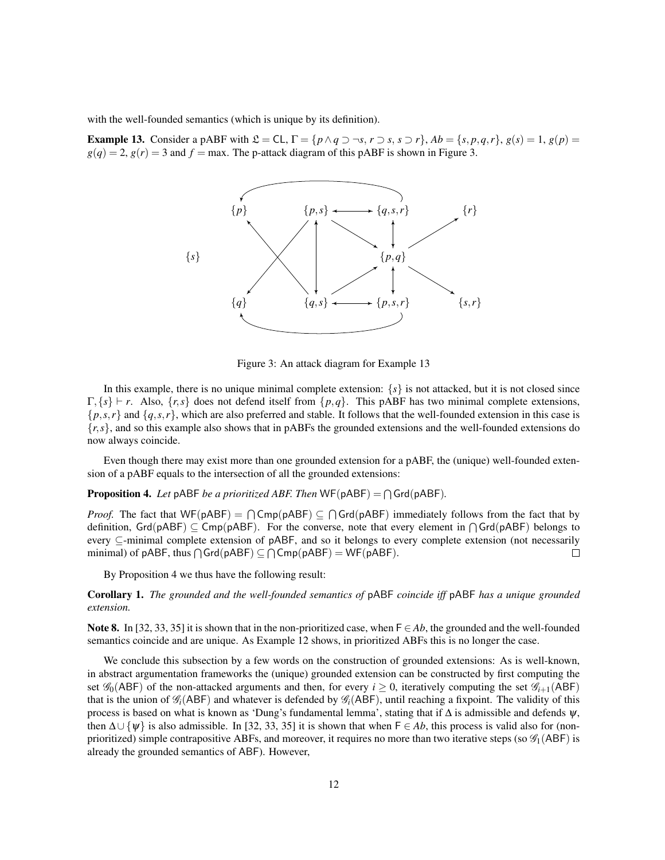with the well-founded semantics (which is unique by its definition).

**Example 13.** Consider a pABF with  $\mathcal{L} = CL$ ,  $\Gamma = \{p \land q \supset \neg s, r \supset s, s \supset r\}$ ,  $Ab = \{s, p, q, r\}$ ,  $g(s) = 1$ ,  $g(p) = 1$  $g(q) = 2$ ,  $g(r) = 3$  and  $f = \max$ . The p-attack diagram of this pABF is shown in Figure 3.



Figure 3: An attack diagram for Example 13

In this example, there is no unique minimal complete extension:  $\{s\}$  is not attacked, but it is not closed since  $\Gamma$ ,  $\{s\}$   $\vdash$  *r*. Also,  $\{r,s\}$  does not defend itself from  $\{p,q\}$ . This pABF has two minimal complete extensions,  $\{p, s, r\}$  and  $\{q, s, r\}$ , which are also preferred and stable. It follows that the well-founded extension in this case is {*r*,*s*}, and so this example also shows that in pABFs the grounded extensions and the well-founded extensions do now always coincide.

Even though there may exist more than one grounded extension for a pABF, the (unique) well-founded extension of a pABF equals to the intersection of all the grounded extensions:

**Proposition 4.** Let pABF be a prioritized ABF. Then  $WF(pABF) = \bigcap Grd(pABF)$ .

*Proof.* The fact that  $WF(pABF) = \bigcap Comp(pABF) \subseteq \bigcap Grd(pABF)$  immediately follows from the fact that by definition,  $Grd(pABF) \subseteq Comp(pABF)$ . For the converse, note that every element in  $\bigcap Grd(pABF)$  belongs to every ⊆-minimal complete extension of pABF, and so it belongs to every complete extension (not necessarily minimal) of pABF, thus  $\bigcap \mathsf{Grd}(pABF) \subseteq \bigcap \mathsf{Cmp}(pABF) = \mathsf{WF}(pABF)$ .  $\Box$ 

By Proposition 4 we thus have the following result:

Corollary 1. *The grounded and the well-founded semantics of* pABF *coincide iff* pABF *has a unique grounded extension.*

Note 8. In [32, 33, 35] it is shown that in the non-prioritized case, when  $F \in Ab$ , the grounded and the well-founded semantics coincide and are unique. As Example 12 shows, in prioritized ABFs this is no longer the case.

We conclude this subsection by a few words on the construction of grounded extensions: As is well-known, in abstract argumentation frameworks the (unique) grounded extension can be constructed by first computing the set  $\mathscr{G}_0$ (ABF) of the non-attacked arguments and then, for every  $i \geq 0$ , iteratively computing the set  $\mathscr{G}_{i+1}$ (ABF) that is the union of  $\mathcal{G}_i$ (ABF) and whatever is defended by  $\mathcal{G}_i$ (ABF), until reaching a fixpoint. The validity of this process is based on what is known as 'Dung's fundamental lemma', stating that if  $\Delta$  is admissible and defends  $\psi$ , then  $\Delta \cup \{\psi\}$  is also admissible. In [32, 33, 35] it is shown that when  $\mathsf{F} \in Ab$ , this process is valid also for (nonprioritized) simple contrapositive ABFs, and moreover, it requires no more than two iterative steps (so  $\mathscr{G}_1(ABF)$  is already the grounded semantics of ABF). However,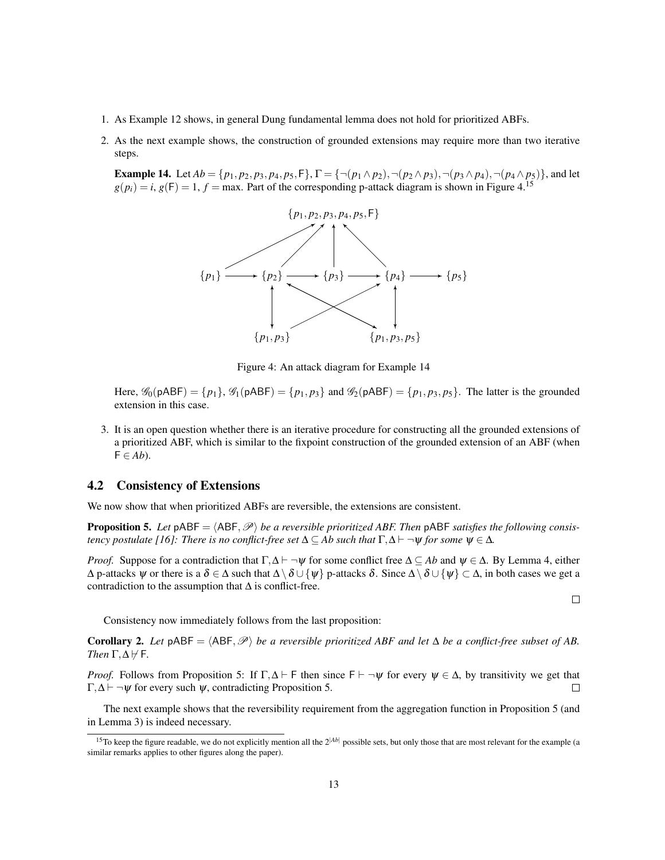- 1. As Example 12 shows, in general Dung fundamental lemma does not hold for prioritized ABFs.
- 2. As the next example shows, the construction of grounded extensions may require more than two iterative steps.

**Example 14.** Let  $Ab = \{p_1, p_2, p_3, p_4, p_5, F\}$ ,  $\Gamma = \{\neg(p_1 \land p_2), \neg(p_2 \land p_3), \neg(p_3 \land p_4), \neg(p_4 \land p_5)\}$ , and let  $g(p_i) = i$ ,  $g(F) = 1$ ,  $f = \max$ . Part of the corresponding p-attack diagram is shown in Figure 4.<sup>15</sup>



Figure 4: An attack diagram for Example 14

Here,  $\mathscr{G}_0(pABF) = \{p_1\}$ ,  $\mathscr{G}_1(pABF) = \{p_1, p_3\}$  and  $\mathscr{G}_2(pABF) = \{p_1, p_3, p_5\}$ . The latter is the grounded extension in this case.

3. It is an open question whether there is an iterative procedure for constructing all the grounded extensions of a prioritized ABF, which is similar to the fixpoint construction of the grounded extension of an ABF (when  $F \in Ab$ ).

### 4.2 Consistency of Extensions

We now show that when prioritized ABFs are reversible, the extensions are consistent.

**Proposition 5.** Let  $\beta$ ABF =  $\langle ABF, \mathcal{P} \rangle$  *be a reversible prioritized ABF. Then*  $\beta$ ABF *satisfies the following consistency postulate [16]: There is no conflict-free set*  $\Delta \subseteq Ab$  *such that*  $\Gamma, \Delta \vdash \neg \Psi$  *for some*  $\Psi \in \Delta$ *.* 

*Proof.* Suppose for a contradiction that  $\Gamma, \Delta \vdash \neg \psi$  for some conflict free  $\Delta \subseteq Ab$  and  $\psi \in \Delta$ . By Lemma 4, either  $\Delta$  p-attacks  $\psi$  or there is a  $\delta \in \Delta$  such that  $\Delta \setminus \delta \cup \{\psi\}$  p-attacks  $\delta$ . Since  $\Delta \setminus \delta \cup \{\psi\} \subset \Delta$ , in both cases we get a contradiction to the assumption that  $\Delta$  is conflict-free.

 $\Box$ 

Consistency now immediately follows from the last proposition:

**Corollary 2.** Let  $pABF = \langle ABF, \mathcal{P} \rangle$  *be a reversible prioritized ABF and let*  $\Delta$  *be a conflict-free subset of AB. Then*  $\Gamma, \Delta \nvdash F$ *.* 

*Proof.* Follows from Proposition 5: If  $\Gamma, \Delta \vdash F$  then since  $F \vdash \neg \psi$  for every  $\psi \in \Delta$ , by transitivity we get that  $\Gamma$ ,  $\Delta$   $\vdash$   $\neg$   $\psi$  for every such  $\psi$ , contradicting Proposition 5.  $\Box$ 

The next example shows that the reversibility requirement from the aggregation function in Proposition 5 (and in Lemma 3) is indeed necessary.

<sup>&</sup>lt;sup>15</sup>To keep the figure readable, we do not explicitly mention all the  $2^{|Ab|}$  possible sets, but only those that are most relevant for the example (a similar remarks applies to other figures along the paper).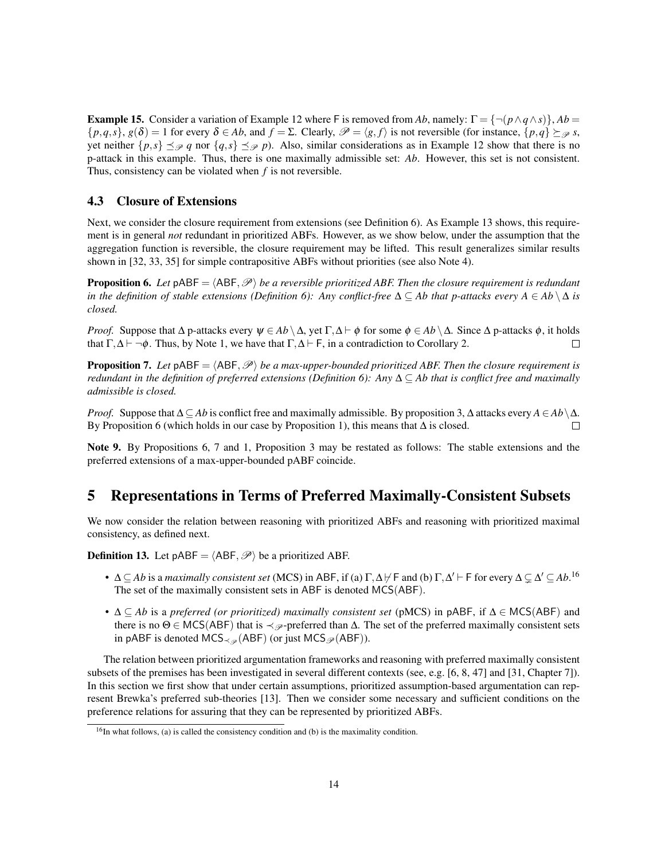**Example 15.** Consider a variation of Example 12 where F is removed from *Ab*, namely:  $\Gamma = \{\neg (p \land q \land s)\}\$ ,  $Ab =$  $\{p,q,s\}, g(\delta) = 1$  for every  $\delta \in Ab$ , and  $f = \Sigma$ . Clearly,  $\mathcal{P} = \langle g,f \rangle$  is not reversible (for instance,  $\{p,q\} \succeq_{\mathcal{P}} s$ , yet neither  $\{p, s\} \prec_{\mathcal{P}} q$  nor  $\{q, s\} \prec_{\mathcal{P}} p$ ). Also, similar considerations as in Example 12 show that there is no p-attack in this example. Thus, there is one maximally admissible set: *Ab*. However, this set is not consistent. Thus, consistency can be violated when *f* is not reversible.

### 4.3 Closure of Extensions

Next, we consider the closure requirement from extensions (see Definition 6). As Example 13 shows, this requirement is in general *not* redundant in prioritized ABFs. However, as we show below, under the assumption that the aggregation function is reversible, the closure requirement may be lifted. This result generalizes similar results shown in [32, 33, 35] for simple contrapositive ABFs without priorities (see also Note 4).

**Proposition 6.** Let  $pABF = \langle ABF, \mathcal{P} \rangle$  *be a reversible prioritized ABF. Then the closure requirement is redundant in the definition of stable extensions (Definition 6): Any conflict-free*  $\Delta \subseteq Ab$  *that p-attacks every*  $A \in Ab \setminus \Delta$  *is closed.*

*Proof.* Suppose that  $\Delta$  p-attacks every  $\psi \in Ab \setminus \Delta$ , yet  $\Gamma, \Delta \vdash \phi$  for some  $\phi \in Ab \setminus \Delta$ . Since  $\Delta$  p-attacks  $\phi$ , it holds that  $\Gamma, \Delta \vdash \neg \phi$ . Thus, by Note 1, we have that  $\Gamma, \Delta \vdash F$ , in a contradiction to Corollary 2. П

**Proposition 7.** Let  $pABF = \langle ABF, \mathcal{P} \rangle$  *be a max-upper-bounded prioritized ABF. Then the closure requirement is redundant in the definition of preferred extensions (Definition 6): Any* ∆ ⊆ *Ab that is conflict free and maximally admissible is closed.*

*Proof.* Suppose that  $\Delta \subseteq Ab$  is conflict free and maximally admissible. By proposition 3,  $\Delta$  attacks every  $A \in Ab \setminus \Delta$ . By Proposition 6 (which holds in our case by Proposition 1), this means that  $\Delta$  is closed. П

Note 9. By Propositions 6, 7 and 1, Proposition 3 may be restated as follows: The stable extensions and the preferred extensions of a max-upper-bounded pABF coincide.

# 5 Representations in Terms of Preferred Maximally-Consistent Subsets

We now consider the relation between reasoning with prioritized ABFs and reasoning with prioritized maximal consistency, as defined next.

**Definition 13.** Let pABF =  $\langle ABF, \mathcal{P} \rangle$  be a prioritized ABF.

- $\Delta \subseteq Ab$  is a *maximally consistent set* (MCS) in ABF, if (a)  $\Gamma, \Delta \nvdash F$  and (b)  $\Gamma, \Delta' \vdash F$  for every  $\Delta \subsetneq \Delta' \subseteq Ab$ .<sup>16</sup> The set of the maximally consistent sets in ABF is denoted MCS(ABF).
- ∆ ⊆ *Ab* is a *preferred (or prioritized) maximally consistent set* (pMCS) in pABF, if ∆ ∈ MCS(ABF) and there is no  $\Theta \in \text{MCS}(ABF)$  that is  $\prec_{\mathscr{P}}$ -preferred than  $\Delta$ . The set of the preferred maximally consistent sets in pABF is denoted MCS $_{\prec_{\mathscr{P}}}(ABF)$  (or just MCS $_{\mathscr{P}}(ABF)$ ).

The relation between prioritized argumentation frameworks and reasoning with preferred maximally consistent subsets of the premises has been investigated in several different contexts (see, e.g. [6, 8, 47] and [31, Chapter 7]). In this section we first show that under certain assumptions, prioritized assumption-based argumentation can represent Brewka's preferred sub-theories [13]. Then we consider some necessary and sufficient conditions on the preference relations for assuring that they can be represented by prioritized ABFs.

 $16$ In what follows, (a) is called the consistency condition and (b) is the maximality condition.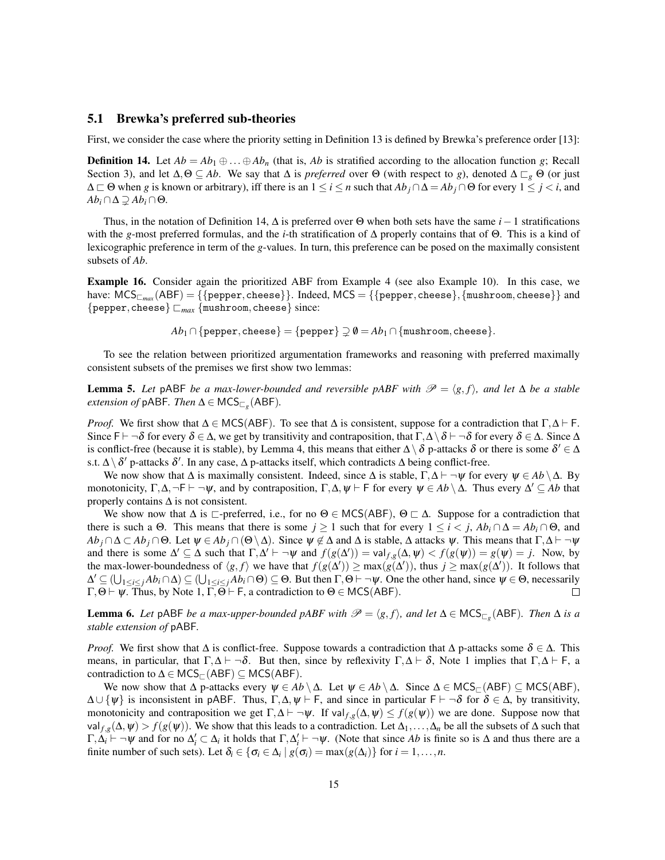#### 5.1 Brewka's preferred sub-theories

First, we consider the case where the priority setting in Definition 13 is defined by Brewka's preference order [13]:

**Definition 14.** Let  $Ab = Ab_1 \oplus ... \oplus Ab_n$  (that is, *Ab* is stratified according to the allocation function *g*; Recall Section 3), and let  $\Delta, \Theta \subseteq Ab$ . We say that  $\Delta$  is *preferred* over  $\Theta$  (with respect to *g*), denoted  $\Delta \sqsubset_{g} \Theta$  (or just  $\Delta \subset \Theta$  when *g* is known or arbitrary), iff there is an  $1 \le i \le n$  such that  $Ab_j \cap \Delta = Ab_j \cap \Theta$  for every  $1 \le j \le i$ , and  $Ab_i \cap \Delta \supseteq Ab_i \cap \Theta$ .

Thus, in the notation of Definition 14, ∆ is preferred over Θ when both sets have the same *i*−1 stratifications with the *g*-most preferred formulas, and the *i*-th stratification of ∆ properly contains that of Θ. This is a kind of lexicographic preference in term of the *g*-values. In turn, this preference can be posed on the maximally consistent subsets of *Ab*.

Example 16. Consider again the prioritized ABF from Example 4 (see also Example 10). In this case, we have:  $MCS_{\square_{max}}(ABF) = \{\{pepper, cheese\}\}\$ . Indeed,  $MCS = \{\{pepper, cheese\}, \{mushroom, cheese\}\}\$ and {pepper,cheese} @*max* {mushroom,cheese} since:

 $Ab_1 \cap \{\text{pepper}, \text{cheese}\} = \{\text{pepper}\} \supseteq \emptyset = Ab_1 \cap \{\text{mushroom}, \text{cheese}\}.$ 

To see the relation between prioritized argumentation frameworks and reasoning with preferred maximally consistent subsets of the premises we first show two lemmas:

**Lemma 5.** Let pABF *be a max-lower-bounded and reversible pABF with*  $\mathcal{P} = \langle g, f \rangle$ *, and let*  $\Delta$  *be a stable*  $extension of pABF$ . Then  $\Delta \in \mathsf{MCS}_{\Box_g}(\mathsf{ABF})$ .

*Proof.* We first show that  $\Delta \in \text{MCS}(ABF)$ . To see that  $\Delta$  is consistent, suppose for a contradiction that  $\Gamma, \Delta \vdash F$ . Since F  $\vdash \neg \delta$  for every  $\delta \in \Delta$ , we get by transitivity and contraposition, that  $\Gamma, \Delta \setminus \delta \vdash \neg \delta$  for every  $\delta \in \Delta$ . Since  $\Delta$ is conflict-free (because it is stable), by Lemma 4, this means that either  $\Delta \setminus \delta$  p-attacks  $\delta$  or there is some  $\delta' \in \Delta$ s.t.  $\Delta \setminus \delta'$  p-attacks  $\delta'$ . In any case,  $\Delta$  p-attacks itself, which contradicts  $\Delta$  being conflict-free.

We now show that  $\Delta$  is maximally consistent. Indeed, since  $\Delta$  is stable,  $\Gamma, \Delta \vdash \neg \psi$  for every  $\psi \in Ab \setminus \Delta$ . By monotonicity,  $\Gamma, \Delta, \neg \Gamma \vdash \neg \psi$ , and by contraposition,  $\Gamma, \Delta, \psi \vdash \Gamma$  for every  $\psi \in Ab \setminus \Delta$ . Thus every  $\Delta' \subseteq Ab$  that properly contains  $\Delta$  is not consistent.

We show now that  $\Delta$  is  $\Box$ -preferred, i.e., for no  $\Theta \in \text{MCS}(ABF)$ ,  $\Theta \Box \Delta$ . Suppose for a contradiction that there is such a  $\Theta$ . This means that there is some  $j \ge 1$  such that for every  $1 \le i \le j$ ,  $Ab_i \cap \Delta = Ab_i \cap \Theta$ , and  $Ab_j \cap \Delta \subset Ab_j \cap \Theta$ . Let  $\psi \in Ab_j \cap (\Theta \setminus \Delta)$ . Since  $\psi \notin \Delta$  and  $\Delta$  is stable,  $\Delta$  attacks  $\psi$ . This means that  $\Gamma, \Delta \vdash \neg \psi$ and there is some  $\Delta' \subseteq \Delta$  such that  $\Gamma, \Delta' \vdash \neg \psi$  and  $f(g(\Delta')) = \text{val}_{f,g}(\Delta, \psi) < f(g(\psi)) = g(\psi) = j$ . Now, by the max-lower-boundedness of  $\langle g, f \rangle$  we have that  $f(g(\Delta')) \ge \max(g(\Delta'))$ , thus  $j \ge \max(g(\Delta'))$ . It follows that  $\Delta' \subseteq (\bigcup_{1 \leq i \leq j} Ab_i \cap \Delta) \subseteq (\bigcup_{1 \leq i \leq j} Ab_i \cap \Theta) \subseteq \Theta$ . But then  $\Gamma, \Theta \vdash \neg \psi$ . One the other hand, since  $\psi \in \Theta$ , necessarily  $\Gamma$ ,  $\Theta \vdash \psi$ . Thus, by Note 1,  $\overline{\Gamma}$ ,  $\overline{\Theta}$   $\vdash$  F, a contradiction to  $\Theta \in \text{MCS}(ABF)$ .  $\Box$ 

**Lemma 6.** Let pABF *be a max-upper-bounded pABF with*  $\mathscr{P} = \langle g, f \rangle$ , and let  $\Delta \in \mathsf{MCS}_{\Box_g}(\mathsf{ABF})$ . Then  $\Delta$  is a *stable extension of* pABF*.*

*Proof.* We first show that  $\Delta$  is conflict-free. Suppose towards a contradiction that  $\Delta$  p-attacks some  $\delta \in \Delta$ . This means, in particular, that  $\Gamma, \Delta \vdash \neg \delta$ . But then, since by reflexivity  $\Gamma, \Delta \vdash \delta$ , Note 1 implies that  $\Gamma, \Delta \vdash F$ , a contradiction to  $\Delta \in \mathsf{MCS}_{\sqsubset}(\mathsf{ABF}) \subseteq \mathsf{MCS}(\mathsf{ABF}).$ 

We now show that  $\Delta$  p-attacks every  $\psi \in Ab \setminus \Delta$ . Let  $\psi \in Ab \setminus \Delta$ . Since  $\Delta \in \text{MCS}_{\Box}(\text{ABF}) \subseteq \text{MCS}(\text{ABF})$ ,  $\Delta \cup {\psi}$  is inconsistent in pABF. Thus,  $\Gamma, \Delta, \psi \vdash F$ , and since in particular  $F \vdash \neg \delta$  for  $\delta \in \Delta$ , by transitivity, monotonicity and contraposition we get  $\Gamma$ , $\Delta \vdash \neg \psi$ . If val  $f,g(\Delta,\psi) \leq f(g(\psi))$  we are done. Suppose now that val  $f,g(\Delta, \psi) > f(g(\psi))$ . We show that this leads to a contradiction. Let  $\Delta_1, \ldots, \Delta_n$  be all the subsets of  $\Delta$  such that  $\Gamma, \Delta_i \vdash \neg \psi$  and for no  $\Delta_i' \subset \Delta_i$  it holds that  $\Gamma, \Delta_i' \vdash \neg \psi$ . (Note that since *Ab* is finite so is  $\Delta$  and thus there are a finite number of such sets). Let  $\delta_i \in \{\sigma_i \in \Delta_i \mid g(\sigma_i) = \max(g(\Delta_i))\}$  for  $i = 1, ..., n$ .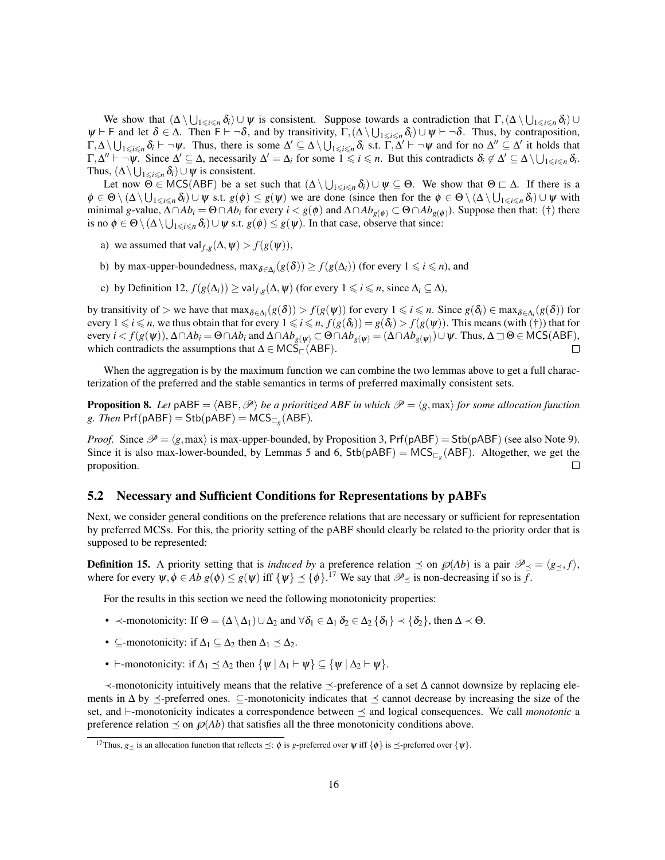We show that  $(\Delta \setminus \bigcup_{1 \leq i \leq n} \delta_i) \cup \psi$  is consistent. Suppose towards a contradiction that  $\Gamma$ ,  $(\Delta \setminus \bigcup_{1 \leq i \leq n} \delta_i) \cup$  $\psi \vdash F$  and let  $\delta \in \Delta$ . Then  $F \vdash \neg \delta$ , and by transitivity,  $\Gamma$ ,  $(\Delta \setminus \bigcup_{1 \leq i \leq n} \delta_i) \cup \psi \vdash \neg \delta$ . Thus, by contraposition,  $\Gamma, \Delta \setminus \bigcup_{1 \leq i \leq n} \delta_i \vdash \neg \psi$ . Thus, there is some  $\Delta' \subseteq \Delta \setminus \bigcup_{1 \leq i \leq n} \delta_i$  s.t.  $\Gamma, \Delta' \vdash \neg \psi$  and for no  $\Delta'' \subseteq \Delta'$  it holds that  $\Gamma, \Delta'' \vdash \neg \psi$ . Since  $\Delta' \subseteq \Delta$ , necessarily  $\Delta' = \Delta_i$  for some  $1 \leq i \leq n$ . But this contradicts  $\delta_i \notin \Delta' \subseteq \Delta \setminus \bigcup_{1 \leq i \leq n} \delta_i$ . Thus,  $(\Delta \setminus \bigcup_{1 \leq i \leq n} \delta_i) \cup \psi$  is consistent.

Let now  $\Theta \in \text{MCS}(ABF)$  be a set such that  $(\Delta \setminus \bigcup_{1 \leq i \leq n} \delta_i) \cup \psi \subseteq \Theta$ . We show that  $\Theta \subset \Delta$ . If there is a  $\phi \in \Theta \setminus (\Delta \setminus \bigcup_{1 \leq i \leq n} \delta_i) \cup \psi$  s.t.  $g(\phi) \leq g(\psi)$  we are done (since then for the  $\phi \in \Theta \setminus (\Delta \setminus \bigcup_{1 \leq i \leq n} \delta_i) \cup \psi$  with minimal *g*-value,  $Δ∩Ab$ *i* = Θ∩*Ab<sub>i</sub>* for every  $i < g(φ)$  and  $Δ∩Ab$ <sub>*g*( $φ)$ </sub> ⊂ Θ∩*Ab*<sub>*g*( $φ)$ </sub>). Suppose then that: (†) there is no  $\phi \in \Theta \setminus (\Delta \setminus \bigcup_{1 \leq i \leq n} \delta_i) \cup \psi$  s.t.  $g(\phi) \leq g(\psi)$ . In that case, observe that since:

- a) we assumed that val  $f_{,g}(\Delta, \psi) > f(g(\psi))$ ,
- b) by max-upper-boundedness,  $\max_{\delta \in \Delta_i} (g(\delta)) \ge f(g(\Delta_i))$  (for every  $1 \leq i \leq n$ ), and
- c) by Definition 12,  $f(g(\Delta_i)) \ge \text{val}_{f,g}(\Delta, \psi)$  (for every  $1 \le i \le n$ , since  $\Delta_i \subseteq \Delta$ ),

by transitivity of > we have that  $\max_{\delta \in \Delta_i} (g(\delta)) > f(g(\psi))$  for every  $1 \leq i \leq n$ . Since  $g(\delta_i) \in \max_{\delta \in \Delta_i} (g(\delta))$  for every  $1 \le i \le n$ , we thus obtain that for every  $1 \le i \le n$ ,  $f(g(\delta_i)) = g(\delta_i) > f(g(\psi))$ . This means (with (†)) that for  $\text{every } i < f(g(\psi))$ ,  $\Delta \cap Ab_i = \Theta \cap Ab_i$  and  $\Delta \cap Ab_{g(\psi)} \subset \Theta \cap Ab_{g(\psi)} = (\Delta \cap Ab_{g(\psi)}) \cup \psi$ . Thus,  $\Delta \sqsupset \Theta \in \text{MCS}(ABF)$ , which contradicts the assumptions that  $\Delta \in \mathsf{MCS}_{\square}(\mathsf{ABF}).$  $\Box$ 

When the aggregation is by the maximum function we can combine the two lemmas above to get a full characterization of the preferred and the stable semantics in terms of preferred maximally consistent sets.

**Proposition 8.** Let  $pABF = \langle ABF, \mathcal{P} \rangle$  *be a prioritized ABF in which*  $\mathcal{P} = \langle g, \max \rangle$  *for some allocation function g.* Then  $Prf(pABF) = Stb(pABF) = MCS_{\sqsubset_g}(ABF)$ .

*Proof.* Since  $\mathcal{P} = \langle g, \text{max} \rangle$  is max-upper-bounded, by Proposition 3, Prf(pABF) = Stb(pABF) (see also Note 9). Since it is also max-lower-bounded, by Lemmas 5 and 6,  $Stb(pABF) = MCS_{\Box_g}(ABF)$ . Altogether, we get the proposition. П

### 5.2 Necessary and Sufficient Conditions for Representations by pABFs

Next, we consider general conditions on the preference relations that are necessary or sufficient for representation by preferred MCSs. For this, the priority setting of the pABF should clearly be related to the priority order that is supposed to be represented:

**Definition 15.** A priority setting that is *induced by* a preference relation  $\preceq$  on  $\mathcal{P}(Ab)$  is a pair  $\mathcal{P}_{\preceq} = \langle g_{\preceq}, f \rangle$ , where for every  $\psi, \phi \in Ab \ g(\phi) \leq g(\psi)$  iff  $\{\psi\} \preceq \{\phi\}.$ <sup>17</sup> We say that  $\mathcal{P}_{\preceq}$  is non-decreasing if so is  $\overline{f}$ .

For the results in this section we need the following monotonicity properties:

- $\prec$ -monotonicity: If  $\Theta = (\Delta \setminus \Delta_1) \cup \Delta_2$  and  $\forall \delta_1 \in \Delta_1 \delta_2 \in \Delta_2 \{\delta_1\} \prec \{\delta_2\}$ , then  $\Delta \prec \Theta$ .
- ⊆-monotonicity: if  $\Delta_1 \subseteq \Delta_2$  then  $\Delta_1 \preceq \Delta_2$ .
- $\vdash$ -monotonicity: if  $\Delta_1 \preceq \Delta_2$  then  $\{\psi \mid \Delta_1 \vdash \psi\} \subseteq \{\psi \mid \Delta_2 \vdash \psi\}.$

 $\prec$ -monotonicity intuitively means that the relative  $\preceq$ -preference of a set Δ cannot downsize by replacing elements in  $\Delta$  by  $\preceq$ -preferred ones. ⊆-monotonicity indicates that  $\preceq$  cannot decrease by increasing the size of the set, and  $\vdash$ -monotonicity indicates a correspondence between  $\preceq$  and logical consequences. We call *monotonic* a preference relation  $\leq$  on  $\mathcal{P}(Ab)$  that satisfies all the three monotonicity conditions above.

<sup>&</sup>lt;sup>17</sup>Thus, *g* is an allocation function that reflects  $\preceq$ :  $\phi$  is *g*-preferred over  $\psi$  iff  $\{\phi\}$  is  $\preceq$ -preferred over  $\{\psi\}$ .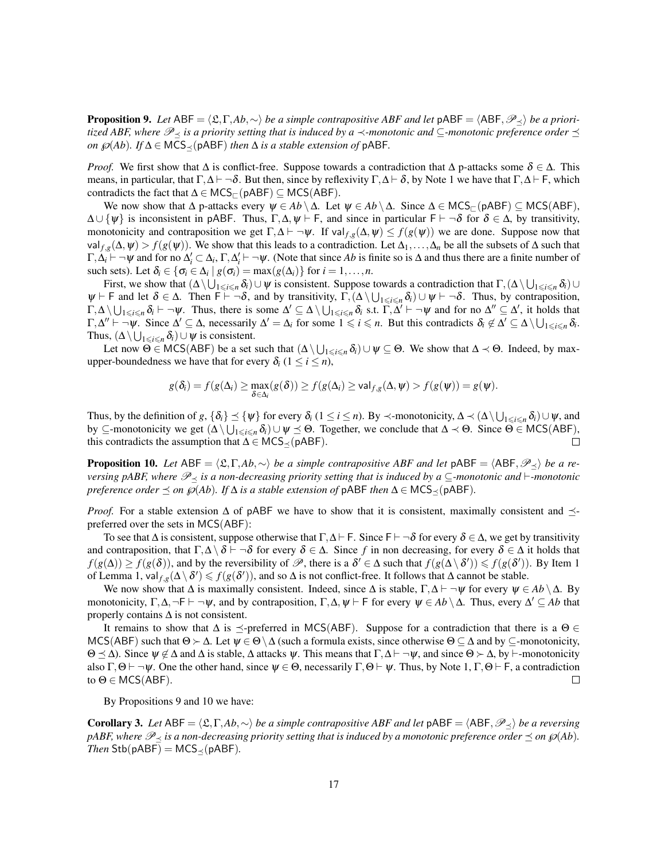**Proposition 9.** *Let* ABF =  $\langle \mathfrak{L}, \Gamma, Ab, \sim \rangle$  *be a simple contrapositive ABF and let*  $pABF = \langle ABF, \mathcal{P}_\prec \rangle$  *be a prioritized ABF, where*  $\mathcal{P}_{\prec}$  *is a priority setting that is induced by a*  $\prec$ *-monotonic and* ⊆*-monotonic preference order*  $\preceq$ *on*  $\wp$ (*Ab*)*. If* ∆ ∈ MCS<sup> $\prec$ </sup>(pABF) *then* ∆ *is a stable extension of* pABF*.* 

*Proof.* We first show that  $\Delta$  is conflict-free. Suppose towards a contradiction that  $\Delta$  p-attacks some  $\delta \in \Delta$ . This means, in particular, that  $\Gamma, \Delta \vdash \neg \delta$ . But then, since by reflexivity  $\Gamma, \Delta \vdash \delta$ , by Note 1 we have that  $\Gamma, \Delta \vdash F$ , which contradicts the fact that  $\Delta \in \text{MCS}_{\Gamma}(\text{pABF}) \subseteq \text{MCS}(ABF)$ .

We now show that  $\Delta$  p-attacks every  $\psi \in Ab \setminus \Delta$ . Let  $\psi \in Ab \setminus \Delta$ . Since  $\Delta \in \text{MCS}_{\Gamma}(\text{pABF}) \subseteq \text{MCS}(ABF)$ ,  $\Delta \cup \{\psi\}$  is inconsistent in pABF. Thus,  $\Gamma, \Delta, \psi \vdash F$ , and since in particular  $F \vdash \neg \delta$  for  $\delta \in \Delta$ , by transitivity, monotonicity and contraposition we get  $\Gamma$ , $\Delta \vdash \neg \psi$ . If val $f,g(\Delta,\psi) \leq f(g(\psi))$  we are done. Suppose now that val  $f,g(\Delta, \psi) > f(g(\psi))$ . We show that this leads to a contradiction. Let  $\Delta_1, \ldots, \Delta_n$  be all the subsets of  $\Delta$  such that  $\Gamma, \Delta_i \vdash \neg \psi$  and for no  $\Delta'_i \subset \Delta_i$ ,  $\Gamma, \Delta'_i \vdash \neg \psi$ . (Note that since *Ab* is finite so is  $\Delta$  and thus there are a finite number of such sets). Let  $\delta_i \in \{ \sigma_i \in \Delta_i \mid g(\sigma_i) = \max(g(\Delta_i)) \}$  for  $i = 1, \ldots, n$ .

First, we show that  $(\Delta \setminus \bigcup_{1 \leq i \leq n} \delta_i) \cup \psi$  is consistent. Suppose towards a contradiction that  $\Gamma, (\Delta \setminus \bigcup_{1 \leq i \leq n} \delta_i) \cup$  $\psi \vdash F$  and let  $\delta \in \Delta$ . Then  $F \vdash \neg \delta$ , and by transitivity,  $\Gamma$ ,  $(\Delta \setminus \bigcup_{1 \leq i \leq n} \delta_i) \cup \psi \vdash \neg \delta$ . Thus, by contraposition,  $\Gamma, \Delta \setminus \bigcup_{1 \leq i \leq n} \delta_i \vdash \neg \psi$ . Thus, there is some  $\Delta' \subseteq \Delta \setminus \bigcup_{1 \leq i \leq n} \delta_i$  s.t.  $\Gamma, \Delta' \vdash \neg \psi$  and for no  $\Delta'' \subseteq \Delta'$ , it holds that  $\Gamma, \Delta'' \vdash \neg \psi$ . Since  $\Delta' \subseteq \Delta$ , necessarily  $\Delta' = \Delta_i$  for some  $1 \leq i \leq n$ . But this contradicts  $\delta_i \notin \Delta' \subseteq \Delta \setminus \bigcup_{1 \leq i \leq n} \delta_i$ . Thus,  $(\Delta \setminus \bigcup_{1 \leq i \leq n} \delta_i) \cup \psi$  is consistent.

Let now  $\Theta \in \mathsf{MCS}(ABF)$  be a set such that  $(\Delta \setminus \bigcup_{1 \leq i \leq n} \delta_i) \cup \psi \subseteq \Theta$ . We show that  $\Delta \prec \Theta$ . Indeed, by maxupper-boundedness we have that for every  $\delta_i$  ( $1 \le i \le n$ ),

$$
g(\delta_i) = f(g(\Delta_i) \geq \max_{\delta \in \Delta_i} (g(\delta)) \geq f(g(\Delta_i) \geq \mathsf{val}_{f,g}(\Delta, \psi) > f(g(\psi)) = g(\psi).
$$

Thus, by the definition of  $g$ ,  $\{\delta_i\} \leq \{\psi\}$  for every  $\delta_i$  ( $1 \leq i \leq n$ ). By  $\prec$ -monotonicity,  $\Delta \prec (\Delta \setminus \bigcup_{1 \leq i \leq n} \delta_i) \cup \psi$ , and by  $\subseteq$ -monotonicity we get  $(\Delta \setminus \bigcup_{1 \leq i \leq n} \delta_i) \cup \psi \preceq \Theta$ . Together, we conclude that  $\Delta \prec \Theta$ . Since  $\Theta \in \mathsf{MCS}(ABF)$ , this contradicts the assumption that  $\Delta \in \text{MCS}_{\preceq}(\text{pABF}).$ 

**Proposition 10.** *Let* ABF =  $\langle \mathfrak{L}, \Gamma, Ab, \sim \rangle$  *be a simple contrapositive ABF and let* pABF =  $\langle ABF, \mathcal{P}_{\leq \rangle}$  *be a reversing pABF, where*  $\mathcal{P}_{\prec}$  *is a non-decreasing priority setting that is induced by a* ⊆*-monotonic and*  $\vdash$ *-monotonic preference order*  $\preceq$  *on*  $\wp(Ab)$ *. If*  $\Delta$  *is a stable extension of*  $pABF$  *then*  $\Delta \in \text{MCS}_{\prec}(pABF)$ *.* 

*Proof.* For a stable extension  $\Delta$  of pABF we have to show that it is consistent, maximally consistent and  $\preceq$ preferred over the sets in MCS(ABF):

To see that  $\Delta$  is consistent, suppose otherwise that  $\Gamma, \Delta \vdash F$ . Since  $F \vdash \neg \delta$  for every  $\delta \in \Delta$ , we get by transitivity and contraposition, that  $\Gamma, \Delta \setminus \delta \vdash \neg \delta$  for every  $\delta \in \Delta$ . Since f in non decreasing, for every  $\delta \in \Delta$  it holds that  $f(g(\Delta)) \ge f(g(\delta))$ , and by the reversibility of  $\mathscr{P}$ , there is a  $\delta' \in \Delta$  such that  $f(g(\Delta \setminus \delta')) \le f(g(\delta'))$ . By Item 1 of Lemma 1,  $val_{f,g}(\Delta \setminus \delta') \leq f(g(\delta'))$ , and so  $\Delta$  is not conflict-free. It follows that  $\Delta$  cannot be stable.

We now show that  $\Delta$  is maximally consistent. Indeed, since  $\Delta$  is stable,  $\Gamma, \Delta \vdash \neg \psi$  for every  $\psi \in Ab \setminus \Delta$ . By monotonicity,  $\Gamma, \Delta, \neg \Gamma \vdash \neg \psi$ , and by contraposition,  $\Gamma, \Delta, \psi \vdash \Gamma$  for every  $\psi \in Ab \setminus \Delta$ . Thus, every  $\Delta' \subseteq Ab$  that properly contains  $\Delta$  is not consistent.

It remains to show that  $\Delta$  is  $\preceq$ -preferred in MCS(ABF). Suppose for a contradiction that there is a  $\Theta \in$ MCS(ABF) such that  $\Theta \succ \Delta$ . Let  $\psi \in \Theta \setminus \Delta$  (such a formula exists, since otherwise  $\Theta \subseteq \Delta$  and by  $\subseteq$ -monotonicity,  $\Theta \leq \Delta$ ). Since  $\psi \notin \Delta$  and  $\Delta$  is stable,  $\Delta$  attacks  $\psi$ . This means that  $\Gamma, \Delta \vdash \neg \psi$ , and since  $\Theta \succ \Delta$ , by  $\vdash$ -monotonicity also  $\Gamma, \Theta \vdash \neg \psi$ . One the other hand, since  $\psi \in \Theta$ , necessarily  $\Gamma, \Theta \vdash \psi$ . Thus, by Note 1,  $\Gamma, \Theta \vdash F$ , a contradiction to  $\Theta \in \mathsf{MCS}(ABF)$ .  $\Box$ 

By Propositions 9 and 10 we have:

**Corollary 3.** *Let* ABF =  $\langle \mathfrak{L}, \Gamma, Ab, \sim \rangle$  *be a simple contrapositive ABF and let* pABF =  $\langle ABF, \mathcal{P}_\gamma \rangle$  *be a reversing pABF, where*  $\mathcal{P}_{\prec}$  *is a non-decreasing priority setting that is induced by a monotonic preference order*  $\preceq$  *on*  $\wp(Ab)$ *. Then* Stb( $pABF$ ) = MCS $\prec$ ( $pABF$ ).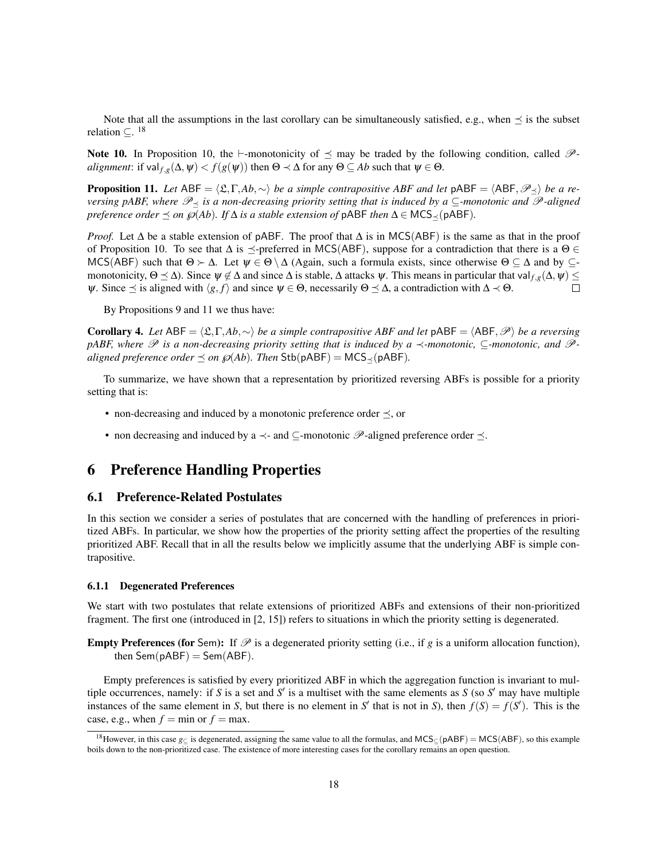Note that all the assumptions in the last corollary can be simultaneously satisfied, e.g., when  $\preceq$  is the subset relation  $\subseteq$ . <sup>18</sup>

Note 10. In Proposition 10, the  $\vdash$ -monotonicity of  $\preceq$  may be traded by the following condition, called  $\mathscr{P}$ *alignment*: if val  $f_{g}(\Delta, \psi) < f(g(\psi))$  then  $\Theta \prec \Delta$  for any  $\Theta \subseteq Ab$  such that  $\psi \in \Theta$ .

**Proposition 11.** *Let* ABF =  $\langle \mathfrak{L}, \Gamma, Ab, \sim \rangle$  *be a simple contrapositive ABF and let* pABF =  $\langle ABF, \mathcal{P}_{\prec} \rangle$  *be a reversing pABF, where*  $\mathscr{P}_\prec$  *is a non-decreasing priority setting that is induced by a* ⊆*-monotonic and*  $\mathscr{P}$ *-aligned preference order*  $\preceq$  *on*  $\wp(Ab)$ *. If*  $\Delta$  *is a stable extension of*  $pABF$  *then*  $\Delta \in \text{MCS}_{\prec}(pABF)$ *.* 

*Proof.* Let  $\Delta$  be a stable extension of pABF. The proof that  $\Delta$  is in MCS(ABF) is the same as that in the proof of Proposition 10. To see that  $\Delta$  is  $\preceq$ -preferred in MCS(ABF), suppose for a contradiction that there is a  $\Theta \in$ MCS(ABF) such that  $\Theta \succ \Delta$ . Let  $\psi \in \Theta \setminus \Delta$  (Again, such a formula exists, since otherwise  $\Theta \subseteq \Delta$  and by  $\subseteq$ monotonicity,  $\Theta \leq \Delta$ ). Since  $\psi \notin \Delta$  and since  $\Delta$  is stable,  $\Delta$  attacks  $\psi$ . This means in particular that val  $f, g(\Delta, \psi) \leq$  $\psi$ . Since  $\preceq$  is aligned with  $\langle g, f \rangle$  and since  $\psi \in \Theta$ , necessarily  $\Theta \preceq \Delta$ , a contradiction with  $\Delta \prec \Theta$ .  $\Box$ 

By Propositions 9 and 11 we thus have:

**Corollary 4.** *Let* ABF =  $\langle \mathfrak{L}, \Gamma, Ab, \sim \rangle$  *be a simple contrapositive ABF and let* pABF =  $\langle ABF, \mathcal{P} \rangle$  *be a reversing pABF, where*  $\mathscr P$  *is a non-decreasing priority setting that is induced by a*  $\prec$ *-monotonic,* ⊂*-monotonic, and*  $\mathscr P$ *aligned preference order*  $\preceq$  *on*  $\wp$ (*Ab*)*. Then* Stb(pABF) = MCS<sub> $\prec$ </sub>(pABF)*.* 

To summarize, we have shown that a representation by prioritized reversing ABFs is possible for a priority setting that is:

- non-decreasing and induced by a monotonic preference order  $\preceq$ , or
- non decreasing and induced by a  $\prec$  and  $\subseteq$ -monotonic  $\mathscr P$ -aligned preference order  $\preceq$ .

# 6 Preference Handling Properties

### 6.1 Preference-Related Postulates

In this section we consider a series of postulates that are concerned with the handling of preferences in prioritized ABFs. In particular, we show how the properties of the priority setting affect the properties of the resulting prioritized ABF. Recall that in all the results below we implicitly assume that the underlying ABF is simple contrapositive.

#### 6.1.1 Degenerated Preferences

We start with two postulates that relate extensions of prioritized ABFs and extensions of their non-prioritized fragment. The first one (introduced in [2, 15]) refers to situations in which the priority setting is degenerated.

**Empty Preferences (for Sem):** If  $\mathcal{P}$  is a degenerated priority setting (i.e., if  $g$  is a uniform allocation function), then  $Sem(pABF) = Sem(ABF)$ .

Empty preferences is satisfied by every prioritized ABF in which the aggregation function is invariant to multiple occurrences, namely: if  $S$  is a set and  $S'$  is a multiset with the same elements as  $S$  (so  $S'$  may have multiple instances of the same element in *S*, but there is no element in *S'* that is not in *S*), then  $f(S) = f(S')$ . This is the case, e.g., when  $f = min$  or  $f = max$ .

<sup>&</sup>lt;sup>18</sup>However, in this case  $g_{\text{C}}$  is degenerated, assigning the same value to all the formulas, and MCS<sub>⊂</sub>(pABF) = MCS(ABF), so this example boils down to the non-prioritized case. The existence of more interesting cases for the corollary remains an open question.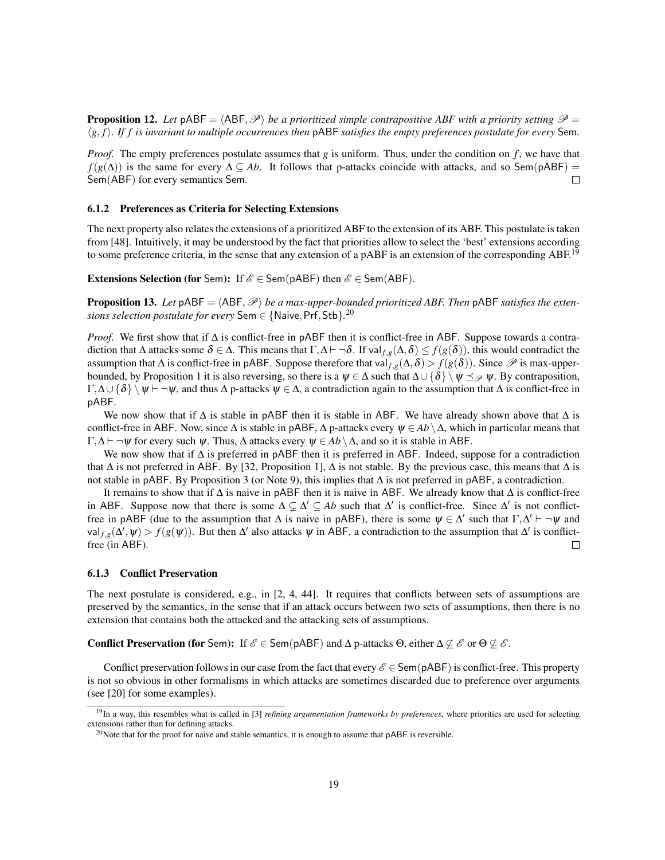**Proposition 12.** Let pABF =  $\langle ABF, \mathcal{P} \rangle$  *be a prioritized simple contrapositive ABF with a priority setting*  $\mathcal{P}$  =  $\langle g, f \rangle$ . If f is invariant to multiple occurrences then pABF *satisfies the empty preferences postulate for every* Sem.

*Proof.* The empty preferences postulate assumes that *g* is uniform. Thus, under the condition on *f*, we have that  $f(g(\Delta))$  is the same for every  $\Delta \subseteq Ab$ . It follows that p-attacks coincide with attacks, and so Sem(pABF) = Sem(ABF) for every semantics Sem.  $\Box$ 

### 6.1.2 Preferences as Criteria for Selecting Extensions

The next property also relates the extensions of a prioritized ABF to the extension of its ABF. This postulate is taken from [48]. Intuitively, it may be understood by the fact that priorities allow to select the 'best' extensions according to some preference criteria, in the sense that any extension of a pABF is an extension of the corresponding ABF.<sup>19</sup>

**Extensions Selection (for Sem):** If  $\mathscr{E} \in \mathsf{Sem}(\mathsf{pABF})$  then  $\mathscr{E} \in \mathsf{Sem}(\mathsf{ABF})$ .

**Proposition 13.** Let  $pABF = \langle ABF, \mathcal{P} \rangle$  *be a max-upper-bounded prioritized ABF. Then*  $pABF$  *satisfies the extensions selection postulate for every* Sem  $\in$  {Naive, Prf, Stb}.<sup>20</sup>

*Proof.* We first show that if ∆ is conflict-free in pABF then it is conflict-free in ABF. Suppose towards a contradiction that  $\Delta$  attacks some  $\delta \in \Delta$ . This means that  $\Gamma, \Delta \vdash \neg \delta$ . If val $f,g(\Delta, \delta) \leq f(g(\delta))$ , this would contradict the assumption that  $\Delta$  is conflict-free in pABF. Suppose therefore that val  $f,g(\Delta,\delta) > f(g(\delta))$ . Since  $\mathscr P$  is max-upperbounded, by Proposition 1 it is also reversing, so there is a  $\psi \in \Delta$  such that  $\Delta \cup \{\delta\} \setminus \psi \preceq_{\mathcal{P}} \psi$ . By contraposition,  $\Gamma, \Delta \cup \{\delta\} \setminus \psi \vdash \neg \psi$ , and thus  $\Delta$  p-attacks  $\psi \in \Delta$ , a contradiction again to the assumption that  $\Delta$  is conflict-free in pABF.

We now show that if  $\Delta$  is stable in pABF then it is stable in ABF. We have already shown above that  $\Delta$  is conflict-free in ABF. Now, since  $\Delta$  is stable in pABF,  $\Delta$  p-attacks every  $\psi \in Ab \setminus \Delta$ , which in particular means that  $\Gamma, \Delta \vdash \neg \psi$  for every such  $\psi$ . Thus,  $\Delta$  attacks every  $\psi \in Ab \setminus \Delta$ , and so it is stable in ABF.

We now show that if  $\Delta$  is preferred in pABF then it is preferred in ABF. Indeed, suppose for a contradiction that  $\Delta$  is not preferred in ABF. By [32, Proposition 1],  $\Delta$  is not stable. By the previous case, this means that  $\Delta$  is not stable in pABF. By Proposition 3 (or Note 9), this implies that ∆ is not preferred in pABF, a contradiction.

It remains to show that if ∆ is naive in pABF then it is naive in ABF. We already know that ∆ is conflict-free in ABF. Suppose now that there is some  $\Delta \subsetneq \Delta' \subseteq Ab$  such that  $\Delta'$  is conflict-free. Since  $\Delta'$  is not conflictfree in pABF (due to the assumption that  $\Delta$  is naive in pABF), there is some  $\psi \in \Delta'$  such that  $\Gamma, \Delta' \vdash \neg \psi$  and val  $f,g(\Delta', \psi) > f(g(\psi))$ . But then  $\Delta'$  also attacks  $\psi$  in ABF, a contradiction to the assumption that  $\Delta'$  is conflictfree (in ABF).  $\Box$ 

### 6.1.3 Conflict Preservation

The next postulate is considered, e.g., in [2, 4, 44]. It requires that conflicts between sets of assumptions are preserved by the semantics, in the sense that if an attack occurs between two sets of assumptions, then there is no extension that contains both the attacked and the attacking sets of assumptions.

**Conflict Preservation (for Sem):** If  $\mathscr{E} \in \mathsf{Sem}(pABF)$  and  $\Delta p$ -attacks  $\Theta$ , either  $\Delta \not\subseteq \mathscr{E}$  or  $\Theta \not\subseteq \mathscr{E}$ .

Conflict preservation follows in our case from the fact that every  $\mathscr{E} \in \mathsf{Sem}(\mathsf{pABF})$  is conflict-free. This property is not so obvious in other formalisms in which attacks are sometimes discarded due to preference over arguments (see [20] for some examples).

<sup>&</sup>lt;sup>19</sup>In a way, this resembles what is called in [3] *refining argumentation frameworks by preferences*, where priorities are used for selecting extensions rather than for defining attacks.

<sup>&</sup>lt;sup>20</sup>Note that for the proof for naive and stable semantics, it is enough to assume that  $\beta$ ABF is reversible.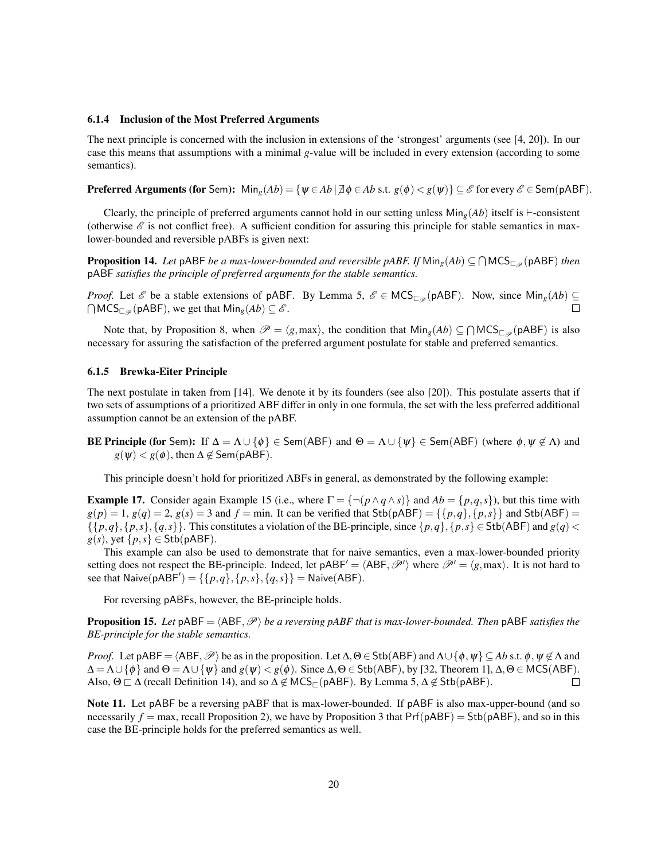#### 6.1.4 Inclusion of the Most Preferred Arguments

The next principle is concerned with the inclusion in extensions of the 'strongest' arguments (see [4, 20]). In our case this means that assumptions with a minimal *g*-value will be included in every extension (according to some semantics).

**Preferred Arguments (for Sem):**  $\text{Min}_g(Ab) = \{ \psi \in Ab \mid \exists \phi \in Ab \text{ s.t. } g(\phi) < g(\psi) \} \subseteq \mathscr{E}$  for every  $\mathscr{E} \in \text{Sem}(pABF)$ .

Clearly, the principle of preferred arguments cannot hold in our setting unless  $\text{Min}_g(Ab)$  itself is  $\vdash$ -consistent (otherwise  $\mathscr E$  is not conflict free). A sufficient condition for assuring this principle for stable semantics in maxlower-bounded and reversible pABFs is given next:

**Proposition 14.** Let pABF *be a max-lower-bounded and reversible pABF. If*  $\text{Min}_g(Ab) \subseteq \bigcap \text{MCS}_{\square_{\mathscr{P}}}$ (pABF) *then* pABF *satisfies the principle of preferred arguments for the stable semantics.*

*Proof.* Let  $\mathscr E$  be a stable extensions of pABF. By Lemma 5,  $\mathscr E \in \mathsf{MCS}_{\square_{\mathscr P}}(\mathsf{pABF})$ . Now, since  $\mathsf{Min}_g(Ab) \subseteq$  $\bigcap {\sf MCS}_{\square_{\mathscr{P}}}(pABF)$ , we get that  ${\sf Min}_g(Ab) \subseteq \mathscr{E}$ .  $\Box$ 

Note that, by Proposition 8, when  $\mathscr{P} = \langle g, \text{max} \rangle$ , the condition that  $\text{Min}_g(Ab) \subseteq \bigcap \text{MCS}_{\square_{\mathscr{P}}}(pABF)$  is also necessary for assuring the satisfaction of the preferred argument postulate for stable and preferred semantics.

#### 6.1.5 Brewka-Eiter Principle

The next postulate in taken from [14]. We denote it by its founders (see also [20]). This postulate asserts that if two sets of assumptions of a prioritized ABF differ in only in one formula, the set with the less preferred additional assumption cannot be an extension of the pABF.

**BE Principle (for** Sem): If  $\Delta = \Lambda \cup \{\phi\} \in \text{Sem}(ABF)$  and  $\Theta = \Lambda \cup \{\psi\} \in \text{Sem}(ABF)$  (where  $\phi, \psi \notin \Lambda$ ) and  $g(\psi) < g(\phi)$ , then  $\Delta \notin$  Sem(pABF).

This principle doesn't hold for prioritized ABFs in general, as demonstrated by the following example:

**Example 17.** Consider again Example 15 (i.e., where  $\Gamma = \{\neg (p \land q \land s)\}\$  and  $Ab = \{p,q,s\}$ ), but this time with  $g(p) = 1$ ,  $g(q) = 2$ ,  $g(s) = 3$  and  $f = \min$ . It can be verified that Stb(pABF) = {{ $p,q$ }, { $p,s$ }} and Stb(ABF) =  $\{p,q\},\{p,s\},\{q,s\}\}\$ . This constitutes a violation of the BE-principle, since  $\{p,q\},\{p,s\} \in$  Stb(ABF) and  $g(q)$  <  $g(s)$ , yet  $\{p,s\} \in$  Stb(pABF).

This example can also be used to demonstrate that for naive semantics, even a max-lower-bounded priority setting does not respect the BE-principle. Indeed, let  $pABF' = \langle ABF, \mathcal{P}' \rangle$  where  $\mathcal{P}' = \langle g, max \rangle$ . It is not hard to see that  $N$ aive(pABF') = {{ $p, q$ }, { $p, s$ }, { $q, s$ } = Naive(ABF).

For reversing pABFs, however, the BE-principle holds.

**Proposition 15.** Let  $pABF = \langle ABF, \mathcal{P} \rangle$  *be a reversing pABF that is max-lower-bounded. Then*  $pABF$  *satisfies the BE-principle for the stable semantics.*

*Proof.* Let pABF =  $\langle ABF, \mathcal{P} \rangle$  be as in the proposition. Let  $\Delta, \Theta \in \mathsf{Stb}(ABF)$  and  $\Lambda \cup \{\phi, \psi\} \subseteq Ab$  s.t.  $\phi, \psi \notin \Lambda$  and  $\Delta = \Lambda \cup \{\phi\}$  and  $\Theta = \Lambda \cup \{\psi\}$  and  $g(\psi) < g(\phi)$ . Since  $\Delta, \Theta \in$  Stb(ABF), by [32, Theorem 1],  $\Delta, \Theta \in$  MCS(ABF). Also,  $\Theta \sqsubset \Delta$  (recall Definition 14), and so  $\Delta \not\in \text{MCS}_{\Box}(\text{pABF})$ . By Lemma 5,  $\Delta \not\in \text{Stb}(pABF)$ .  $\Box$ 

Note 11. Let pABF be a reversing pABF that is max-lower-bounded. If pABF is also max-upper-bound (and so necessarily  $f = max$ , recall Proposition 2), we have by Proposition 3 that  $Pr(f \rho ABF) = Stb(pABF)$ , and so in this case the BE-principle holds for the preferred semantics as well.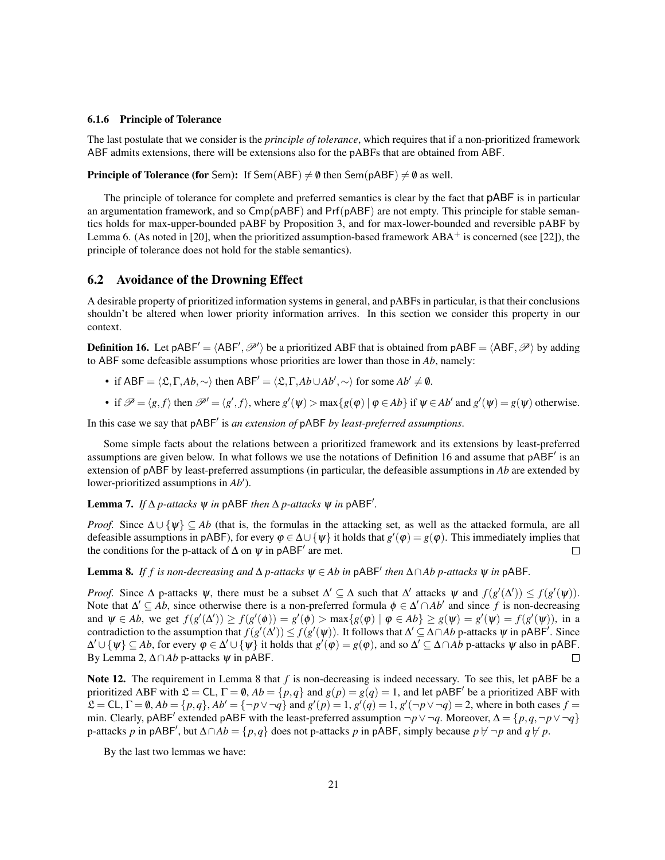#### 6.1.6 Principle of Tolerance

The last postulate that we consider is the *principle of tolerance*, which requires that if a non-prioritized framework ABF admits extensions, there will be extensions also for the pABFs that are obtained from ABF.

**Principle of Tolerance (for** Sem): If Sem(ABF)  $\neq \emptyset$  then Sem(pABF)  $\neq \emptyset$  as well.

The principle of tolerance for complete and preferred semantics is clear by the fact that pABF is in particular an argumentation framework, and so  $Cmp(pABF)$  and  $Pr(pABF)$  are not empty. This principle for stable semantics holds for max-upper-bounded pABF by Proposition 3, and for max-lower-bounded and reversible pABF by Lemma 6. (As noted in [20], when the prioritized assumption-based framework  $ABA^+$  is concerned (see [22]), the principle of tolerance does not hold for the stable semantics).

### 6.2 Avoidance of the Drowning Effect

A desirable property of prioritized information systems in general, and pABFs in particular, is that their conclusions shouldn't be altered when lower priority information arrives. In this section we consider this property in our context.

**Definition 16.** Let pABF' =  $\langle ABF', \mathcal{P}' \rangle$  be a prioritized ABF that is obtained from pABF =  $\langle ABF, \mathcal{P} \rangle$  by adding to ABF some defeasible assumptions whose priorities are lower than those in *Ab*, namely:

- if  $ABF = \langle \mathfrak{L}, \Gamma, Ab, \sim \rangle$  then  $ABF' = \langle \mathfrak{L}, \Gamma, Ab \cup Ab', \sim \rangle$  for some  $Ab' \neq \emptyset$ .
- if  $\mathcal{P} = \langle g, f \rangle$  then  $\mathcal{P}' = \langle g', f \rangle$ , where  $g'(\psi) > \max\{g(\phi) | \phi \in Ab\}$  if  $\psi \in Ab'$  and  $g'(\psi) = g(\psi)$  otherwise.

In this case we say that pABF<sup>'</sup> is *an extension of* pABF *by least-preferred assumptions*.

Some simple facts about the relations between a prioritized framework and its extensions by least-preferred assumptions are given below. In what follows we use the notations of Definition 16 and assume that pABF' is an extension of pABF by least-preferred assumptions (in particular, the defeasible assumptions in *Ab* are extended by lower-prioritized assumptions in  $Ab'$ ).

Lemma 7. *If*  $\Delta p$ -attacks  $\psi$  *in* pABF *then*  $\Delta p$ -attacks  $\psi$  *in* pABF'.

*Proof.* Since  $\Delta \cup \{\psi\} \subseteq Ab$  (that is, the formulas in the attacking set, as well as the attacked formula, are all defeasible assumptions in pABF), for every  $\varphi \in \Delta \cup \{\psi\}$  it holds that  $g'(\varphi) = g(\varphi)$ . This immediately implies that the conditions for the p-attack of  $\Delta$  on  $\psi$  in pABF' are met.  $\Box$ 

Lemma 8. If f is non-decreasing and  $\Delta p$ -attacks  $\psi \in Ab$  in pABF' then  $\Delta \cap Ab$  p-attacks  $\psi$  in pABF.

*Proof.* Since  $\Delta$  p-attacks  $\psi$ , there must be a subset  $\Delta' \subseteq \Delta$  such that  $\Delta'$  attacks  $\psi$  and  $f(g'(\Delta')) \leq f(g'(\psi))$ . Note that  $\Delta' \subseteq Ab$ , since otherwise there is a non-preferred formula  $\phi \in \Delta' \cap Ab'$  and since f is non-decreasing and  $\psi \in Ab$ , we get  $f(g'(\Delta')) \ge f(g'(\phi)) = g'(\phi) > \max\{g(\phi) \mid \phi \in Ab\} \ge g(\psi) = g'(\psi) = f(g'(\psi))$ , in a contradiction to the assumption that  $f(g'(\Delta')) \leq f(g'(\psi))$ . It follows that  $\Delta' \subseteq \Delta \cap Ab$  p-attacks  $\psi$  in pABF<sup>'</sup>. Since  $\Delta' \cup \{\psi\} \subseteq Ab$ , for every  $\varphi \in \Delta' \cup \{\psi\}$  it holds that  $g'(\varphi) = g(\varphi)$ , and so  $\Delta' \subseteq \Delta \cap Ab$  p-attacks  $\psi$  also in pABF. By Lemma 2,  $\triangle \cap Ab$  p-attacks  $\psi$  in pABF. П

Note 12. The requirement in Lemma 8 that *f* is non-decreasing is indeed necessary. To see this, let pABF be a prioritized ABF with  $\mathfrak{L} = CL$ ,  $\Gamma = \emptyset$ ,  $Ab = \{p, q\}$  and  $g(p) = g(q) = 1$ , and let pABF' be a prioritized ABF with  $\mathcal{L} = CL, \Gamma = \emptyset, Ab = \{p, q\}, Ab' = \{\neg p \lor \neg q\} \text{ and } g'(p) = 1, g'(q) = 1, g'(\neg p \lor \neg q) = 2, \text{ where in both cases } f = 0$ min. Clearly, pABF<sup>'</sup> extended pABF with the least-preferred assumption  $\neg p \lor \neg q$ . Moreover,  $\Delta = \{p, q, \neg p \lor \neg q\}$ p-attacks *p* in pABF', but  $\triangle \cap Ab = \{p, q\}$  does not p-attacks *p* in pABF, simply because  $p \nvdash \neg p$  and  $q \nvdash p$ .

By the last two lemmas we have: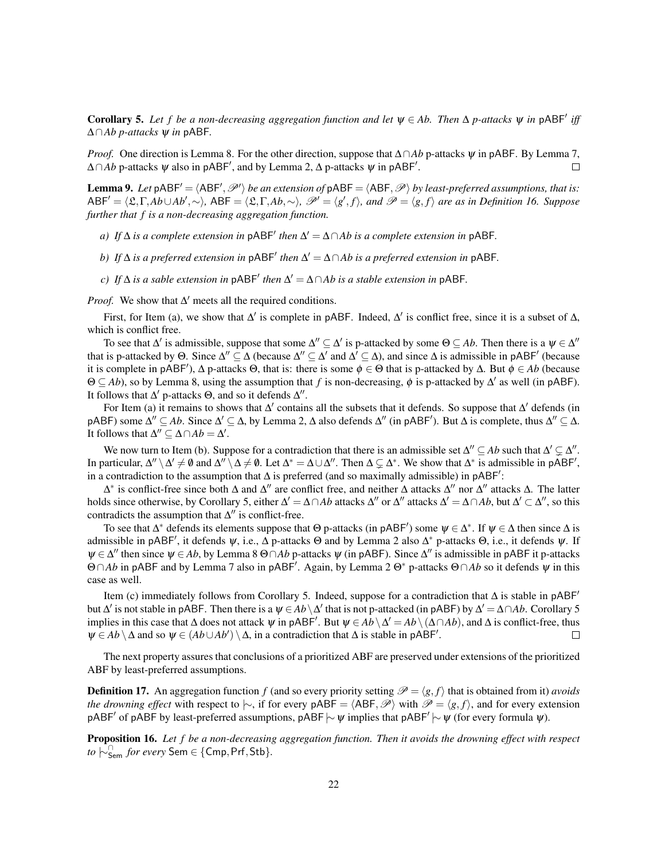Corollary 5. Let f be a non-decreasing aggregation function and let  $\psi \in Ab$ . Then  $\Delta p$ -attacks  $\psi$  in  $pABF'$  iff ∆∩*Ab p-attacks* ψ *in* pABF*.*

*Proof.* One direction is Lemma 8. For the other direction, suppose that ∆∩*Ab* p-attacks  $\psi$  in pABF. By Lemma 7,  $\Delta \cap Ab$  p-attacks  $\psi$  also in pABF', and by Lemma 2,  $\Delta$  p-attacks  $\psi$  in pABF'.  $\Box$ 

**Lemma 9.** Let  $pABF' = \langle ABF', \mathcal{P}' \rangle$  *be an extension of*  $pABF = \langle ABF, \mathcal{P} \rangle$  *by least-preferred assumptions, that is:*  $ABF' = \langle \mathfrak{L}, \Gamma, Ab \cup Ab', \sim \rangle$ ,  $ABF = \langle \mathfrak{L}, \Gamma, Ab, \sim \rangle$ ,  $\mathcal{P}' = \langle g', f \rangle$ , and  $\mathcal{P} = \langle g, f \rangle$  are as in Definition 16. Suppose *further that f is a non-decreasing aggregation function.*

- *a*) *If*  $\Delta$  *is a complete extension in*  $pABF'$  *then*  $\Delta' = \Delta \cap Ab$  *is a complete extension in*  $pABF$ *.*
- *b) If*  $\Delta$  *is a preferred extension in*  $pABF'$  *then*  $\Delta' = \Delta \cap Ab$  *is a preferred extension in*  $pABF$ *.*
- *c) If*  $\Delta$  *is a sable extension in*  $pABF'$  *then*  $\Delta' = \Delta \cap Ab$  *is a stable extension in*  $pABF$ *.*

*Proof.* We show that  $\Delta'$  meets all the required conditions.

First, for Item (a), we show that  $\Delta'$  is complete in pABF. Indeed,  $\Delta'$  is conflict free, since it is a subset of  $\Delta$ , which is conflict free.

To see that  $\Delta'$  is admissible, suppose that some  $\Delta'' \subseteq \Delta'$  is p-attacked by some  $\Theta \subseteq Ab$ . Then there is a  $\psi \in \Delta''$ that is p-attacked by  $\Theta$ . Since  $\Delta'' \subseteq \Delta$  (because  $\Delta'' \subseteq \Delta'$  and  $\Delta' \subseteq \Delta$ ), and since  $\Delta$  is admissible in pABF' (because it is complete in pABF<sup>'</sup>),  $\Delta$  p-attacks  $\Theta$ , that is: there is some  $\phi \in \Theta$  that is p-attacked by  $\Delta$ . But  $\phi \in Ab$  (because  $\Theta \subseteq Ab$ ), so by Lemma 8, using the assumption that *f* is non-decreasing,  $\phi$  is p-attacked by  $\Delta'$  as well (in pABF). It follows that  $\Delta'$  p-attacks  $\Theta$ , and so it defends  $\Delta''$ .

For Item (a) it remains to shows that  $\Delta'$  contains all the subsets that it defends. So suppose that  $\Delta'$  defends (in pABF) some  $\Delta'' \subseteq Ab$ . Since  $\Delta' \subseteq \Delta$ , by Lemma 2,  $\Delta$  also defends  $\Delta''$  (in pABF'). But  $\Delta$  is complete, thus  $\Delta'' \subseteq \Delta$ . It follows that  $\Delta'' \subseteq \Delta \cap Ab = \Delta'$ .

We now turn to Item (b). Suppose for a contradiction that there is an admissible set  $\Delta'' \subseteq Ab$  such that  $\Delta' \subsetneq \Delta''$ . In particular,  $\Delta'' \setminus \Delta' \neq \emptyset$  and  $\Delta'' \setminus \Delta \neq \emptyset$ . Let  $\Delta^* = \Delta \cup \Delta''$ . Then  $\Delta \subsetneq \Delta^*$ . We show that  $\Delta^*$  is admissible in pABF', in a contradiction to the assumption that  $\Delta$  is preferred (and so maximally admissible) in pABF':

 $\Delta^*$  is conflict-free since both  $\Delta$  and  $\Delta''$  are conflict free, and neither  $\Delta$  attacks  $\Delta''$  nor  $\Delta''$  attacks  $\Delta$ . The latter holds since otherwise, by Corollary 5, either  $\Delta' = \Delta \cap Ab$  attacks  $\Delta''$  or  $\Delta''$  attacks  $\Delta' = \Delta \cap Ab$ , but  $\Delta' \subset \Delta''$ , so this contradicts the assumption that  $\Delta''$  is conflict-free.

To see that  $\Delta^*$  defends its elements suppose that  $\Theta$  p-attacks (in pABF') some  $\psi \in \Delta^*$ . If  $\psi \in \Delta$  then since  $\Delta$  is admissible in pABF', it defends  $\psi$ , i.e.,  $\Delta$  p-attacks  $\Theta$  and by Lemma 2 also  $\Delta^*$  p-attacks  $\Theta$ , i.e., it defends  $\psi$ . If  $\psi \in \Delta''$  then since  $\psi \in Ab$ , by Lemma 8  $\Theta \cap Ab$  p-attacks  $\psi$  (in pABF). Since  $\Delta''$  is admissible in pABF it p-attacks Θ∩*Ab* in pABF and by Lemma 7 also in pABF<sup>0</sup> . Again, by Lemma 2 Θ<sup>∗</sup> p-attacks Θ∩*Ab* so it defends ψ in this case as well.

Item (c) immediately follows from Corollary 5. Indeed, suppose for a contradiction that  $\Delta$  is stable in pABF<sup> $\prime$ </sup> but  $\Delta'$  is not stable in pABF. Then there is a  $\psi \in Ab \setminus \Delta'$  that is not p-attacked (in pABF) by  $\Delta' = \Delta \cap Ab$ . Corollary 5 implies in this case that  $\Delta$  does not attack  $\psi$  in pABF'. But  $\psi \in \overline{Ab} \setminus \Delta' = \overline{Ab} \setminus (\Delta \cap \overline{Ab})$ , and  $\Delta$  is conflict-free, thus  $\psi \in Ab \setminus \Delta$  and so  $\psi \in (Ab \cup Ab') \setminus \Delta$ , in a contradiction that  $\Delta$  is stable in pABF'. П

The next property assures that conclusions of a prioritized ABF are preserved under extensions of the prioritized ABF by least-preferred assumptions.

**Definition 17.** An aggregation function *f* (and so every priority setting  $\mathcal{P} = \langle g, f \rangle$  that is obtained from it) *avoids the drowning effect* with respect to  $\sim$ , if for every pABF =  $\langle ABF, \mathcal{P} \rangle$  with  $\mathcal{P} = \langle g, f \rangle$ , and for every extension pABF' of pABF by least-preferred assumptions, pABF  $\sim \psi$  implies that pABF'  $\sim \psi$  (for every formula  $\psi$ ).

Proposition 16. *Let f be a non-decreasing aggregation function. Then it avoids the drowning effect with respect to*  $\stackrel{\frown}{\sim}$   $\stackrel{\frown}{\mathsf{Sem}}$  *for every* Sem ∈ {Cmp, Prf, Stb}.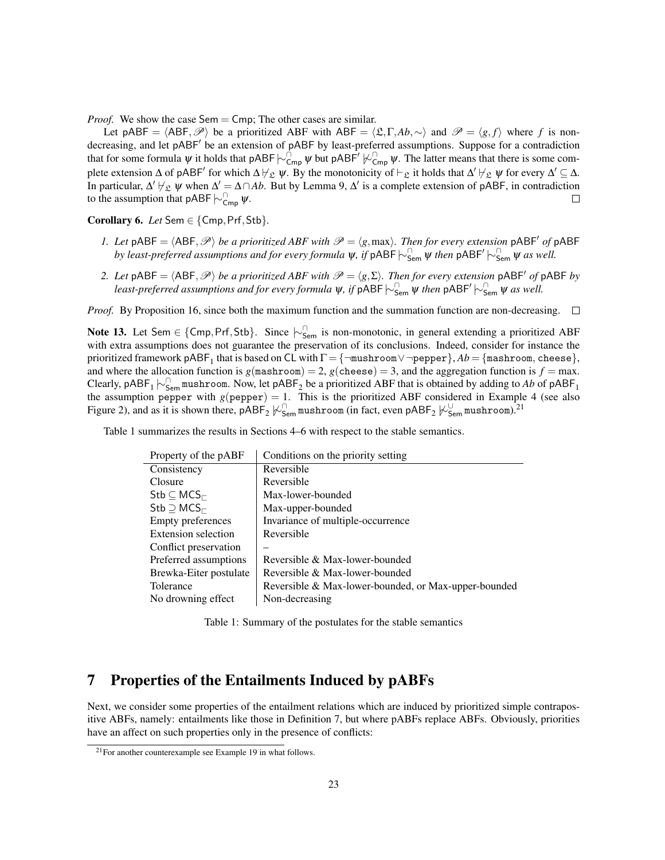*Proof.* We show the case Sem = Cmp; The other cases are similar.

Let pABF =  $\langle ABF, \mathcal{P} \rangle$  be a prioritized ABF with ABF =  $\langle \mathfrak{L}, \Gamma, Ab, \sim \rangle$  and  $\mathcal{P} = \langle g, f \rangle$  where *f* is nondecreasing, and let pABF<sup>'</sup> be an extension of pABF by least-preferred assumptions. Suppose for a contradiction that for some formula  $\psi$  it holds that pABF $\vdash \varphi_{\mathsf{Cmp}}^{\cap} \psi$  but pABF<sup>'</sup>  $\varphi_{\mathsf{Cmp}}^{\cap} \psi$ . The latter means that there is some complete extension  $\Delta$  of pABF' for which  $\Delta \not\vdash_{\mathfrak{L}} \psi$ . By the monotonicity of  $\vdash_{\mathfrak{L}}$  it holds that  $\Delta' \not\vdash_{\mathfrak{L}} \psi$  for every  $\Delta' \subseteq \Delta$ . In particular,  $\Delta' \not\vdash_{\mathcal{L}} \psi$  when  $\Delta' = \Delta \cap Ab$ . But by Lemma 9,  $\Delta'$  is a complete extension of pABF, in contradiction to the assumption that pABF $\vdash_{\mathsf{Cmp}}^{\cap} \psi$ .  $\Box$ 

Corollary 6. *Let* Sem ∈ {Cmp,Prf,Stb}*.*

- *1. Let*  $pABF = \langle ABF, \mathcal{P} \rangle$  *be a prioritized ABF with*  $\mathcal{P} = \langle g, \text{max} \rangle$ *. Then for every extension*  $pABF'$  *of*  $pABF$ *by least-preferred assumptions and for every formula*  $\psi$ *, if* pABF  $\vdash_{Sem}^\cap \psi$  *then* pABF<sup>'</sup>  $\vdash_{Sem}^\cap \psi$  *as well.*
- *2. Let*  $pABF = \langle ABF, \mathcal{P} \rangle$  *be a prioritized ABF with*  $\mathcal{P} = \langle g, \Sigma \rangle$ *. Then for every extension*  $pABF'$  *of*  $pABF$  *by* least-preferred assumptions and for every formula  $\psi$ , if  $\mathsf{pABF}\!\!\succ_\mathsf{Sem}^{\cap}\!\psi$  then  $\mathsf{pABF}'\!\!\succ_\mathsf{Sem}^{\cap}\!\psi$  as well.

*Proof.* By Proposition 16, since both the maximum function and the summation function are non-decreasing.  $\Box$ 

Note 13. Let Sem ∈ {Cmp, Prf, Stb}. Since  $\vdash_{\mathsf{Sem}}^{\cap}$  is non-monotonic, in general extending a prioritized ABF with extra assumptions does not guarantee the preservation of its conclusions. Indeed, consider for instance the prioritized framework  $\mathsf{pABF}_1$  that is based on <code>CL</code> with  $\Gamma$  =  $\{\lnot \text{mushroom} \lor \lnot \text{pepper}\}, Ab$  =  $\{\text{mashroom}, \text{cheese}\},$ and where the allocation function is  $g(\text{maskroom}) = 2$ ,  $g(\text{cheese}) = 3$ , and the aggregation function is  $f = \text{max}$ . Clearly, pABF<sub>1</sub>  $\sim$ <sub>Sem</sub> mushroom. Now, let pABF<sub>2</sub> be a prioritized ABF that is obtained by adding to Ab of pABF<sub>1</sub> the assumption pepper with  $g(\text{pepper}) = 1$ . This is the prioritized ABF considered in Example 4 (see also Figure 2), and as it is shown there,  $pABF_2$   $\not\vdash^{\cap}_{Sem}$  mushroom (in fact, even  $pABF_2$   $\not\vdash^{\cup}_{Sem}$  mushroom).<sup>21</sup>

Table 1 summarizes the results in Sections 4–6 with respect to the stable semantics.

| Property of the pABF                              | Conditions on the priority setting                   |
|---------------------------------------------------|------------------------------------------------------|
| Consistency                                       | Reversible                                           |
| Closure                                           | Reversible                                           |
| $\mathsf{Stb} \subseteq \mathsf{MCS}_{\sqsubset}$ | Max-lower-bounded                                    |
| $Stb \supseteq MCS_{\sqsubset}$                   | Max-upper-bounded                                    |
| Empty preferences                                 | Invariance of multiple-occurrence                    |
| Extension selection                               | Reversible                                           |
| Conflict preservation                             |                                                      |
| Preferred assumptions                             | Reversible & Max-lower-bounded                       |
| Brewka-Eiter postulate                            | Reversible & Max-lower-bounded                       |
| Tolerance                                         | Reversible & Max-lower-bounded, or Max-upper-bounded |
| No drowning effect                                | Non-decreasing                                       |

Table 1: Summary of the postulates for the stable semantics

# 7 Properties of the Entailments Induced by pABFs

Next, we consider some properties of the entailment relations which are induced by prioritized simple contrapositive ABFs, namely: entailments like those in Definition 7, but where pABFs replace ABFs. Obviously, priorities have an affect on such properties only in the presence of conflicts:

<sup>&</sup>lt;sup>21</sup>For another counterexample see Example 19 in what follows.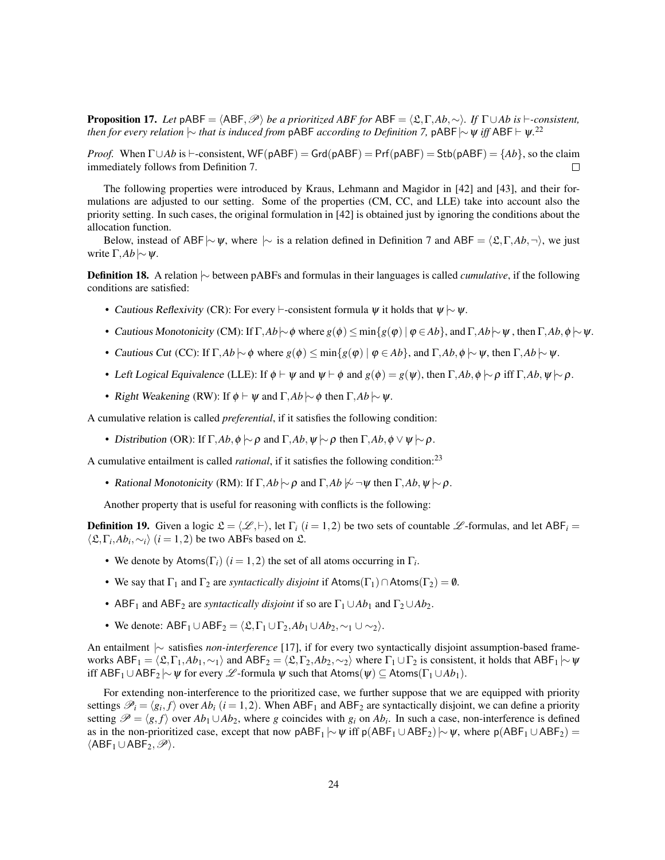**Proposition 17.** *Let* pABF =  $\langle ABF, \mathcal{P} \rangle$  *be a prioritized ABF for* ABF =  $\langle \mathfrak{L}, \Gamma, Ab, \sim \rangle$ *. If*  $\Gamma \cup Ab$  *is*  $\vdash$ *-consistent, then for every relation*  $\sim$  *that is induced from* <code>pABF</code>  $acording$  *to Definition 7,* <code>pABF</code>  $\sim$   $\psi$  *iff* <code>ABF</code>  $\vdash$   $\psi$ .<sup>22</sup>

*Proof.* When  $\Gamma \cup Ab$  is  $\vdash$ -consistent, WF(pABF) = Grd(pABF) = Prf(pABF) = Stb(pABF) = {*Ab*}, so the claim immediately follows from Definition 7.  $\Box$ 

The following properties were introduced by Kraus, Lehmann and Magidor in [42] and [43], and their formulations are adjusted to our setting. Some of the properties (CM, CC, and LLE) take into account also the priority setting. In such cases, the original formulation in [42] is obtained just by ignoring the conditions about the allocation function.

Below, instead of ABF|∼ $\psi$ , where |∼ is a relation defined in Definition 7 and ABF =  $\langle \mathfrak{L}, \Gamma, A\mathfrak{b}, \neg \rangle$ , we just write Γ,*Ab*|∼ψ.

Definition 18. A relation |∼ between pABFs and formulas in their languages is called *cumulative*, if the following conditions are satisfied:

- Cautious Reflexivity (CR): For every  $\vdash$ -consistent formula  $\psi$  it holds that  $\psi \sim \psi$ .
- Cautious Monotonicity (CM): If  $\Gamma$ *,Ab*| $\sim$   $\phi$  where  $g(\phi) \leq \min\{g(\phi) \mid \phi \in Ab\}$ , and  $\Gamma$ *,Ab*| $\sim \psi$ , then  $\Gamma$ *,Ab*,  $\phi \sim \psi$ .
- Cautious Cut (CC): If Γ, $Ab \sim \phi$  where  $g(\phi) \le \min\{g(\phi) \mid \phi \in Ab\}$ , and Γ, $Ab, \phi \sim \psi$ , then Γ, $Ab \sim \psi$ .
- Left Logical Equivalence (LLE): If  $\phi \vdash \psi$  and  $\psi \vdash \phi$  and  $g(\phi) = g(\psi)$ , then  $\Gamma, Ab, \phi \models \rho$  iff  $\Gamma, Ab, \psi \models \rho$ .
- Right Weakening (RW): If  $\phi \vdash \psi$  and  $\Gamma$ *, Ab*  $\sim \phi$  then  $\Gamma$ *, Ab*  $\sim \psi$ *.*

A cumulative relation is called *preferential*, if it satisfies the following condition:

• Distribution (OR): If  $\Gamma$ *,Ab*, $\phi \sim \rho$  and  $\Gamma$ *,Ab*, $\psi \sim \rho$  then  $\Gamma$ *,Ab*, $\phi \vee \psi \sim \rho$ .

A cumulative entailment is called *rational*, if it satisfies the following condition:<sup>23</sup>

• Rational Monotonicity (RM): If  $\Gamma$ *,Ab*  $\sim \rho$  and  $\Gamma$ *,Ab*  $\sim \sim \psi$  then  $\Gamma$ *,Ab*,  $\psi \sim \rho$ .

Another property that is useful for reasoning with conflicts is the following:

**Definition 19.** Given a logic  $\mathfrak{L} = \langle \mathcal{L}, \vdash \rangle$ , let  $\Gamma_i$  (*i* = 1,2) be two sets of countable  $\mathcal{L}$ -formulas, and let ABF*i* =  $\langle \mathfrak{L}, \Gamma_i, Ab_i, \sim_i \rangle$  (*i* = 1, 2) be two ABFs based on  $\mathfrak{L}$ .

- We denote by Atoms( $\Gamma_i$ ) ( $i = 1, 2$ ) the set of all atoms occurring in  $\Gamma_i$ .
- We say that  $\Gamma_1$  and  $\Gamma_2$  are *syntactically disjoint* if Atoms( $\Gamma_1$ )  $\cap$  Atoms( $\Gamma_2$ ) = 0.
- ABF<sub>1</sub> and ABF<sub>2</sub> are *syntactically disjoint* if so are  $\Gamma_1 \cup Ab_1$  and  $\Gamma_2 \cup Ab_2$ .
- We denote:  $ABF_1 \cup ABF_2 = \langle \mathfrak{L}, \Gamma_1 \cup \Gamma_2, Ab_1 \cup Ab_2, \sim_1 \cup \sim_2 \rangle$ .

An entailment |∼ satisfies *non-interference* [17], if for every two syntactically disjoint assumption-based frameworks  $ABF_1 = \langle \mathfrak{L}, \Gamma_1, Ab_1, \sim_1 \rangle$  and  $ABF_2 = \langle \mathfrak{L}, \Gamma_2, Ab_2, \sim_2 \rangle$  where  $\Gamma_1 \cup \Gamma_2$  is consistent, it holds that  $ABF_1 \sim \psi$ iff  $ABF_1 \cup ABF_2 \sim \psi$  for every L -formula  $\psi$  such that  $Atoms(\psi) \subseteq Atoms(\Gamma_1 \cup Ab_1)$ .

For extending non-interference to the prioritized case, we further suppose that we are equipped with priority settings  $\mathscr{P}_i = \langle g_i, f \rangle$  over  $Ab_i$  ( $i = 1, 2$ ). When ABF<sub>1</sub> and ABF<sub>2</sub> are syntactically disjoint, we can define a priority setting  $\mathscr{P} = \langle g, f \rangle$  over  $Ab_1 \cup Ab_2$ , where *g* coincides with  $g_i$  on  $Ab_i$ . In such a case, non-interference is defined as in the non-prioritized case, except that now  $pABF_1 \sim \psi$  iff  $p(ABF_1 \cup ABF_2) \sim \psi$ , where  $p(ABF_1 \cup ABF_2) =$  $\langle ABF_1 \cup ABF_2, \mathscr{P} \rangle.$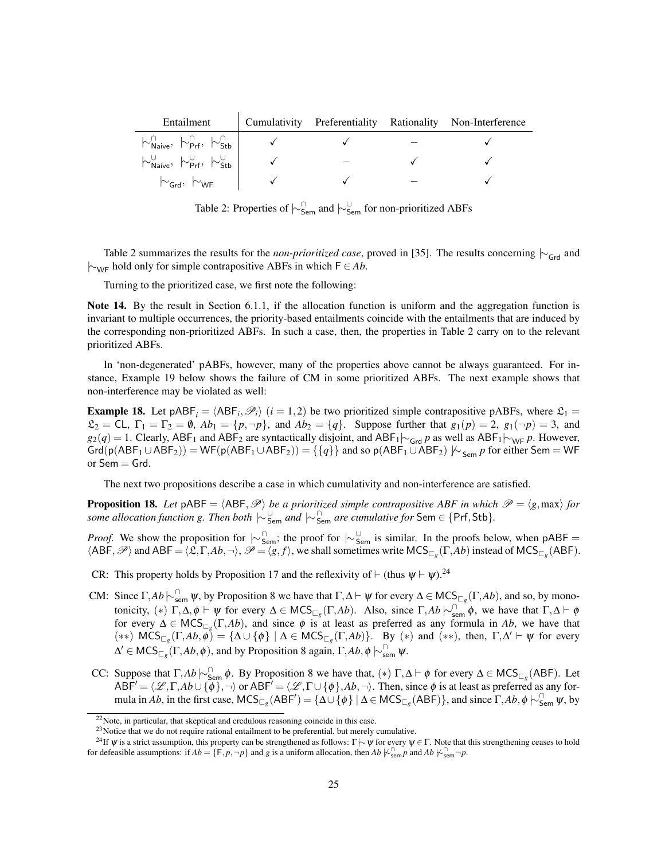| Entailment                                                                                                              |  | Cumulativity Preferentiality Rationality Non-Interference |
|-------------------------------------------------------------------------------------------------------------------------|--|-----------------------------------------------------------|
| $\left \sim_{\mathsf{Naive}}^{\cap}, \left \sim_{\mathsf{Prf}}^{\cap}, \left \sim_{\mathsf{Stb}}^{\cap} \right \right $ |  |                                                           |
| $\sim_{\mathsf{Naive}}^{\cup}, \sim_{\mathsf{Prf}}^{\cup}, \sim_{\mathsf{Stb}}^{\cup}$                                  |  |                                                           |
| $\sim_{\mathsf{Grd}}, \; \sim_{\mathsf{WF}}$                                                                            |  |                                                           |

Table 2: Properties of  $\vdash_{\mathsf{Sem}}^{\cap}$  and  $\vdash_{\mathsf{Sem}}^{\cup}$  for non-prioritized ABFs

Table 2 summarizes the results for the *non-prioritized case*, proved in [35]. The results concerning  $\sim$ <sub>Grd</sub> and |∼WF hold only for simple contrapositive ABFs in which F ∈ *Ab*.

Turning to the prioritized case, we first note the following:

Note 14. By the result in Section 6.1.1, if the allocation function is uniform and the aggregation function is invariant to multiple occurrences, the priority-based entailments coincide with the entailments that are induced by the corresponding non-prioritized ABFs. In such a case, then, the properties in Table 2 carry on to the relevant prioritized ABFs.

In 'non-degenerated' pABFs, however, many of the properties above cannot be always guaranteed. For instance, Example 19 below shows the failure of CM in some prioritized ABFs. The next example shows that non-interference may be violated as well:

**Example 18.** Let  $pABF_i = \langle ABF_i, \mathcal{P}_i \rangle$  ( $i = 1, 2$ ) be two prioritized simple contrapositive pABFs, where  $\mathcal{L}_1 =$  $\mathfrak{L}_2 = \mathsf{CL}, \ \Gamma_1 = \Gamma_2 = \emptyset, \ Ab_1 = \{p, \neg p\}, \ \text{and} \ Ab_2 = \{q\}.$  Suppose further that  $g_1(p) = 2, \ g_1(\neg p) = 3$ , and  $g_2(q) = 1$ . Clearly, ABF<sub>1</sub> and ABF<sub>2</sub> are syntactically disjoint, and ABF<sub>1</sub> $\vdash$ <sub>Grd</sub> *p* as well as ABF<sub>1</sub> $\vdash$ <sub>WF</sub> *p*. However,  $Grd(p(ABF_1 \cup ABF_2)) = WF(p(ABF_1 \cup ABF_2)) = \{\{q\}\}\$ and so p( $ABF_1 \cup ABF_2$ )  $\nvdash_{Sem} p$  for either Sem = WF or  $Sem = Grd$ .

The next two propositions describe a case in which cumulativity and non-interference are satisfied.

**Proposition 18.** Let  $pABF = \langle ABF, \mathcal{P} \rangle$  *be a prioritized simple contrapositive ABF in which*  $\mathcal{P} = \langle g, max \rangle$  *for some allocation function g. Then both*  $\vert \sim \int_{\mathsf{Sem}}^{\cap}$  *and*  $\vert \sim \int_{\mathsf{Sem}}^{\cap}$  *are cumulative for* Sem ∈ {Prf, Stb}.

*Proof.* We show the proposition for  $\sim_{\text{Sem}}^{\cap}$ ; the proof for  $\sim_{\text{Sem}}^{\cup}$  is similar. In the proofs below, when pABF =  $\langle ABF, \mathscr{P} \rangle$  and  $ABF = \langle \mathfrak{L}, \Gamma, Ab, \neg \rangle$ ,  $\mathscr{P} = \langle g, f \rangle$ , we shall sometimes write  $MCS_{\Box_g}(\Gamma, Ab)$  instead of  $MCS_{\Box_g}(ABF)$ .

- CR: This property holds by Proposition 17 and the reflexivity of  $\vdash$  (thus  $\psi \vdash \psi$ ).<sup>24</sup>
- CM: Since  $\Gamma$ ,  $Ab \sim_{\text{sem}}^{\cap} \psi$ , by Proposition 8 we have that  $\Gamma$ ,  $\Delta \vdash \psi$  for every  $\Delta \in \text{MCS}_{\square_g}(\Gamma, Ab)$ , and so, by monotonicity,  $(*)$   $\Gamma, \Delta, \phi \vdash \psi$  for every  $\Delta \in \mathsf{MCS}_{\Box g}(\Gamma, Ab)$ . Also, since  $\Gamma, Ab \sim_{sem}^{\Box} \phi$ , we have that  $\Gamma, \Delta \vdash \phi$ for every  $\Delta \in \text{MCS}_{\Box g}(\Gamma, Ab)$ , and since  $\phi$  is at least as preferred as any formula in *Ab*, we have that  $(**)$  MCS<sub> $\sqsubset_g$ </sub> $(\Gamma, Ab, \phi) = {\Delta \cup {\phi} \mid \Delta \in \mathsf{MCS}_{\sqsubset_g}(\Gamma, Ab)}$ . By  $(*)$  and  $(**)$ , then,  $\Gamma, \Delta' \vdash \psi$  for every  $Δ' ∈ \text{MCS}_{\sqsubset_g}(\Gamma, Ab, φ)$ , and by Proposition 8 again,  $Γ, Ab, φ \nvert ∼_{sem}^∩ ψ$ .
- CC: Suppose that  $\Gamma$ , *Ab*  $\sim_{\mathsf{Sem}}^{\cap} \phi$ . By Proposition 8 we have that,  $(*) \Gamma$ ,  $\Delta \vdash \phi$  for every  $\Delta \in \mathsf{MCS}_{\square_g}(\mathsf{ABF})$ . Let  $ABF' = \langle \mathcal{L}, \Gamma, Ab \cup \{\phi\}, \neg \rangle$  or  $ABF' = \langle \mathcal{L}, \Gamma \cup \{\phi\}, Ab, \neg \rangle$ . Then, since  $\phi$  is at least as preferred as any formula in *Ab*, in the first case,  $MCS_{\Box g}(ABF') = {\Delta \cup {\phi} \mid \Delta \in MCS_{\Box g}(ABF)}$ , and since  $\Gamma, Ab, \phi \sim_{Sem}^{\cap} \psi$ , by

<sup>22</sup>Note, in particular, that skeptical and credulous reasoning coincide in this case.

<sup>&</sup>lt;sup>23</sup>Notice that we do not require rational entailment to be preferential, but merely cumulative.

<sup>&</sup>lt;sup>24</sup>If  $\psi$  is a strict assumption, this property can be strengthened as follows: Γ $\sim \psi$  for every  $\psi \in \Gamma$ . Note that this strengthening ceases to hold for defeasible assumptions: if  $Ab = \{F, p, \neg p\}$  and g is a uniform allocation, then  $Ab \nvDash_{sem}^{\cap} p$  and  $Ab \nvDash_{sem}^{\cap} \neg p$ .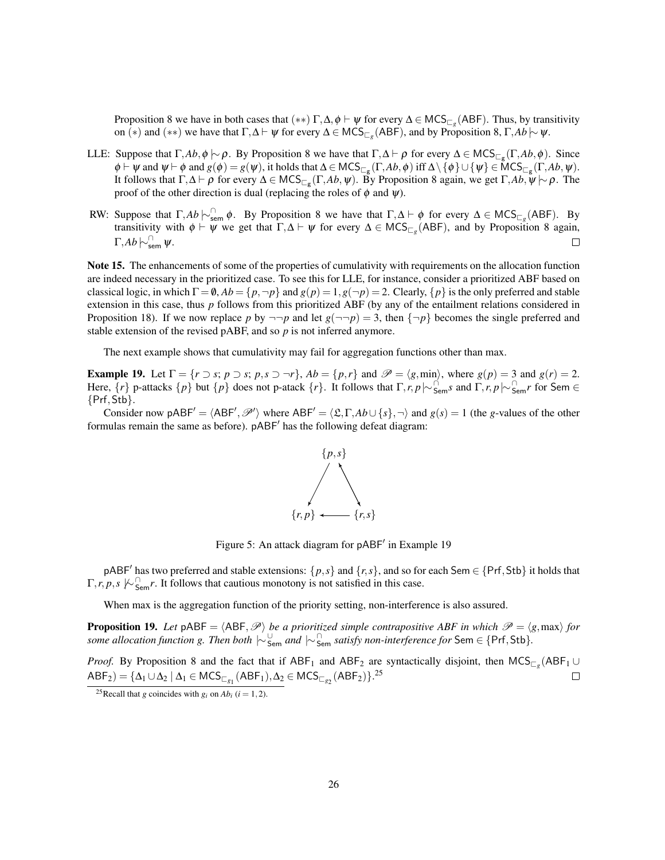Proposition 8 we have in both cases that  $(**)$   $\Gamma, \Delta, \phi \vdash \psi$  for every  $\Delta \in \mathsf{MCS}_{\Box_g}(\mathsf{ABF})$ . Thus, by transitivity on (∗) and (∗∗) we have that  $\Gamma, \Delta \vdash \psi$  for every  $\Delta \in \mathsf{MCS}_{\Box_g}(\mathsf{ABF})$ , and by Proposition 8,  $\Gamma, Ab \sim \psi$ .

- LLE: Suppose that  $\Gamma$ , $Ab$ ,  $\phi$  |∼ $\rho$ . By Proposition 8 we have that  $\Gamma$ , $\Delta \vdash \rho$  for every  $\Delta \in \text{MCS}_{\Box_{g}}(\Gamma, Ab, \phi)$ . Since  $\phi \vdash \psi$  and  $\psi \vdash \phi$  and  $g(\phi) = g(\psi)$ , it holds that  $\Delta \in \mathsf{MCS}_{\sqsubset_g}(\Gamma, Ab, \phi)$  iff  $\Delta \setminus \{\phi\} \cup \{\psi\} \in \mathsf{MCS}_{\sqsubset_g}(\Gamma, Ab, \psi)$ . It follows that  $\Gamma, \Delta \vdash \rho$  for every  $\Delta \in \mathsf{MCS}_{\sqsubset_g}(\Gamma, Ab, \psi)$ . By Proposition 8 again, we get  $\Gamma, Ab, \psi \mid \sim \rho$ . The proof of the other direction is dual (replacing the roles of  $\phi$  and  $\psi$ ).
- RW: Suppose that  $\Gamma$ , *Ab*  $\sim_{\text{sem}}^{\cap}$   $\phi$ . By Proposition 8 we have that  $\Gamma$ ,  $\Delta \vdash \phi$  for every  $\Delta \in \text{MCS}_{\square_g}(\text{ABF})$ . By transitivity with  $\phi \vdash \psi$  we get that  $\Gamma, \Delta \vdash \psi$  for every  $\Delta \in \mathsf{MCS}_{\Box_g}(\mathsf{ABF})$ , and by Proposition 8 again,  $Γ,$ *Ab*  $\vdash^{\cap}_{\mathsf{sem}}$  ψ. П

Note 15. The enhancements of some of the properties of cumulativity with requirements on the allocation function are indeed necessary in the prioritized case. To see this for LLE, for instance, consider a prioritized ABF based on classical logic, in which  $\Gamma = \emptyset$ ,  $Ab = \{p, \neg p\}$  and  $g(p) = 1$ ,  $g(\neg p) = 2$ . Clearly,  $\{p\}$  is the only preferred and stable extension in this case, thus *p* follows from this prioritized ABF (by any of the entailment relations considered in Proposition 18). If we now replace *p* by  $\neg\neg p$  and let  $g(\neg\neg p) = 3$ , then  $\{\neg p\}$  becomes the single preferred and stable extension of the revised pABF, and so *p* is not inferred anymore.

The next example shows that cumulativity may fail for aggregation functions other than max.

**Example 19.** Let  $\Gamma = \{r \supset s; p \supset s; p, s \supset \neg r\}$ ,  $Ab = \{p, r\}$  and  $\mathcal{P} = \langle g, \text{min} \rangle$ , where  $g(p) = 3$  and  $g(r) = 2$ . Here,  $\{r\}$  p-attacks  $\{p\}$  but  $\{p\}$  does not p-atack  $\{r\}$ . It follows that  $\Gamma, r, p \sim_{\text{Sem}}^{\cap} s$  and  $\Gamma, r, p \sim_{\text{Sem}}^{\cap} r$  for Sem  $\in$ {Prf,Stb}.

Consider now pABF<sup> $\prime$ </sup> =  $\langle ABF', \mathcal{P}' \rangle$  where ABF $\prime$  =  $\langle \mathfrak{L}, \Gamma, Ab \cup \{s\}, \neg \rangle$  and  $g(s) = 1$  (the *g*-values of the other formulas remain the same as before). pABF<sup>'</sup> has the following defeat diagram:



Figure 5: An attack diagram for pABF' in Example 19

pABF<sup>'</sup> has two preferred and stable extensions:  $\{p, s\}$  and  $\{r, s\}$ , and so for each Sem  $\in$  {Prf, Stb} it holds that  $\Gamma, r, p, s \not\sim_{\mathsf{Sem}}^{\cap} r$ . It follows that cautious monotony is not satisfied in this case.

When max is the aggregation function of the priority setting, non-interference is also assured.

**Proposition 19.** Let  $pABF = \langle ABF, \mathcal{P} \rangle$  be a prioritized simple contrapositive ABF in which  $\mathcal{P} = \langle g, \max \rangle$  for *some allocation function g. Then both* |∼<sup>∪</sup> Sem *and* |∼<sup>∩</sup> Sem *satisfy non-interference for* Sem ∈ {Prf,Stb}*.*

*Proof.* By Proposition 8 and the fact that if  $ABF_1$  and  $ABF_2$  are syntactically disjoint, then  $MCS_{\Box g}$  (ABF<sub>1</sub> ∪  $\mathsf{ABF}_2$ ) = {Δ<sub>1</sub> ∪ Δ<sub>2</sub> | Δ<sub>1</sub> ∈ MCS<sub> $\Box_{g_1}$ </sub>(ABF<sub>1</sub>), Δ<sub>2</sub> ∈ MCS<sub> $\Box_{g_2}$ </sub>(ABF<sub>2</sub>)}.<sup>25</sup>  $\Box$ 

<sup>&</sup>lt;sup>25</sup>Recall that *g* coincides with *g<sub>i</sub>* on  $Ab_i$  (*i* = 1, 2).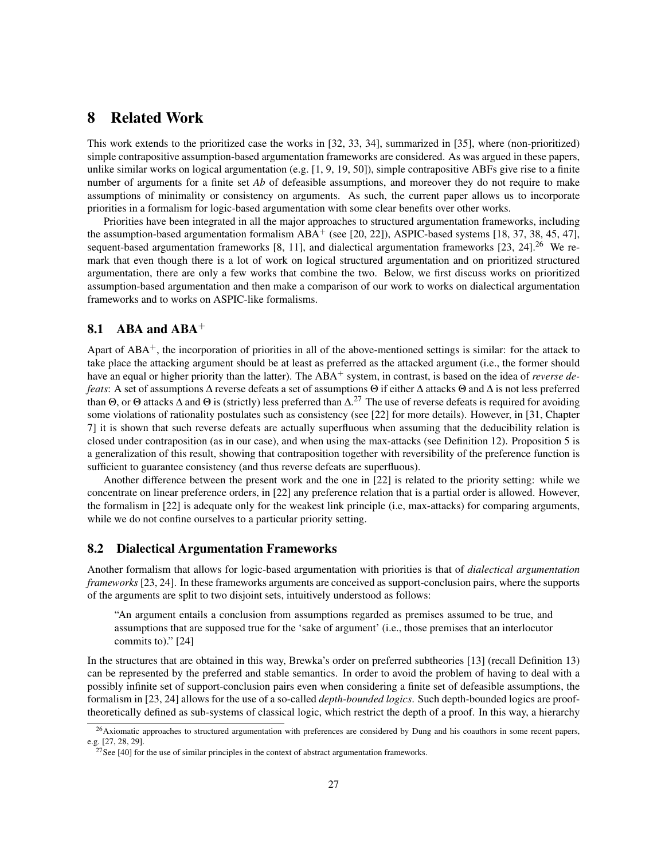# 8 Related Work

This work extends to the prioritized case the works in [32, 33, 34], summarized in [35], where (non-prioritized) simple contrapositive assumption-based argumentation frameworks are considered. As was argued in these papers, unlike similar works on logical argumentation (e.g. [1, 9, 19, 50]), simple contrapositive ABFs give rise to a finite number of arguments for a finite set *Ab* of defeasible assumptions, and moreover they do not require to make assumptions of minimality or consistency on arguments. As such, the current paper allows us to incorporate priorities in a formalism for logic-based argumentation with some clear benefits over other works.

Priorities have been integrated in all the major approaches to structured argumentation frameworks, including the assumption-based argumentation formalism  $ABA^+$  (see [20, 22]), ASPIC-based systems [18, 37, 38, 45, 47], sequent-based argumentation frameworks  $[8, 11]$ , and dialectical argumentation frameworks  $[23, 24]$ .<sup>26</sup> We remark that even though there is a lot of work on logical structured argumentation and on prioritized structured argumentation, there are only a few works that combine the two. Below, we first discuss works on prioritized assumption-based argumentation and then make a comparison of our work to works on dialectical argumentation frameworks and to works on ASPIC-like formalisms.

# 8.1 ABA and  $ABA$ <sup>+</sup>

Apart of ABA<sup>+</sup>, the incorporation of priorities in all of the above-mentioned settings is similar: for the attack to take place the attacking argument should be at least as preferred as the attacked argument (i.e., the former should have an equal or higher priority than the latter). The ABA<sup>+</sup> system, in contrast, is based on the idea of *reverse defeats*: A set of assumptions ∆ reverse defeats a set of assumptions Θ if either ∆ attacks Θ and ∆ is not less preferred than  $\Theta$ , or  $\Theta$  attacks  $\Delta$  and  $\Theta$  is (strictly) less preferred than  $\Delta$ .<sup>27</sup> The use of reverse defeats is required for avoiding some violations of rationality postulates such as consistency (see [22] for more details). However, in [31, Chapter 7] it is shown that such reverse defeats are actually superfluous when assuming that the deducibility relation is closed under contraposition (as in our case), and when using the max-attacks (see Definition 12). Proposition 5 is a generalization of this result, showing that contraposition together with reversibility of the preference function is sufficient to guarantee consistency (and thus reverse defeats are superfluous).

Another difference between the present work and the one in [22] is related to the priority setting: while we concentrate on linear preference orders, in [22] any preference relation that is a partial order is allowed. However, the formalism in [22] is adequate only for the weakest link principle (i.e, max-attacks) for comparing arguments, while we do not confine ourselves to a particular priority setting.

### 8.2 Dialectical Argumentation Frameworks

Another formalism that allows for logic-based argumentation with priorities is that of *dialectical argumentation frameworks* [23, 24]. In these frameworks arguments are conceived as support-conclusion pairs, where the supports of the arguments are split to two disjoint sets, intuitively understood as follows:

"An argument entails a conclusion from assumptions regarded as premises assumed to be true, and assumptions that are supposed true for the 'sake of argument' (i.e., those premises that an interlocutor commits to)." [24]

In the structures that are obtained in this way, Brewka's order on preferred subtheories [13] (recall Definition 13) can be represented by the preferred and stable semantics. In order to avoid the problem of having to deal with a possibly infinite set of support-conclusion pairs even when considering a finite set of defeasible assumptions, the formalism in [23, 24] allows for the use of a so-called *depth-bounded logics*. Such depth-bounded logics are prooftheoretically defined as sub-systems of classical logic, which restrict the depth of a proof. In this way, a hierarchy

 $26$ Axiomatic approaches to structured argumentation with preferences are considered by Dung and his coauthors in some recent papers, e.g. [27, 28, 29].

 $27$ See [40] for the use of similar principles in the context of abstract argumentation frameworks.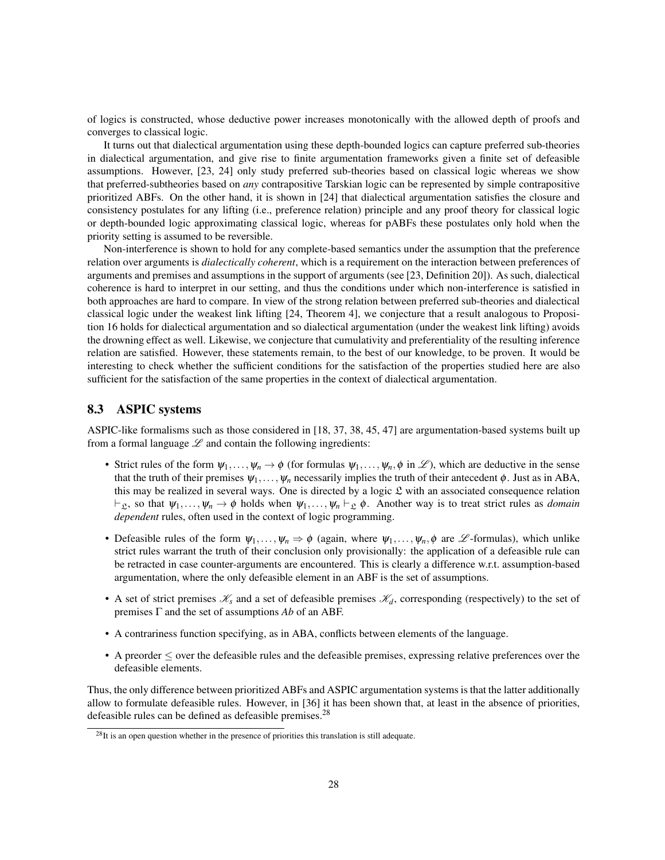of logics is constructed, whose deductive power increases monotonically with the allowed depth of proofs and converges to classical logic.

It turns out that dialectical argumentation using these depth-bounded logics can capture preferred sub-theories in dialectical argumentation, and give rise to finite argumentation frameworks given a finite set of defeasible assumptions. However, [23, 24] only study preferred sub-theories based on classical logic whereas we show that preferred-subtheories based on *any* contrapositive Tarskian logic can be represented by simple contrapositive prioritized ABFs. On the other hand, it is shown in [24] that dialectical argumentation satisfies the closure and consistency postulates for any lifting (i.e., preference relation) principle and any proof theory for classical logic or depth-bounded logic approximating classical logic, whereas for pABFs these postulates only hold when the priority setting is assumed to be reversible.

Non-interference is shown to hold for any complete-based semantics under the assumption that the preference relation over arguments is *dialectically coherent*, which is a requirement on the interaction between preferences of arguments and premises and assumptions in the support of arguments (see [23, Definition 20]). As such, dialectical coherence is hard to interpret in our setting, and thus the conditions under which non-interference is satisfied in both approaches are hard to compare. In view of the strong relation between preferred sub-theories and dialectical classical logic under the weakest link lifting [24, Theorem 4], we conjecture that a result analogous to Proposition 16 holds for dialectical argumentation and so dialectical argumentation (under the weakest link lifting) avoids the drowning effect as well. Likewise, we conjecture that cumulativity and preferentiality of the resulting inference relation are satisfied. However, these statements remain, to the best of our knowledge, to be proven. It would be interesting to check whether the sufficient conditions for the satisfaction of the properties studied here are also sufficient for the satisfaction of the same properties in the context of dialectical argumentation.

### 8.3 ASPIC systems

ASPIC-like formalisms such as those considered in [18, 37, 38, 45, 47] are argumentation-based systems built up from a formal language  $\mathscr L$  and contain the following ingredients:

- Strict rules of the form  $\psi_1,\ldots,\psi_n\to\phi$  (for formulas  $\psi_1,\ldots,\psi_n,\phi$  in  $\mathscr{L}$ ), which are deductive in the sense that the truth of their premises  $\psi_1,\ldots,\psi_n$  necessarily implies the truth of their antecedent  $\phi$ . Just as in ABA, this may be realized in several ways. One is directed by a logic  $\mathfrak L$  with an associated consequence relation  $\vdash_{\mathcal{L}}$ , so that  $\psi_1,\ldots,\psi_n \to \phi$  holds when  $\psi_1,\ldots,\psi_n \vdash_{\mathcal{L}} \phi$ . Another way is to treat strict rules as *domain dependent* rules, often used in the context of logic programming.
- Defeasible rules of the form  $\psi_1,\ldots,\psi_n \Rightarrow \phi$  (again, where  $\psi_1,\ldots,\psi_n,\phi$  are L -formulas), which unlike strict rules warrant the truth of their conclusion only provisionally: the application of a defeasible rule can be retracted in case counter-arguments are encountered. This is clearly a difference w.r.t. assumption-based argumentation, where the only defeasible element in an ABF is the set of assumptions.
- A set of strict premises  $\mathcal{K}_s$  and a set of defeasible premises  $\mathcal{K}_d$ , corresponding (respectively) to the set of premises Γ and the set of assumptions *Ab* of an ABF.
- A contrariness function specifying, as in ABA, conflicts between elements of the language.
- A preorder ≤ over the defeasible rules and the defeasible premises, expressing relative preferences over the defeasible elements.

Thus, the only difference between prioritized ABFs and ASPIC argumentation systems is that the latter additionally allow to formulate defeasible rules. However, in [36] it has been shown that, at least in the absence of priorities, defeasible rules can be defined as defeasible premises.<sup>28</sup>

 $^{28}$ It is an open question whether in the presence of priorities this translation is still adequate.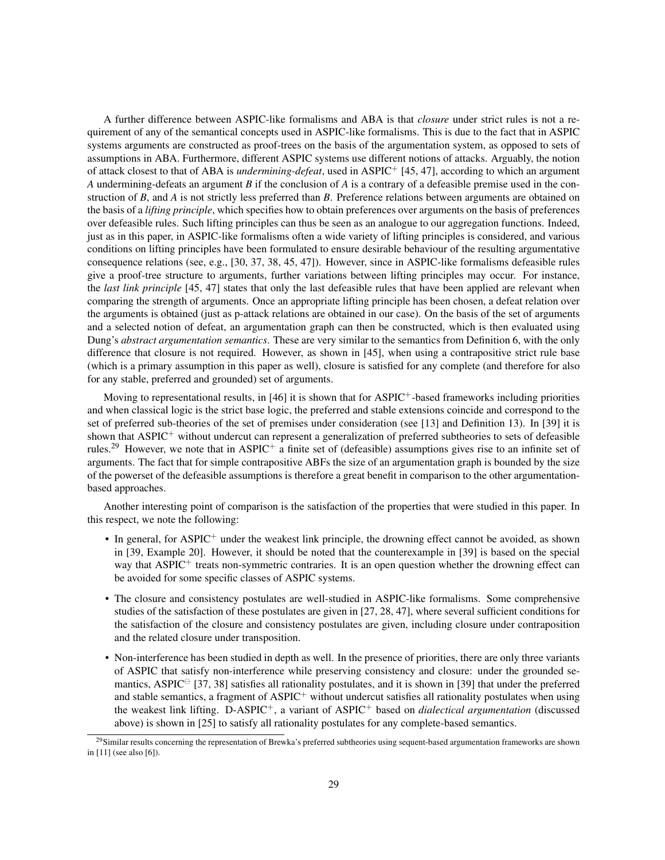A further difference between ASPIC-like formalisms and ABA is that *closure* under strict rules is not a requirement of any of the semantical concepts used in ASPIC-like formalisms. This is due to the fact that in ASPIC systems arguments are constructed as proof-trees on the basis of the argumentation system, as opposed to sets of assumptions in ABA. Furthermore, different ASPIC systems use different notions of attacks. Arguably, the notion of attack closest to that of ABA is *undermining-defeat*, used in ASPIC<sup>+</sup> [45, 47], according to which an argument *A* undermining-defeats an argument *B* if the conclusion of *A* is a contrary of a defeasible premise used in the construction of *B*, and *A* is not strictly less preferred than *B*. Preference relations between arguments are obtained on the basis of a *lifting principle*, which specifies how to obtain preferences over arguments on the basis of preferences over defeasible rules. Such lifting principles can thus be seen as an analogue to our aggregation functions. Indeed, just as in this paper, in ASPIC-like formalisms often a wide variety of lifting principles is considered, and various conditions on lifting principles have been formulated to ensure desirable behaviour of the resulting argumentative consequence relations (see, e.g., [30, 37, 38, 45, 47]). However, since in ASPIC-like formalisms defeasible rules give a proof-tree structure to arguments, further variations between lifting principles may occur. For instance, the *last link principle* [45, 47] states that only the last defeasible rules that have been applied are relevant when comparing the strength of arguments. Once an appropriate lifting principle has been chosen, a defeat relation over the arguments is obtained (just as p-attack relations are obtained in our case). On the basis of the set of arguments and a selected notion of defeat, an argumentation graph can then be constructed, which is then evaluated using Dung's *abstract argumentation semantics*. These are very similar to the semantics from Definition 6, with the only difference that closure is not required. However, as shown in [45], when using a contrapositive strict rule base (which is a primary assumption in this paper as well), closure is satisfied for any complete (and therefore for also for any stable, preferred and grounded) set of arguments.

Moving to representational results, in [46] it is shown that for  $\text{ASPIC}^+$ -based frameworks including priorities and when classical logic is the strict base logic, the preferred and stable extensions coincide and correspond to the set of preferred sub-theories of the set of premises under consideration (see [13] and Definition 13). In [39] it is shown that ASPIC<sup>+</sup> without undercut can represent a generalization of preferred subtheories to sets of defeasible rules.<sup>29</sup> However, we note that in ASPIC<sup>+</sup> a finite set of (defeasible) assumptions gives rise to an infinite set of arguments. The fact that for simple contrapositive ABFs the size of an argumentation graph is bounded by the size of the powerset of the defeasible assumptions is therefore a great benefit in comparison to the other argumentationbased approaches.

Another interesting point of comparison is the satisfaction of the properties that were studied in this paper. In this respect, we note the following:

- In general, for ASPIC<sup>+</sup> under the weakest link principle, the drowning effect cannot be avoided, as shown in [39, Example 20]. However, it should be noted that the counterexample in [39] is based on the special way that ASPIC<sup>+</sup> treats non-symmetric contraries. It is an open question whether the drowning effect can be avoided for some specific classes of ASPIC systems.
- The closure and consistency postulates are well-studied in ASPIC-like formalisms. Some comprehensive studies of the satisfaction of these postulates are given in [27, 28, 47], where several sufficient conditions for the satisfaction of the closure and consistency postulates are given, including closure under contraposition and the related closure under transposition.
- Non-interference has been studied in depth as well. In the presence of priorities, there are only three variants of ASPIC that satisfy non-interference while preserving consistency and closure: under the grounded semantics, ASPIC $\degree$  [37, 38] satisfies all rationality postulates, and it is shown in [39] that under the preferred and stable semantics, a fragment of  $\text{ASPIC}^+$  without undercut satisfies all rationality postulates when using the weakest link lifting. D-ASPIC+, a variant of ASPIC<sup>+</sup> based on *dialectical argumentation* (discussed above) is shown in [25] to satisfy all rationality postulates for any complete-based semantics.

 $^{29}$ Similar results concerning the representation of Brewka's preferred subtheories using sequent-based argumentation frameworks are shown in [11] (see also [6]).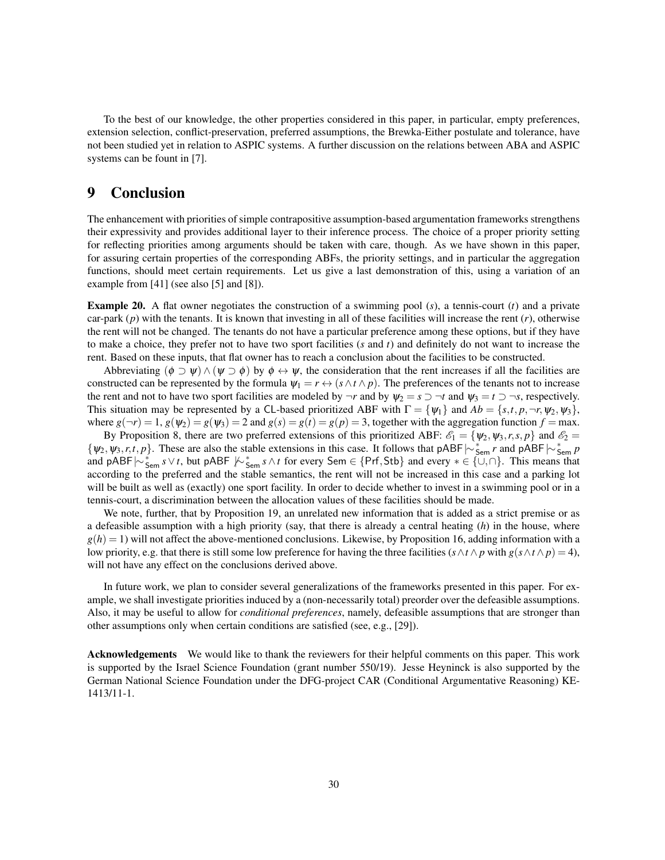To the best of our knowledge, the other properties considered in this paper, in particular, empty preferences, extension selection, conflict-preservation, preferred assumptions, the Brewka-Either postulate and tolerance, have not been studied yet in relation to ASPIC systems. A further discussion on the relations between ABA and ASPIC systems can be fount in [7].

# 9 Conclusion

The enhancement with priorities of simple contrapositive assumption-based argumentation frameworks strengthens their expressivity and provides additional layer to their inference process. The choice of a proper priority setting for reflecting priorities among arguments should be taken with care, though. As we have shown in this paper, for assuring certain properties of the corresponding ABFs, the priority settings, and in particular the aggregation functions, should meet certain requirements. Let us give a last demonstration of this, using a variation of an example from [41] (see also [5] and [8]).

Example 20. A flat owner negotiates the construction of a swimming pool (*s*), a tennis-court (*t*) and a private car-park (*p*) with the tenants. It is known that investing in all of these facilities will increase the rent (*r*), otherwise the rent will not be changed. The tenants do not have a particular preference among these options, but if they have to make a choice, they prefer not to have two sport facilities (*s* and *t*) and definitely do not want to increase the rent. Based on these inputs, that flat owner has to reach a conclusion about the facilities to be constructed.

Abbreviating  $(\phi \supset \psi) \wedge (\psi \supset \phi)$  by  $\phi \leftrightarrow \psi$ , the consideration that the rent increases if all the facilities are constructed can be represented by the formula  $\Psi_1 = r \leftrightarrow (s \wedge t \wedge p)$ . The preferences of the tenants not to increase the rent and not to have two sport facilities are modeled by  $\neg r$  and by  $\psi_2 = s \supset \neg t$  and  $\psi_3 = t \supset \neg s$ , respectively. This situation may be represented by a CL-based prioritized ABF with  $\Gamma = \{\psi_1\}$  and  $Ab = \{s, t, p, \neg r, \psi_2, \psi_3\}$ , where  $g(\neg r) = 1$ ,  $g(\psi_2) = g(\psi_3) = 2$  and  $g(s) = g(t) = g(p) = 3$ , together with the aggregation function  $f = \max$ .

By Proposition 8, there are two preferred extensions of this prioritized ABF:  $\mathcal{E}_1 = \{\psi_2, \psi_3, r, s, p\}$  and  $\mathcal{E}_2 =$ {ψ2,ψ3,*r*,*t*, *p*}. These are also the stable extensions in this case. It follows that pABF|∼<sup>∗</sup> Sem *<sup>r</sup>* and pABF|∼<sup>∗</sup> Sem *p* and pABF  $\sim \frac{1}{2}$  sem *s*∨*t*, but pABF  $\sim \frac{1}{2}$  for every Sem ∈ {Prf,Stb} and every  $* \in \{ \cup, \cap \}$ . This means that according to the preferred and the stable semantics, the rent will not be increased in this case and a parking lot will be built as well as (exactly) one sport facility. In order to decide whether to invest in a swimming pool or in a tennis-court, a discrimination between the allocation values of these facilities should be made.

We note, further, that by Proposition 19, an unrelated new information that is added as a strict premise or as a defeasible assumption with a high priority (say, that there is already a central heating (*h*) in the house, where  $g(h) = 1$ ) will not affect the above-mentioned conclusions. Likewise, by Proposition 16, adding information with a low priority, e.g. that there is still some low preference for having the three facilities  $(s \land t \land p$  with  $g(s \land t \land p) = 4$ ), will not have any effect on the conclusions derived above.

In future work, we plan to consider several generalizations of the frameworks presented in this paper. For example, we shall investigate priorities induced by a (non-necessarily total) preorder over the defeasible assumptions. Also, it may be useful to allow for *conditional preferences*, namely, defeasible assumptions that are stronger than other assumptions only when certain conditions are satisfied (see, e.g., [29]).

Acknowledgements We would like to thank the reviewers for their helpful comments on this paper. This work is supported by the Israel Science Foundation (grant number 550/19). Jesse Heyninck is also supported by the German National Science Foundation under the DFG-project CAR (Conditional Argumentative Reasoning) KE-1413/11-1.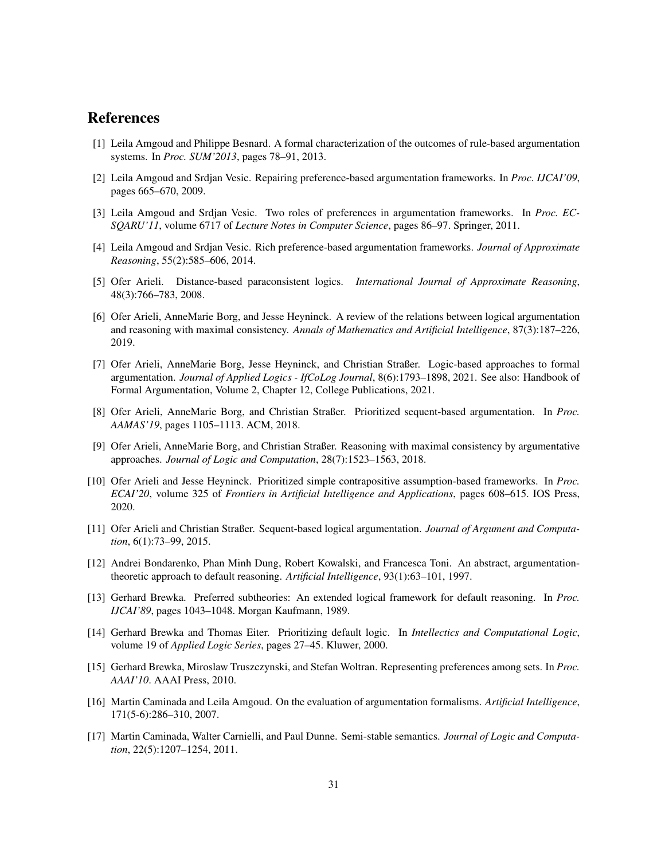# References

- [1] Leila Amgoud and Philippe Besnard. A formal characterization of the outcomes of rule-based argumentation systems. In *Proc. SUM'2013*, pages 78–91, 2013.
- [2] Leila Amgoud and Srdjan Vesic. Repairing preference-based argumentation frameworks. In *Proc. IJCAI'09*, pages 665–670, 2009.
- [3] Leila Amgoud and Srdjan Vesic. Two roles of preferences in argumentation frameworks. In *Proc. EC-SQARU'11*, volume 6717 of *Lecture Notes in Computer Science*, pages 86–97. Springer, 2011.
- [4] Leila Amgoud and Srdjan Vesic. Rich preference-based argumentation frameworks. *Journal of Approximate Reasoning*, 55(2):585–606, 2014.
- [5] Ofer Arieli. Distance-based paraconsistent logics. *International Journal of Approximate Reasoning*, 48(3):766–783, 2008.
- [6] Ofer Arieli, AnneMarie Borg, and Jesse Heyninck. A review of the relations between logical argumentation and reasoning with maximal consistency. *Annals of Mathematics and Artificial Intelligence*, 87(3):187–226, 2019.
- [7] Ofer Arieli, AnneMarie Borg, Jesse Heyninck, and Christian Straßer. Logic-based approaches to formal argumentation. *Journal of Applied Logics - IfCoLog Journal*, 8(6):1793–1898, 2021. See also: Handbook of Formal Argumentation, Volume 2, Chapter 12, College Publications, 2021.
- [8] Ofer Arieli, AnneMarie Borg, and Christian Straßer. Prioritized sequent-based argumentation. In *Proc. AAMAS'19*, pages 1105–1113. ACM, 2018.
- [9] Ofer Arieli, AnneMarie Borg, and Christian Straßer. Reasoning with maximal consistency by argumentative approaches. *Journal of Logic and Computation*, 28(7):1523–1563, 2018.
- [10] Ofer Arieli and Jesse Heyninck. Prioritized simple contrapositive assumption-based frameworks. In *Proc. ECAI'20*, volume 325 of *Frontiers in Artificial Intelligence and Applications*, pages 608–615. IOS Press, 2020.
- [11] Ofer Arieli and Christian Straßer. Sequent-based logical argumentation. *Journal of Argument and Computation*, 6(1):73–99, 2015.
- [12] Andrei Bondarenko, Phan Minh Dung, Robert Kowalski, and Francesca Toni. An abstract, argumentationtheoretic approach to default reasoning. *Artificial Intelligence*, 93(1):63–101, 1997.
- [13] Gerhard Brewka. Preferred subtheories: An extended logical framework for default reasoning. In *Proc. IJCAI'89*, pages 1043–1048. Morgan Kaufmann, 1989.
- [14] Gerhard Brewka and Thomas Eiter. Prioritizing default logic. In *Intellectics and Computational Logic*, volume 19 of *Applied Logic Series*, pages 27–45. Kluwer, 2000.
- [15] Gerhard Brewka, Miroslaw Truszczynski, and Stefan Woltran. Representing preferences among sets. In *Proc. AAAI'10*. AAAI Press, 2010.
- [16] Martin Caminada and Leila Amgoud. On the evaluation of argumentation formalisms. *Artificial Intelligence*, 171(5-6):286–310, 2007.
- [17] Martin Caminada, Walter Carnielli, and Paul Dunne. Semi-stable semantics. *Journal of Logic and Computation*, 22(5):1207–1254, 2011.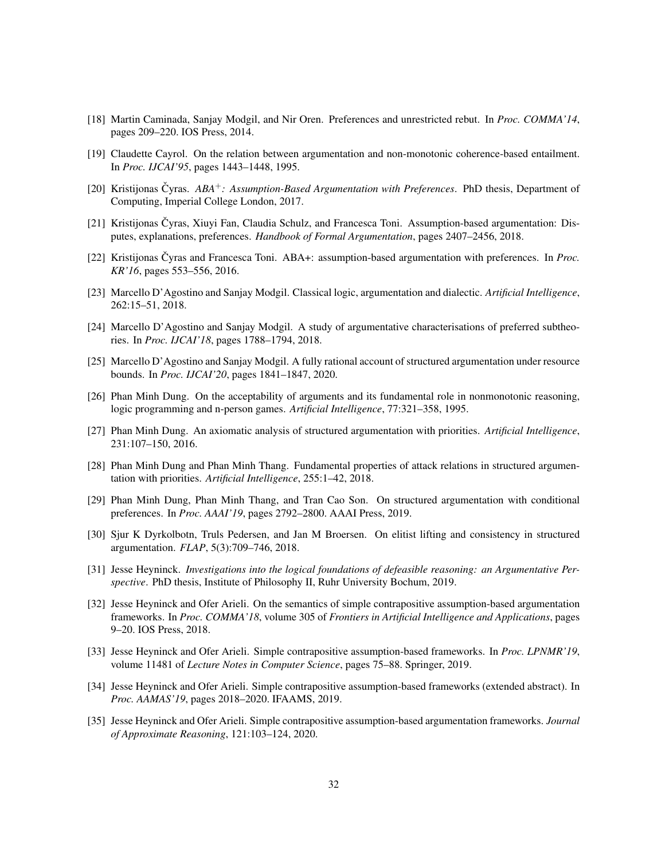- [18] Martin Caminada, Sanjay Modgil, and Nir Oren. Preferences and unrestricted rebut. In *Proc. COMMA'14*, pages 209–220. IOS Press, 2014.
- [19] Claudette Cayrol. On the relation between argumentation and non-monotonic coherence-based entailment. In *Proc. IJCAI'95*, pages 1443–1448, 1995.
- [20] Kristijonas Čyras. *ABA<sup>+</sup>: Assumption-Based Argumentation with Preferences*. PhD thesis, Department of Computing, Imperial College London, 2017.
- [21] Kristijonas Čyras, Xiuvi Fan, Claudia Schulz, and Francesca Toni. Assumption-based argumentation: Disputes, explanations, preferences. *Handbook of Formal Argumentation*, pages 2407–2456, 2018.
- [22] Kristijonas Čyras and Francesca Toni. ABA+: assumption-based argumentation with preferences. In *Proc. KR'16*, pages 553–556, 2016.
- [23] Marcello D'Agostino and Sanjay Modgil. Classical logic, argumentation and dialectic. *Artificial Intelligence*, 262:15–51, 2018.
- [24] Marcello D'Agostino and Sanjay Modgil. A study of argumentative characterisations of preferred subtheories. In *Proc. IJCAI'18*, pages 1788–1794, 2018.
- [25] Marcello D'Agostino and Sanjay Modgil. A fully rational account of structured argumentation under resource bounds. In *Proc. IJCAI'20*, pages 1841–1847, 2020.
- [26] Phan Minh Dung. On the acceptability of arguments and its fundamental role in nonmonotonic reasoning, logic programming and n-person games. *Artificial Intelligence*, 77:321–358, 1995.
- [27] Phan Minh Dung. An axiomatic analysis of structured argumentation with priorities. *Artificial Intelligence*, 231:107–150, 2016.
- [28] Phan Minh Dung and Phan Minh Thang. Fundamental properties of attack relations in structured argumentation with priorities. *Artificial Intelligence*, 255:1–42, 2018.
- [29] Phan Minh Dung, Phan Minh Thang, and Tran Cao Son. On structured argumentation with conditional preferences. In *Proc. AAAI'19*, pages 2792–2800. AAAI Press, 2019.
- [30] Sjur K Dyrkolbotn, Truls Pedersen, and Jan M Broersen. On elitist lifting and consistency in structured argumentation. *FLAP*, 5(3):709–746, 2018.
- [31] Jesse Heyninck. *Investigations into the logical foundations of defeasible reasoning: an Argumentative Perspective*. PhD thesis, Institute of Philosophy II, Ruhr University Bochum, 2019.
- [32] Jesse Heyninck and Ofer Arieli. On the semantics of simple contrapositive assumption-based argumentation frameworks. In *Proc. COMMA'18*, volume 305 of *Frontiers in Artificial Intelligence and Applications*, pages 9–20. IOS Press, 2018.
- [33] Jesse Heyninck and Ofer Arieli. Simple contrapositive assumption-based frameworks. In *Proc. LPNMR'19*, volume 11481 of *Lecture Notes in Computer Science*, pages 75–88. Springer, 2019.
- [34] Jesse Heyninck and Ofer Arieli. Simple contrapositive assumption-based frameworks (extended abstract). In *Proc. AAMAS'19*, pages 2018–2020. IFAAMS, 2019.
- [35] Jesse Heyninck and Ofer Arieli. Simple contrapositive assumption-based argumentation frameworks. *Journal of Approximate Reasoning*, 121:103–124, 2020.